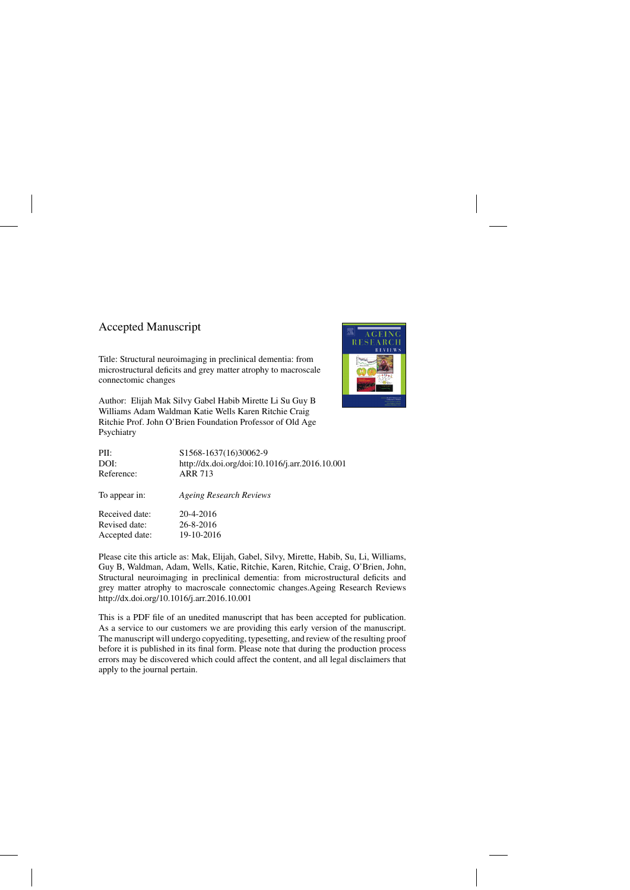## Accepted Manuscript

Accepted date: 19-10-2016

Title: Structural neuroimaging in preclinical dementia: from microstructural deficits and grey matter atrophy to macroscale connectomic changes

Author: Elijah Mak Silvy Gabel Habib Mirette Li Su Guy B Williams Adam Waldman Katie Wells Karen Ritchie Craig Ritchie Prof. John O'Brien Foundation Professor of Old Age Psychiatry



| PII:           | S1568-1637(16)30062-9                           |
|----------------|-------------------------------------------------|
| DOI:           | http://dx.doi.org/doi:10.1016/j.arr.2016.10.001 |
| Reference:     | <b>ARR 713</b>                                  |
| To appear in:  | <b>Ageing Research Reviews</b>                  |
| Received date: | 20-4-2016                                       |
| Revised date:  | 26-8-2016                                       |

Please cite this article as: Mak, Elijah, Gabel, Silvy, Mirette, Habib, Su, Li, Williams, Guy B, Waldman, Adam, Wells, Katie, Ritchie, Karen, Ritchie, Craig, O'Brien, John, Structural neuroimaging in preclinical dementia: from microstructural deficits and grey matter atrophy to macroscale connectomic changes.Ageing Research Reviews <http://dx.doi.org/10.1016/j.arr.2016.10.001>

This is a PDF file of an unedited manuscript that has been accepted for publication. As a service to our customers we are providing this early version of the manuscript. The manuscript will undergo copyediting, typesetting, and review of the resulting proof before it is published in its final form. Please note that during the production process errors may be discovered which could affect the content, and all legal disclaimers that apply to the journal pertain.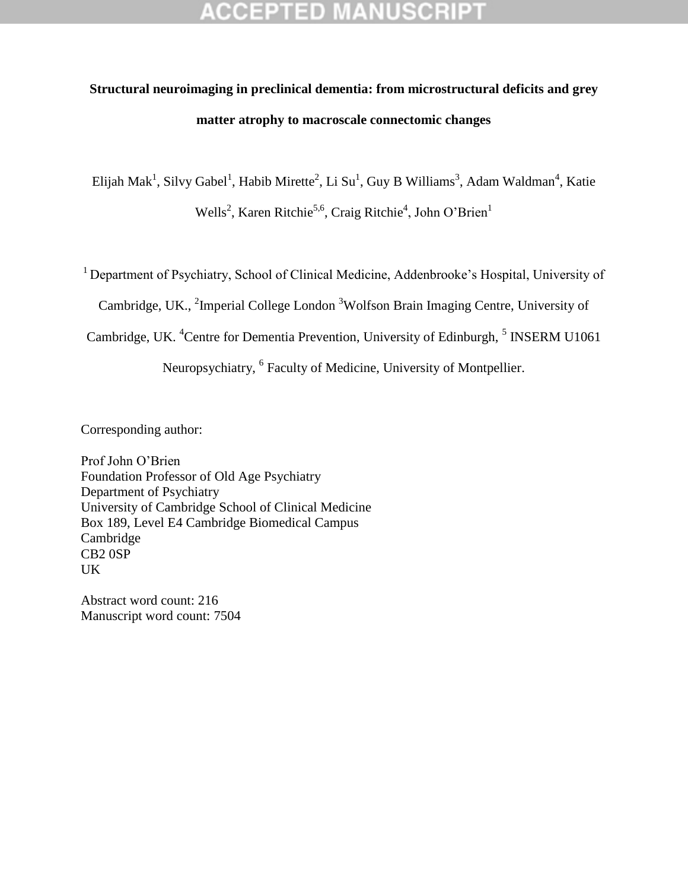## ED

# **Structural neuroimaging in preclinical dementia: from microstructural deficits and grey matter atrophy to macroscale connectomic changes**

Elijah Mak<sup>1</sup>, Silvy Gabel<sup>1</sup>, Habib Mirette<sup>2</sup>, Li Su<sup>1</sup>, Guy B Williams<sup>3</sup>, Adam Waldman<sup>4</sup>, Katie Wells<sup>2</sup>, Karen Ritchie<sup>5,6</sup>, Craig Ritchie<sup>4</sup>, John O'Brien<sup>1</sup>

<sup>1</sup> Department of Psychiatry, School of Clinical Medicine, Addenbrooke's Hospital, University of

Cambridge, UK., <sup>2</sup>Imperial College London<sup>3</sup>Wolfson Brain Imaging Centre, University of

Cambridge, UK. <sup>4</sup>Centre for Dementia Prevention, University of Edinburgh, <sup>5</sup> INSERM U1061

Neuropsychiatry, <sup>6</sup> Faculty of Medicine, University of Montpellier.

Corresponding author:

Prof John O"Brien Foundation Professor of Old Age Psychiatry Department of Psychiatry University of Cambridge School of Clinical Medicine Box 189, Level E4 Cambridge Biomedical Campus Cambridge CB2 0SP UK

Abstract word count: 216 Manuscript word count: 7504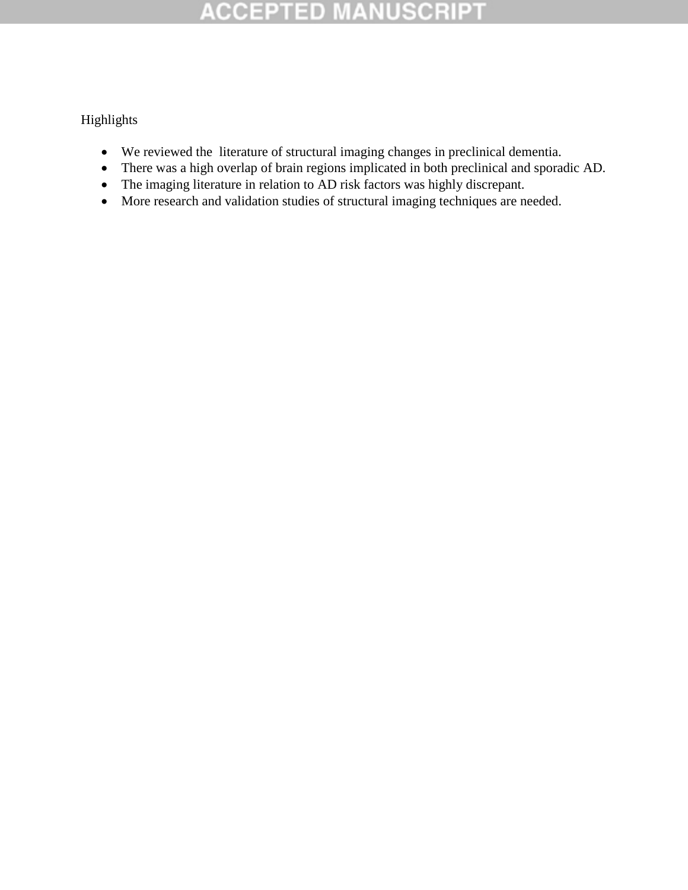Highlights

- We reviewed the literature of structural imaging changes in preclinical dementia.
- There was a high overlap of brain regions implicated in both preclinical and sporadic AD.
- The imaging literature in relation to AD risk factors was highly discrepant.
- More research and validation studies of structural imaging techniques are needed.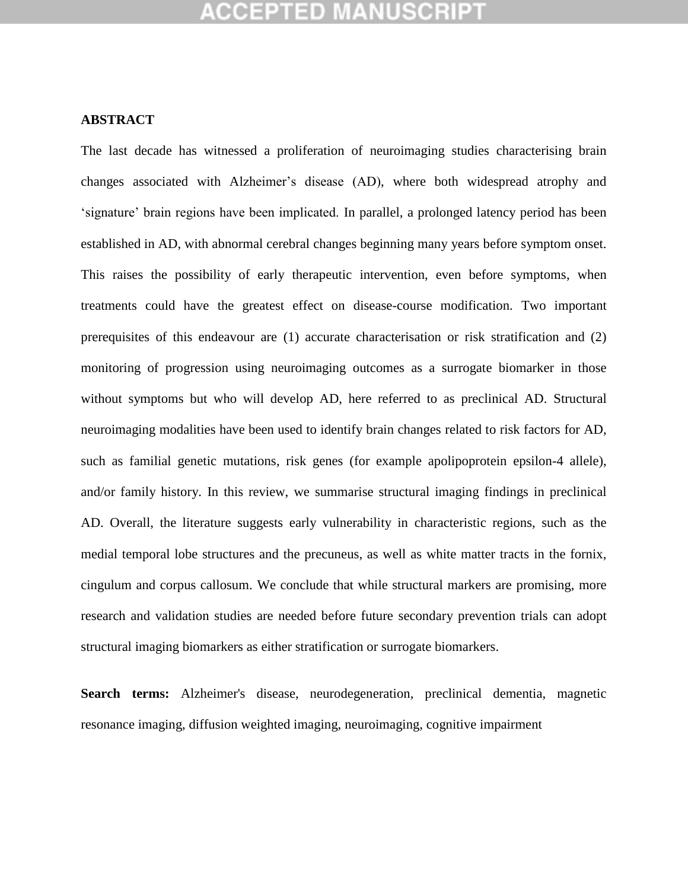#### **ABSTRACT**

The last decade has witnessed a proliferation of neuroimaging studies characterising brain changes associated with Alzheimer"s disease (AD), where both widespread atrophy and "signature" brain regions have been implicated. In parallel, a prolonged latency period has been established in AD, with abnormal cerebral changes beginning many years before symptom onset. This raises the possibility of early therapeutic intervention, even before symptoms, when treatments could have the greatest effect on disease-course modification. Two important prerequisites of this endeavour are (1) accurate characterisation or risk stratification and (2) monitoring of progression using neuroimaging outcomes as a surrogate biomarker in those without symptoms but who will develop AD, here referred to as preclinical AD. Structural neuroimaging modalities have been used to identify brain changes related to risk factors for AD, such as familial genetic mutations, risk genes (for example apolipoprotein epsilon-4 allele), and/or family history. In this review, we summarise structural imaging findings in preclinical AD. Overall, the literature suggests early vulnerability in characteristic regions, such as the medial temporal lobe structures and the precuneus, as well as white matter tracts in the fornix, cingulum and corpus callosum. We conclude that while structural markers are promising, more research and validation studies are needed before future secondary prevention trials can adopt structural imaging biomarkers as either stratification or surrogate biomarkers.

**Search terms:** Alzheimer's disease, neurodegeneration, preclinical dementia, magnetic resonance imaging, diffusion weighted imaging, neuroimaging, cognitive impairment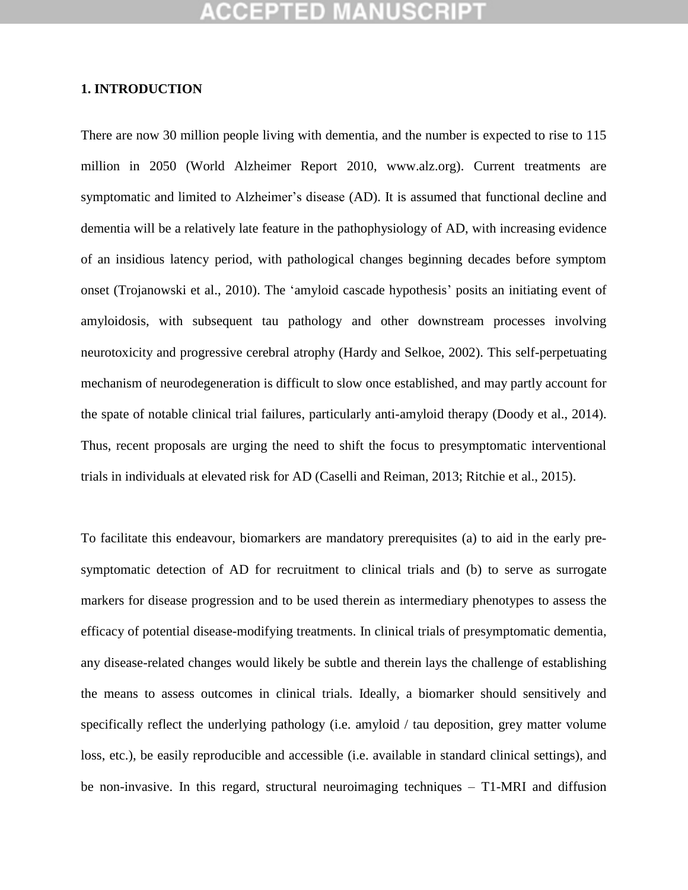#### **1. INTRODUCTION**

There are now 30 million people living with dementia, and the number is expected to rise to 115 million in 2050 (World Alzheimer Report 2010, www.alz.org). Current treatments are symptomatic and limited to Alzheimer's disease (AD). It is assumed that functional decline and dementia will be a relatively late feature in the pathophysiology of AD, with increasing evidence of an insidious latency period, with pathological changes beginning decades before symptom onset (Trojanowski et al., 2010). The 'amyloid cascade hypothesis' posits an initiating event of amyloidosis, with subsequent tau pathology and other downstream processes involving neurotoxicity and progressive cerebral atrophy (Hardy and Selkoe, 2002). This self-perpetuating mechanism of neurodegeneration is difficult to slow once established, and may partly account for the spate of notable clinical trial failures, particularly anti-amyloid therapy (Doody et al., 2014). Thus, recent proposals are urging the need to shift the focus to presymptomatic interventional trials in individuals at elevated risk for AD (Caselli and Reiman, 2013; Ritchie et al., 2015).

To facilitate this endeavour, biomarkers are mandatory prerequisites (a) to aid in the early presymptomatic detection of AD for recruitment to clinical trials and (b) to serve as surrogate markers for disease progression and to be used therein as intermediary phenotypes to assess the efficacy of potential disease-modifying treatments. In clinical trials of presymptomatic dementia, any disease-related changes would likely be subtle and therein lays the challenge of establishing the means to assess outcomes in clinical trials. Ideally, a biomarker should sensitively and specifically reflect the underlying pathology (i.e. amyloid / tau deposition, grey matter volume loss, etc.), be easily reproducible and accessible (i.e. available in standard clinical settings), and be non-invasive. In this regard, structural neuroimaging techniques – T1-MRI and diffusion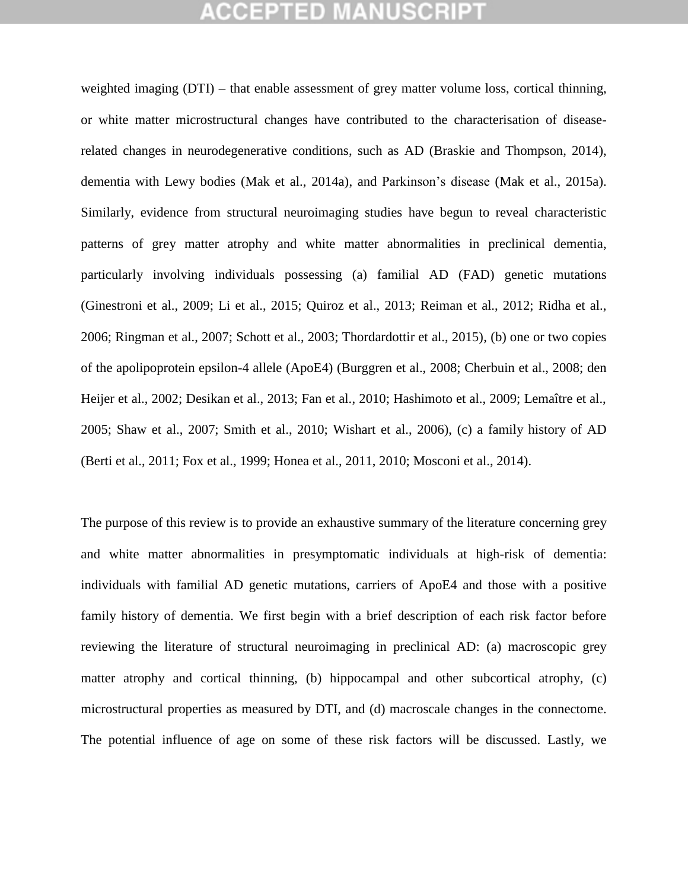weighted imaging (DTI) – that enable assessment of grey matter volume loss, cortical thinning, or white matter microstructural changes have contributed to the characterisation of diseaserelated changes in neurodegenerative conditions, such as AD (Braskie and Thompson, 2014), dementia with Lewy bodies (Mak et al., 2014a), and Parkinson's disease (Mak et al., 2015a). Similarly, evidence from structural neuroimaging studies have begun to reveal characteristic patterns of grey matter atrophy and white matter abnormalities in preclinical dementia, particularly involving individuals possessing (a) familial AD (FAD) genetic mutations (Ginestroni et al., 2009; Li et al., 2015; Quiroz et al., 2013; Reiman et al., 2012; Ridha et al., 2006; Ringman et al., 2007; Schott et al., 2003; Thordardottir et al., 2015), (b) one or two copies of the apolipoprotein epsilon-4 allele (ApoE4) (Burggren et al., 2008; Cherbuin et al., 2008; den Heijer et al., 2002; Desikan et al., 2013; Fan et al., 2010; Hashimoto et al., 2009; Lemaître et al., 2005; Shaw et al., 2007; Smith et al., 2010; Wishart et al., 2006), (c) a family history of AD (Berti et al., 2011; Fox et al., 1999; Honea et al., 2011, 2010; Mosconi et al., 2014).

The purpose of this review is to provide an exhaustive summary of the literature concerning grey and white matter abnormalities in presymptomatic individuals at high-risk of dementia: individuals with familial AD genetic mutations, carriers of ApoE4 and those with a positive family history of dementia. We first begin with a brief description of each risk factor before reviewing the literature of structural neuroimaging in preclinical AD: (a) macroscopic grey matter atrophy and cortical thinning, (b) hippocampal and other subcortical atrophy, (c) microstructural properties as measured by DTI, and (d) macroscale changes in the connectome. The potential influence of age on some of these risk factors will be discussed. Lastly, we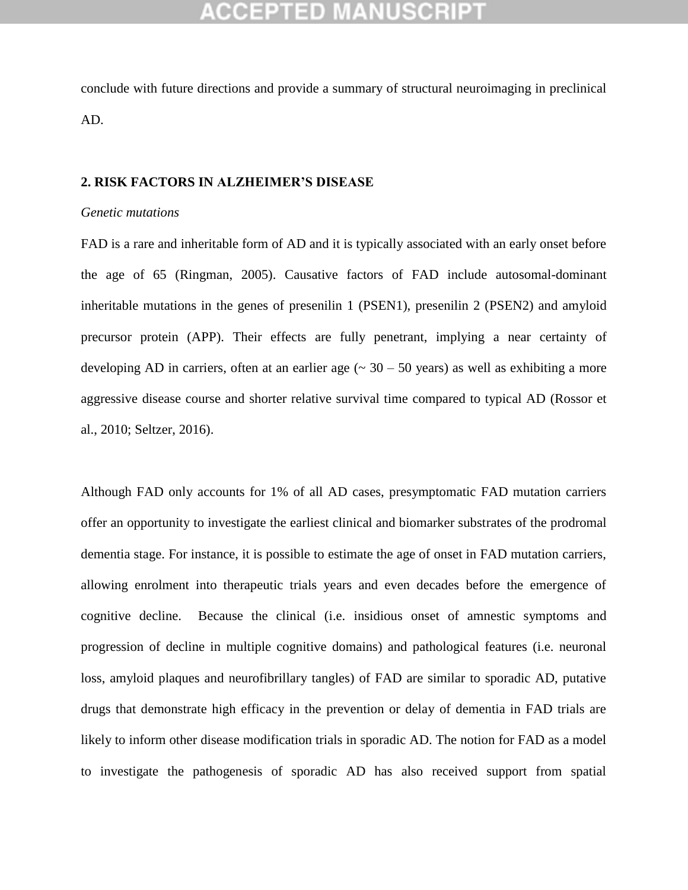conclude with future directions and provide a summary of structural neuroimaging in preclinical AD.

#### **2. RISK FACTORS IN ALZHEIMER'S DISEASE**

#### *Genetic mutations*

FAD is a rare and inheritable form of AD and it is typically associated with an early onset before the age of 65 (Ringman, 2005). Causative factors of FAD include autosomal-dominant inheritable mutations in the genes of presenilin 1 (PSEN1), presenilin 2 (PSEN2) and amyloid precursor protein (APP). Their effects are fully penetrant, implying a near certainty of developing AD in carriers, often at an earlier age  $(\sim 30 - 50$  years) as well as exhibiting a more aggressive disease course and shorter relative survival time compared to typical AD (Rossor et al., 2010; Seltzer, 2016).

Although FAD only accounts for 1% of all AD cases, presymptomatic FAD mutation carriers offer an opportunity to investigate the earliest clinical and biomarker substrates of the prodromal dementia stage. For instance, it is possible to estimate the age of onset in FAD mutation carriers, allowing enrolment into therapeutic trials years and even decades before the emergence of cognitive decline. Because the clinical (i.e. insidious onset of amnestic symptoms and progression of decline in multiple cognitive domains) and pathological features (i.e. neuronal loss, amyloid plaques and neurofibrillary tangles) of FAD are similar to sporadic AD, putative drugs that demonstrate high efficacy in the prevention or delay of dementia in FAD trials are likely to inform other disease modification trials in sporadic AD. The notion for FAD as a model to investigate the pathogenesis of sporadic AD has also received support from spatial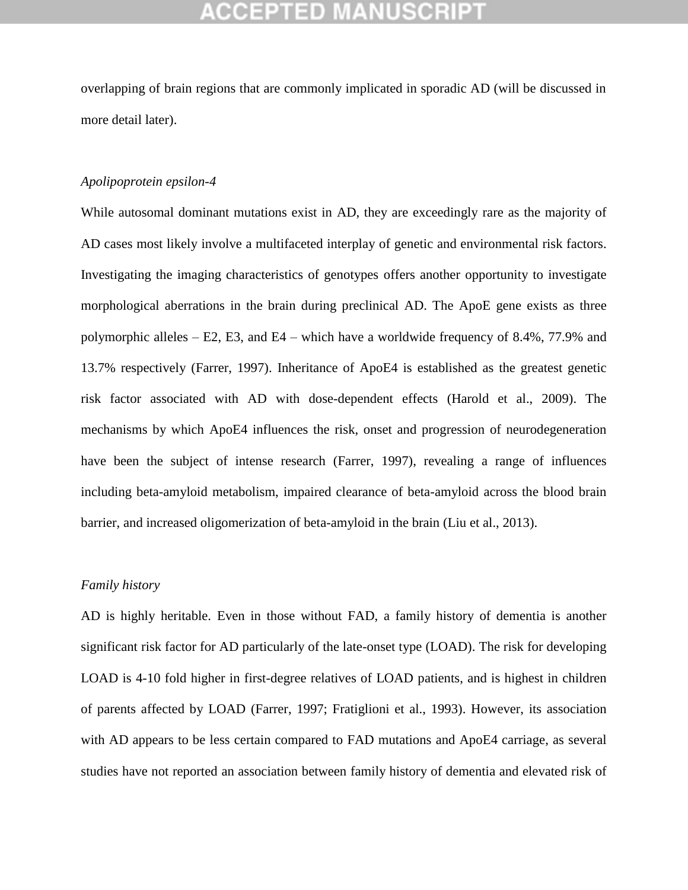overlapping of brain regions that are commonly implicated in sporadic AD (will be discussed in more detail later).

#### *Apolipoprotein epsilon-4*

While autosomal dominant mutations exist in AD, they are exceedingly rare as the majority of AD cases most likely involve a multifaceted interplay of genetic and environmental risk factors. Investigating the imaging characteristics of genotypes offers another opportunity to investigate morphological aberrations in the brain during preclinical AD. The ApoE gene exists as three polymorphic alleles – E2, E3, and E4 – which have a worldwide frequency of 8.4%, 77.9% and 13.7% respectively (Farrer, 1997). Inheritance of ApoE4 is established as the greatest genetic risk factor associated with AD with dose-dependent effects (Harold et al., 2009). The mechanisms by which ApoE4 influences the risk, onset and progression of neurodegeneration have been the subject of intense research (Farrer, 1997), revealing a range of influences including beta-amyloid metabolism, impaired clearance of beta-amyloid across the blood brain barrier, and increased oligomerization of beta-amyloid in the brain (Liu et al., 2013).

#### *Family history*

AD is highly heritable. Even in those without FAD, a family history of dementia is another significant risk factor for AD particularly of the late-onset type (LOAD). The risk for developing LOAD is 4-10 fold higher in first-degree relatives of LOAD patients, and is highest in children of parents affected by LOAD (Farrer, 1997; Fratiglioni et al., 1993). However, its association with AD appears to be less certain compared to FAD mutations and ApoE4 carriage, as several studies have not reported an association between family history of dementia and elevated risk of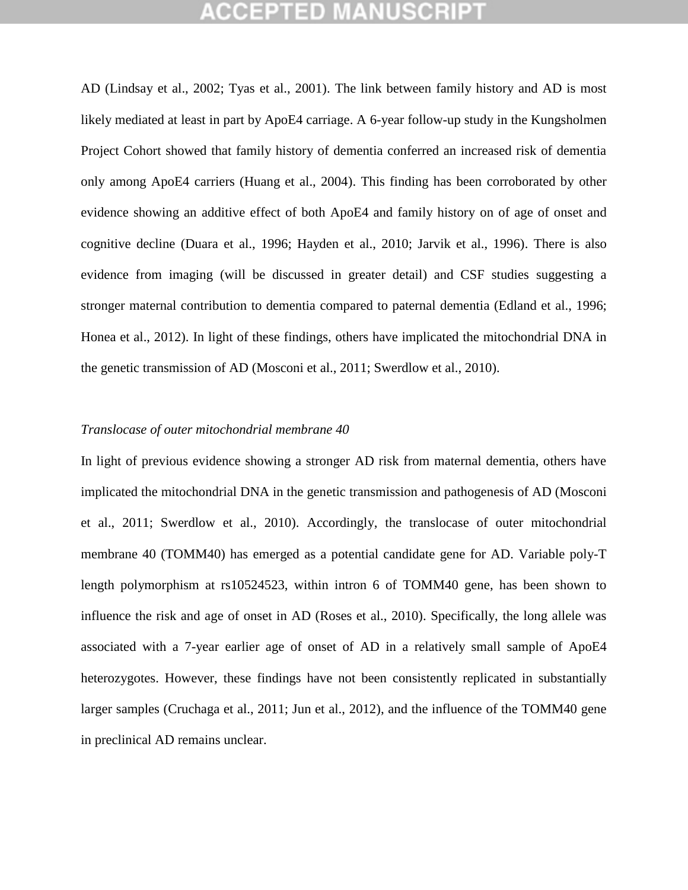AD (Lindsay et al., 2002; Tyas et al., 2001). The link between family history and AD is most likely mediated at least in part by ApoE4 carriage. A 6-year follow-up study in the Kungsholmen Project Cohort showed that family history of dementia conferred an increased risk of dementia only among ApoE4 carriers (Huang et al., 2004). This finding has been corroborated by other evidence showing an additive effect of both ApoE4 and family history on of age of onset and cognitive decline (Duara et al., 1996; Hayden et al., 2010; Jarvik et al., 1996). There is also evidence from imaging (will be discussed in greater detail) and CSF studies suggesting a stronger maternal contribution to dementia compared to paternal dementia (Edland et al., 1996; Honea et al., 2012). In light of these findings, others have implicated the mitochondrial DNA in the genetic transmission of AD (Mosconi et al., 2011; Swerdlow et al., 2010).

### *Translocase of outer mitochondrial membrane 40*

In light of previous evidence showing a stronger AD risk from maternal dementia, others have implicated the mitochondrial DNA in the genetic transmission and pathogenesis of AD (Mosconi et al., 2011; Swerdlow et al., 2010). Accordingly, the translocase of outer mitochondrial membrane 40 (TOMM40) has emerged as a potential candidate gene for AD. Variable poly-T length polymorphism at rs10524523, within intron 6 of TOMM40 gene, has been shown to influence the risk and age of onset in AD (Roses et al., 2010). Specifically, the long allele was associated with a 7-year earlier age of onset of AD in a relatively small sample of ApoE4 heterozygotes. However, these findings have not been consistently replicated in substantially larger samples (Cruchaga et al., 2011; Jun et al., 2012), and the influence of the TOMM40 gene in preclinical AD remains unclear.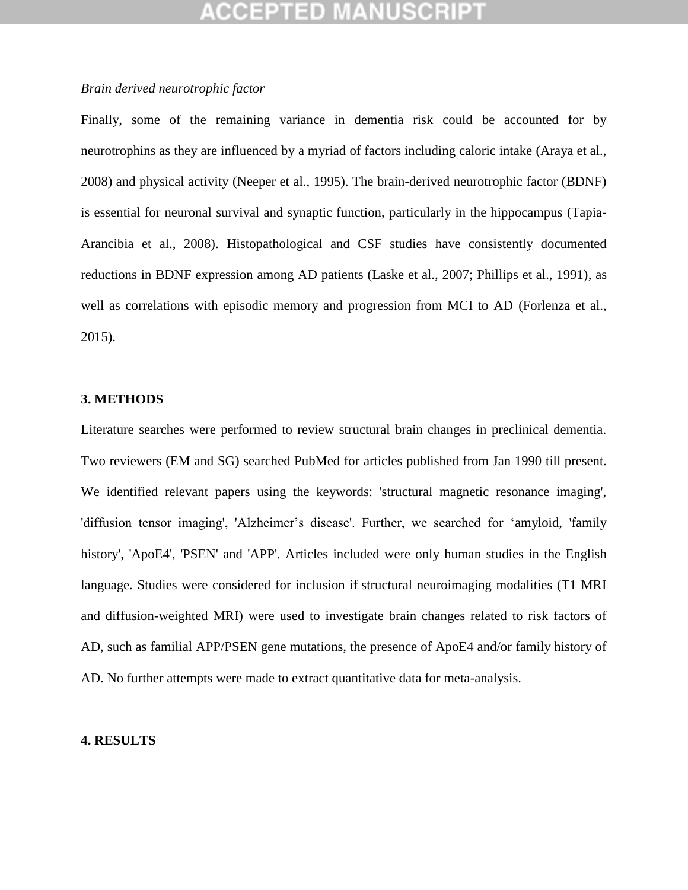### *Brain derived neurotrophic factor*

Finally, some of the remaining variance in dementia risk could be accounted for by neurotrophins as they are influenced by a myriad of factors including caloric intake (Araya et al., 2008) and physical activity (Neeper et al., 1995). The brain-derived neurotrophic factor (BDNF) is essential for neuronal survival and synaptic function, particularly in the hippocampus (Tapia-Arancibia et al., 2008). Histopathological and CSF studies have consistently documented reductions in BDNF expression among AD patients (Laske et al., 2007; Phillips et al., 1991), as well as correlations with episodic memory and progression from MCI to AD (Forlenza et al., 2015).

#### **3. METHODS**

Literature searches were performed to review structural brain changes in preclinical dementia. Two reviewers (EM and SG) searched PubMed for articles published from Jan 1990 till present. We identified relevant papers using the keywords: 'structural magnetic resonance imaging', 'diffusion tensor imaging', 'Alzheimer's disease'. Further, we searched for 'amyloid, 'family history', 'ApoE4', 'PSEN' and 'APP'. Articles included were only human studies in the English language. Studies were considered for inclusion if structural neuroimaging modalities (T1 MRI and diffusion-weighted MRI) were used to investigate brain changes related to risk factors of AD, such as familial APP/PSEN gene mutations, the presence of ApoE4 and/or family history of AD. No further attempts were made to extract quantitative data for meta-analysis.

#### **4. RESULTS**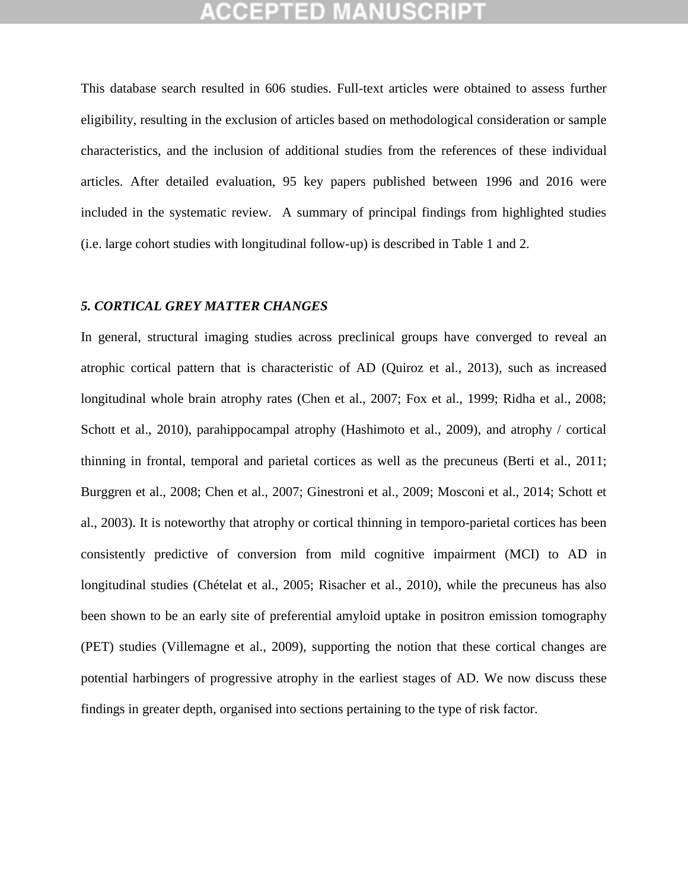This database search resulted in 606 studies. Full-text articles were obtained to assess further eligibility, resulting in the exclusion of articles based on methodological consideration or sample characteristics, and the inclusion of additional studies from the references of these individual articles. After detailed evaluation, 95 key papers published between 1996 and 2016 were included in the systematic review. A summary of principal findings from highlighted studies (i.e. large cohort studies with longitudinal follow-up) is described in Table 1 and 2.

### *5. CORTICAL GREY MATTER CHANGES*

In general, structural imaging studies across preclinical groups have converged to reveal an atrophic cortical pattern that is characteristic of AD (Quiroz et al., 2013), such as increased longitudinal whole brain atrophy rates (Chen et al., 2007; Fox et al., 1999; Ridha et al., 2008; Schott et al., 2010), parahippocampal atrophy (Hashimoto et al., 2009), and atrophy / cortical thinning in frontal, temporal and parietal cortices as well as the precuneus (Berti et al., 2011; Burggren et al., 2008; Chen et al., 2007; Ginestroni et al., 2009; Mosconi et al., 2014; Schott et al., 2003). It is noteworthy that atrophy or cortical thinning in temporo-parietal cortices has been consistently predictive of conversion from mild cognitive impairment (MCI) to AD in longitudinal studies (Chételat et al., 2005; Risacher et al., 2010), while the precuneus has also been shown to be an early site of preferential amyloid uptake in positron emission tomography (PET) studies (Villemagne et al., 2009), supporting the notion that these cortical changes are potential harbingers of progressive atrophy in the earliest stages of AD. We now discuss these findings in greater depth, organised into sections pertaining to the type of risk factor.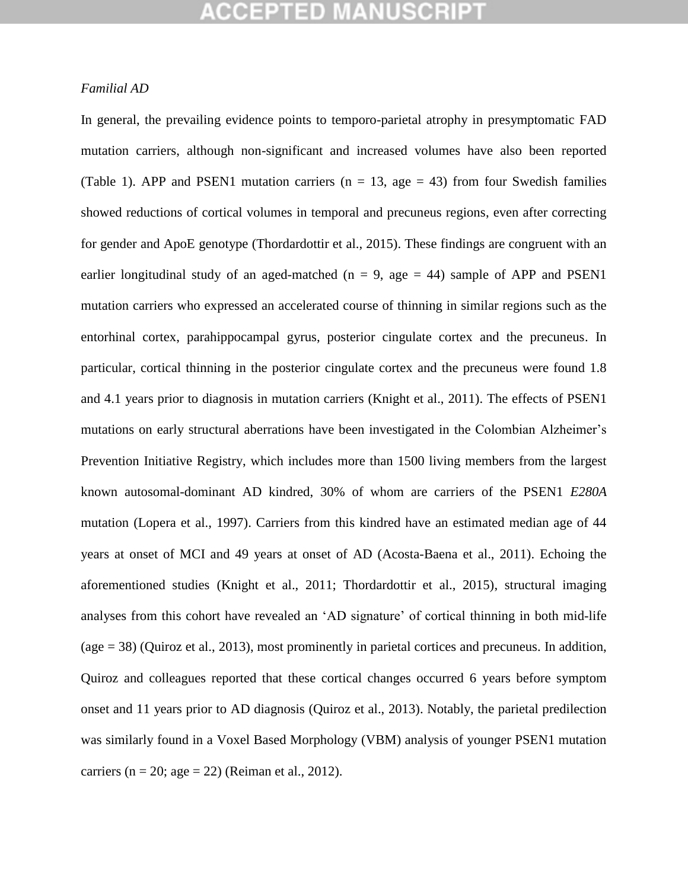### *Familial AD*

In general, the prevailing evidence points to temporo-parietal atrophy in presymptomatic FAD mutation carriers, although non-significant and increased volumes have also been reported (Table 1). APP and PSEN1 mutation carriers ( $n = 13$ , age = 43) from four Swedish families showed reductions of cortical volumes in temporal and precuneus regions, even after correcting for gender and ApoE genotype (Thordardottir et al., 2015). These findings are congruent with an earlier longitudinal study of an aged-matched ( $n = 9$ , age = 44) sample of APP and PSEN1 mutation carriers who expressed an accelerated course of thinning in similar regions such as the entorhinal cortex, parahippocampal gyrus, posterior cingulate cortex and the precuneus. In particular, cortical thinning in the posterior cingulate cortex and the precuneus were found 1.8 and 4.1 years prior to diagnosis in mutation carriers (Knight et al., 2011). The effects of PSEN1 mutations on early structural aberrations have been investigated in the Colombian Alzheimer"s Prevention Initiative Registry, which includes more than 1500 living members from the largest known autosomal-dominant AD kindred, 30% of whom are carriers of the PSEN1 *E280A*  mutation (Lopera et al., 1997). Carriers from this kindred have an estimated median age of 44 years at onset of MCI and 49 years at onset of AD (Acosta-Baena et al., 2011). Echoing the aforementioned studies (Knight et al., 2011; Thordardottir et al., 2015), structural imaging analyses from this cohort have revealed an "AD signature" of cortical thinning in both mid-life (age = 38) (Quiroz et al., 2013), most prominently in parietal cortices and precuneus. In addition, Quiroz and colleagues reported that these cortical changes occurred 6 years before symptom onset and 11 years prior to AD diagnosis (Quiroz et al., 2013). Notably, the parietal predilection was similarly found in a Voxel Based Morphology (VBM) analysis of younger PSEN1 mutation carriers ( $n = 20$ ; age = 22) (Reiman et al., 2012).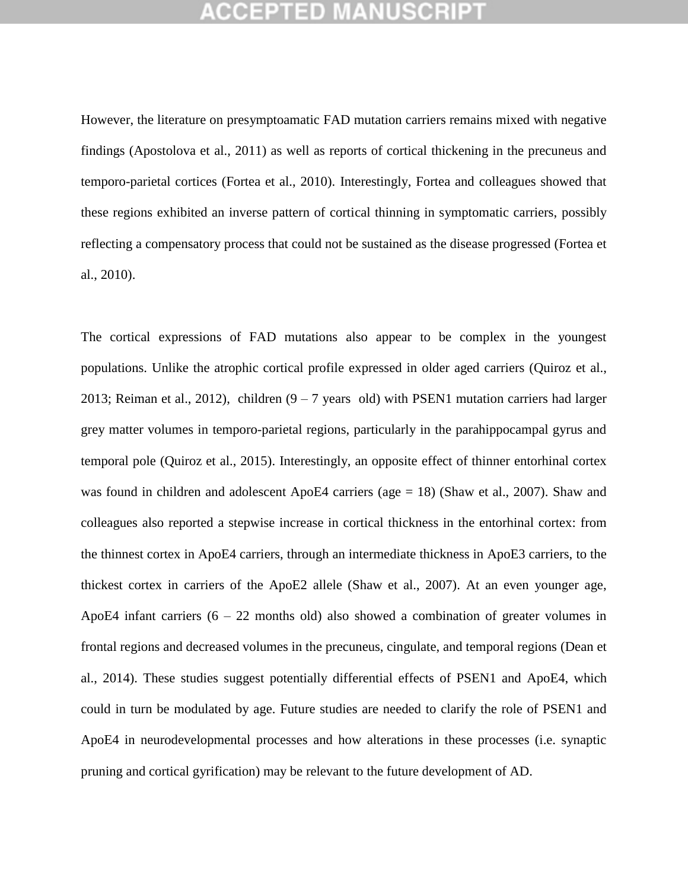However, the literature on presymptoamatic FAD mutation carriers remains mixed with negative findings (Apostolova et al., 2011) as well as reports of cortical thickening in the precuneus and temporo-parietal cortices (Fortea et al., 2010). Interestingly, Fortea and colleagues showed that these regions exhibited an inverse pattern of cortical thinning in symptomatic carriers, possibly reflecting a compensatory process that could not be sustained as the disease progressed (Fortea et al., 2010).

The cortical expressions of FAD mutations also appear to be complex in the youngest populations. Unlike the atrophic cortical profile expressed in older aged carriers (Quiroz et al., 2013; Reiman et al., 2012), children  $(9 - 7$  years old) with PSEN1 mutation carriers had larger grey matter volumes in temporo-parietal regions, particularly in the parahippocampal gyrus and temporal pole (Quiroz et al., 2015). Interestingly, an opposite effect of thinner entorhinal cortex was found in children and adolescent ApoE4 carriers (age = 18) (Shaw et al., 2007). Shaw and colleagues also reported a stepwise increase in cortical thickness in the entorhinal cortex: from the thinnest cortex in ApoE4 carriers, through an intermediate thickness in ApoE3 carriers, to the thickest cortex in carriers of the ApoE2 allele (Shaw et al., 2007). At an even younger age, ApoE4 infant carriers  $(6 - 22$  months old) also showed a combination of greater volumes in frontal regions and decreased volumes in the precuneus, cingulate, and temporal regions (Dean et al., 2014). These studies suggest potentially differential effects of PSEN1 and ApoE4, which could in turn be modulated by age. Future studies are needed to clarify the role of PSEN1 and ApoE4 in neurodevelopmental processes and how alterations in these processes (i.e. synaptic pruning and cortical gyrification) may be relevant to the future development of AD.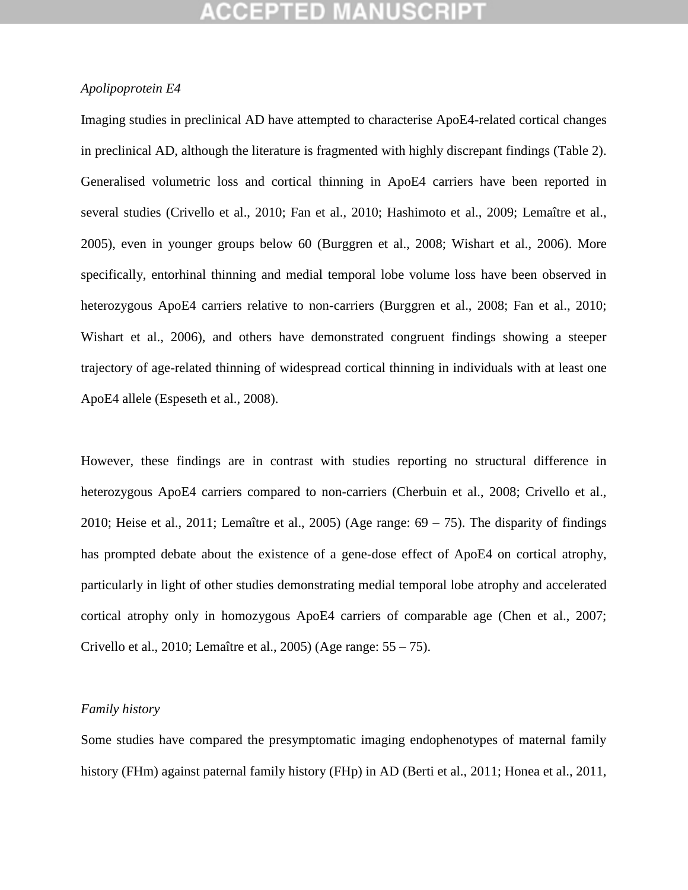### *Apolipoprotein E4*

Imaging studies in preclinical AD have attempted to characterise ApoE4-related cortical changes in preclinical AD, although the literature is fragmented with highly discrepant findings (Table 2). Generalised volumetric loss and cortical thinning in ApoE4 carriers have been reported in several studies (Crivello et al., 2010; Fan et al., 2010; Hashimoto et al., 2009; Lemaître et al., 2005), even in younger groups below 60 (Burggren et al., 2008; Wishart et al., 2006). More specifically, entorhinal thinning and medial temporal lobe volume loss have been observed in heterozygous ApoE4 carriers relative to non-carriers (Burggren et al., 2008; Fan et al., 2010; Wishart et al., 2006), and others have demonstrated congruent findings showing a steeper trajectory of age-related thinning of widespread cortical thinning in individuals with at least one ApoE4 allele (Espeseth et al., 2008).

However, these findings are in contrast with studies reporting no structural difference in heterozygous ApoE4 carriers compared to non-carriers (Cherbuin et al., 2008; Crivello et al., 2010; Heise et al., 2011; Lemaître et al., 2005) (Age range:  $69 - 75$ ). The disparity of findings has prompted debate about the existence of a gene-dose effect of ApoE4 on cortical atrophy, particularly in light of other studies demonstrating medial temporal lobe atrophy and accelerated cortical atrophy only in homozygous ApoE4 carriers of comparable age (Chen et al., 2007; Crivello et al., 2010; Lemaître et al., 2005) (Age range: 55 – 75).

#### *Family history*

Some studies have compared the presymptomatic imaging endophenotypes of maternal family history (FHm) against paternal family history (FHp) in AD (Berti et al., 2011; Honea et al., 2011,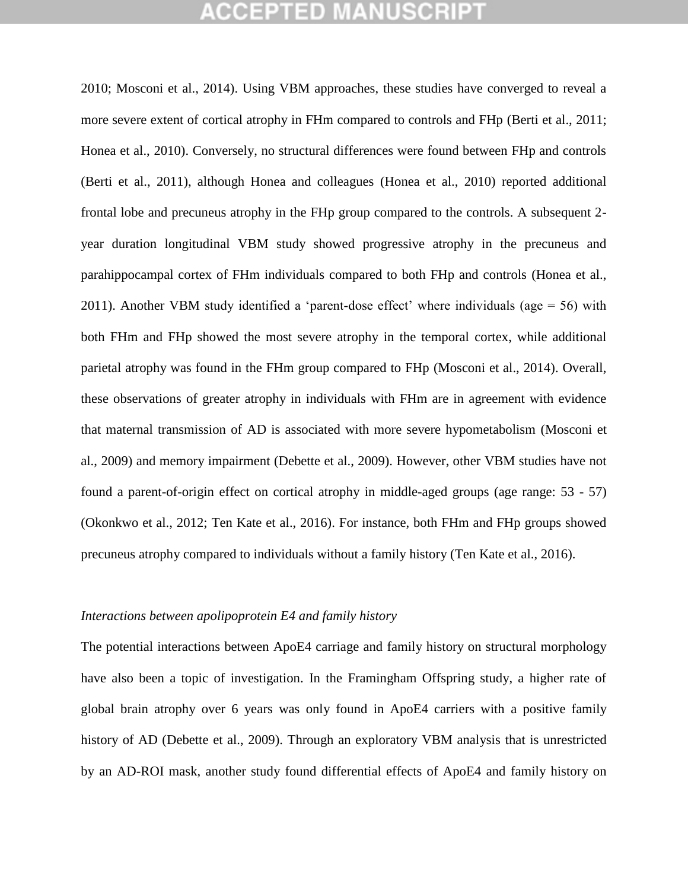2010; Mosconi et al., 2014). Using VBM approaches, these studies have converged to reveal a more severe extent of cortical atrophy in FHm compared to controls and FHp (Berti et al., 2011; Honea et al., 2010). Conversely, no structural differences were found between FHp and controls (Berti et al., 2011), although Honea and colleagues (Honea et al., 2010) reported additional frontal lobe and precuneus atrophy in the FHp group compared to the controls. A subsequent 2 year duration longitudinal VBM study showed progressive atrophy in the precuneus and parahippocampal cortex of FHm individuals compared to both FHp and controls (Honea et al., 2011). Another VBM study identified a 'parent-dose effect' where individuals (age  $= 56$ ) with both FHm and FHp showed the most severe atrophy in the temporal cortex, while additional parietal atrophy was found in the FHm group compared to FHp (Mosconi et al., 2014). Overall, these observations of greater atrophy in individuals with FHm are in agreement with evidence that maternal transmission of AD is associated with more severe hypometabolism (Mosconi et al., 2009) and memory impairment (Debette et al., 2009). However, other VBM studies have not found a parent-of-origin effect on cortical atrophy in middle-aged groups (age range: 53 - 57) (Okonkwo et al., 2012; Ten Kate et al., 2016). For instance, both FHm and FHp groups showed precuneus atrophy compared to individuals without a family history (Ten Kate et al., 2016).

#### *Interactions between apolipoprotein E4 and family history*

The potential interactions between ApoE4 carriage and family history on structural morphology have also been a topic of investigation. In the Framingham Offspring study, a higher rate of global brain atrophy over 6 years was only found in ApoE4 carriers with a positive family history of AD (Debette et al., 2009). Through an exploratory VBM analysis that is unrestricted by an AD-ROI mask, another study found differential effects of ApoE4 and family history on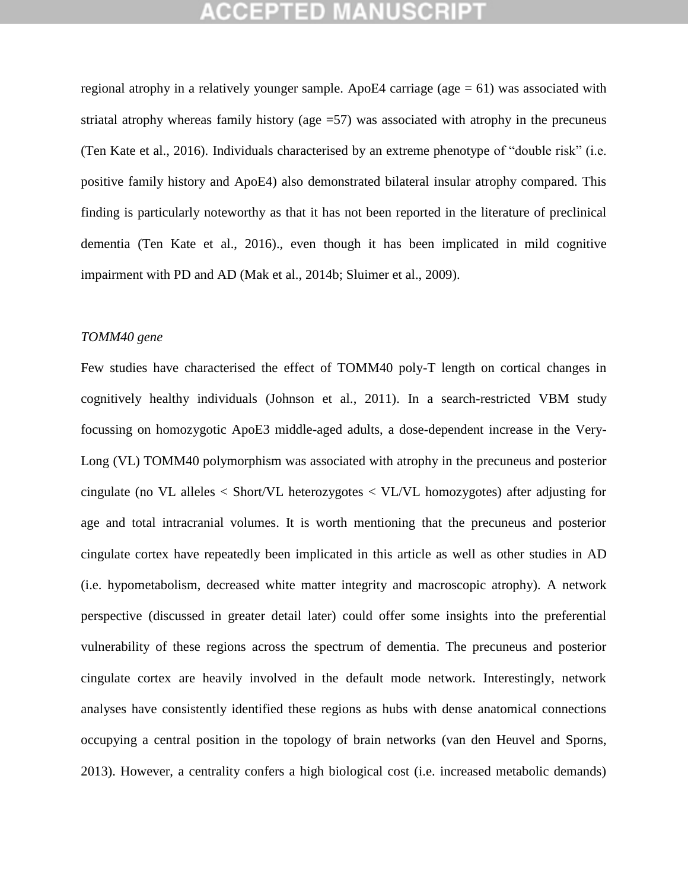regional atrophy in a relatively younger sample. ApoE4 carriage ( $a$ ge  $= 61$ ) was associated with striatal atrophy whereas family history (age =57) was associated with atrophy in the precuneus (Ten Kate et al., 2016). Individuals characterised by an extreme phenotype of "double risk" (i.e. positive family history and ApoE4) also demonstrated bilateral insular atrophy compared. This finding is particularly noteworthy as that it has not been reported in the literature of preclinical dementia (Ten Kate et al., 2016)., even though it has been implicated in mild cognitive impairment with PD and AD (Mak et al., 2014b; Sluimer et al., 2009).

### *TOMM40 gene*

Few studies have characterised the effect of TOMM40 poly-T length on cortical changes in cognitively healthy individuals (Johnson et al., 2011). In a search-restricted VBM study focussing on homozygotic ApoE3 middle-aged adults, a dose-dependent increase in the Very-Long (VL) TOMM40 polymorphism was associated with atrophy in the precuneus and posterior cingulate (no VL alleles < Short/VL heterozygotes < VL/VL homozygotes) after adjusting for age and total intracranial volumes. It is worth mentioning that the precuneus and posterior cingulate cortex have repeatedly been implicated in this article as well as other studies in AD (i.e. hypometabolism, decreased white matter integrity and macroscopic atrophy). A network perspective (discussed in greater detail later) could offer some insights into the preferential vulnerability of these regions across the spectrum of dementia. The precuneus and posterior cingulate cortex are heavily involved in the default mode network. Interestingly, network analyses have consistently identified these regions as hubs with dense anatomical connections occupying a central position in the topology of brain networks (van den Heuvel and Sporns, 2013). However, a centrality confers a high biological cost (i.e. increased metabolic demands)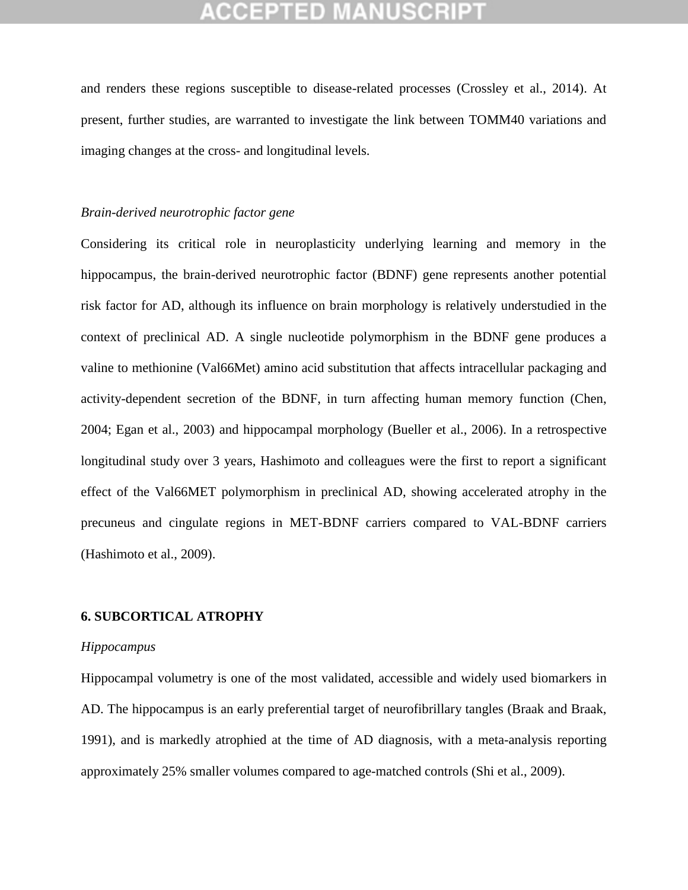and renders these regions susceptible to disease-related processes (Crossley et al., 2014). At present, further studies, are warranted to investigate the link between TOMM40 variations and imaging changes at the cross- and longitudinal levels.

### *Brain-derived neurotrophic factor gene*

Considering its critical role in neuroplasticity underlying learning and memory in the hippocampus, the brain-derived neurotrophic factor (BDNF) gene represents another potential risk factor for AD, although its influence on brain morphology is relatively understudied in the context of preclinical AD. A single nucleotide polymorphism in the BDNF gene produces a valine to methionine (Val66Met) amino acid substitution that affects intracellular packaging and activity-dependent secretion of the BDNF, in turn affecting human memory function (Chen, 2004; Egan et al., 2003) and hippocampal morphology (Bueller et al., 2006). In a retrospective longitudinal study over 3 years, Hashimoto and colleagues were the first to report a significant effect of the Val66MET polymorphism in preclinical AD, showing accelerated atrophy in the precuneus and cingulate regions in MET-BDNF carriers compared to VAL-BDNF carriers (Hashimoto et al., 2009).

#### **6. SUBCORTICAL ATROPHY**

#### *Hippocampus*

Hippocampal volumetry is one of the most validated, accessible and widely used biomarkers in AD. The hippocampus is an early preferential target of neurofibrillary tangles (Braak and Braak, 1991), and is markedly atrophied at the time of AD diagnosis, with a meta-analysis reporting approximately 25% smaller volumes compared to age-matched controls (Shi et al., 2009).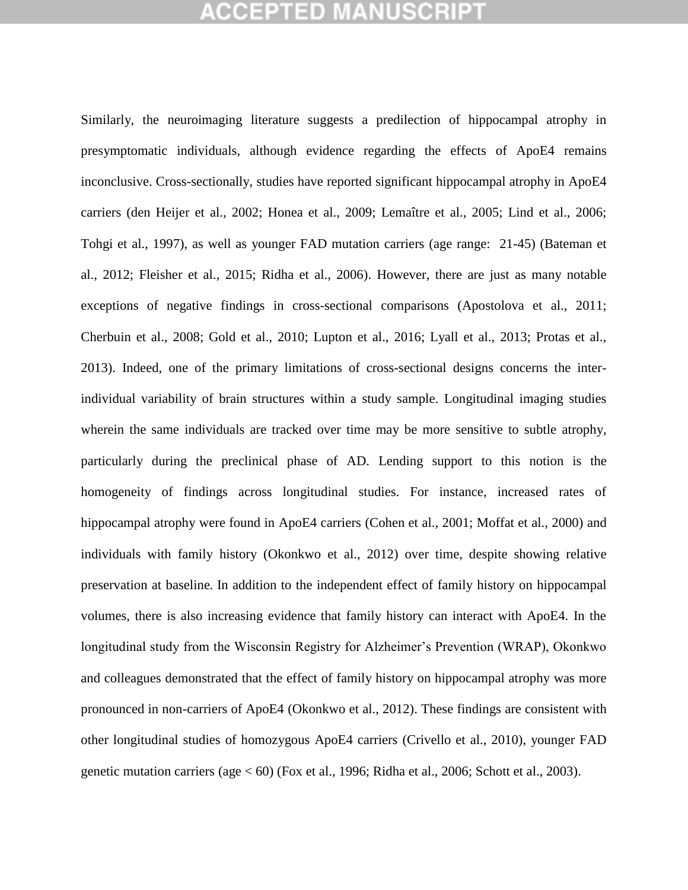## **CEPTED MA**

Similarly, the neuroimaging literature suggests a predilection of hippocampal atrophy in presymptomatic individuals, although evidence regarding the effects of ApoE4 remains inconclusive. Cross-sectionally, studies have reported significant hippocampal atrophy in ApoE4 carriers (den Heijer et al., 2002; Honea et al., 2009; Lemaître et al., 2005; Lind et al., 2006; Tohgi et al., 1997), as well as younger FAD mutation carriers (age range: 21-45) (Bateman et al., 2012; Fleisher et al., 2015; Ridha et al., 2006). However, there are just as many notable exceptions of negative findings in cross-sectional comparisons (Apostolova et al., 2011; Cherbuin et al., 2008; Gold et al., 2010; Lupton et al., 2016; Lyall et al., 2013; Protas et al., 2013). Indeed, one of the primary limitations of cross-sectional designs concerns the interindividual variability of brain structures within a study sample. Longitudinal imaging studies wherein the same individuals are tracked over time may be more sensitive to subtle atrophy, particularly during the preclinical phase of AD. Lending support to this notion is the homogeneity of findings across longitudinal studies. For instance, increased rates of hippocampal atrophy were found in ApoE4 carriers (Cohen et al., 2001; Moffat et al., 2000) and individuals with family history (Okonkwo et al., 2012) over time, despite showing relative preservation at baseline*.* In addition to the independent effect of family history on hippocampal volumes, there is also increasing evidence that family history can interact with ApoE4. In the longitudinal study from the Wisconsin Registry for Alzheimer's Prevention (WRAP), Okonkwo and colleagues demonstrated that the effect of family history on hippocampal atrophy was more pronounced in non-carriers of ApoE4 (Okonkwo et al., 2012). These findings are consistent with other longitudinal studies of homozygous ApoE4 carriers (Crivello et al., 2010), younger FAD genetic mutation carriers (age < 60) (Fox et al., 1996; Ridha et al., 2006; Schott et al., 2003).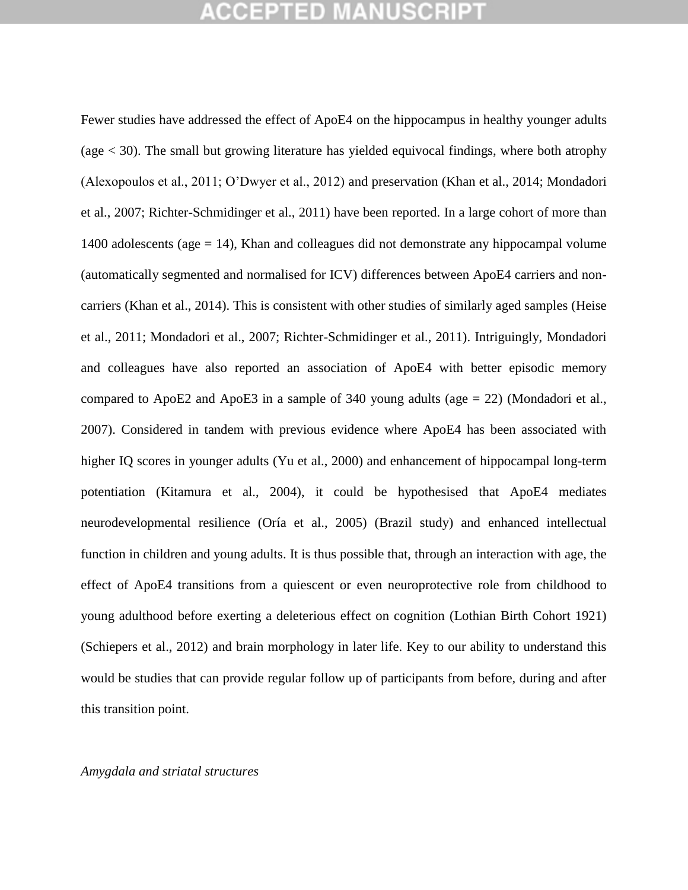Fewer studies have addressed the effect of ApoE4 on the hippocampus in healthy younger adults (age < 30). The small but growing literature has yielded equivocal findings, where both atrophy (Alexopoulos et al., 2011; O"Dwyer et al., 2012) and preservation (Khan et al., 2014; Mondadori et al., 2007; Richter-Schmidinger et al., 2011) have been reported. In a large cohort of more than 1400 adolescents (age = 14), Khan and colleagues did not demonstrate any hippocampal volume (automatically segmented and normalised for ICV) differences between ApoE4 carriers and noncarriers (Khan et al., 2014). This is consistent with other studies of similarly aged samples (Heise et al., 2011; Mondadori et al., 2007; Richter-Schmidinger et al., 2011). Intriguingly, Mondadori and colleagues have also reported an association of ApoE4 with better episodic memory compared to ApoE2 and ApoE3 in a sample of 340 young adults (age = 22) (Mondadori et al., 2007). Considered in tandem with previous evidence where ApoE4 has been associated with higher IQ scores in younger adults (Yu et al., 2000) and enhancement of hippocampal long-term potentiation (Kitamura et al., 2004), it could be hypothesised that ApoE4 mediates neurodevelopmental resilience (Oría et al., 2005) (Brazil study) and enhanced intellectual function in children and young adults. It is thus possible that, through an interaction with age, the effect of ApoE4 transitions from a quiescent or even neuroprotective role from childhood to young adulthood before exerting a deleterious effect on cognition (Lothian Birth Cohort 1921) (Schiepers et al., 2012) and brain morphology in later life. Key to our ability to understand this would be studies that can provide regular follow up of participants from before, during and after this transition point.

#### *Amygdala and striatal structures*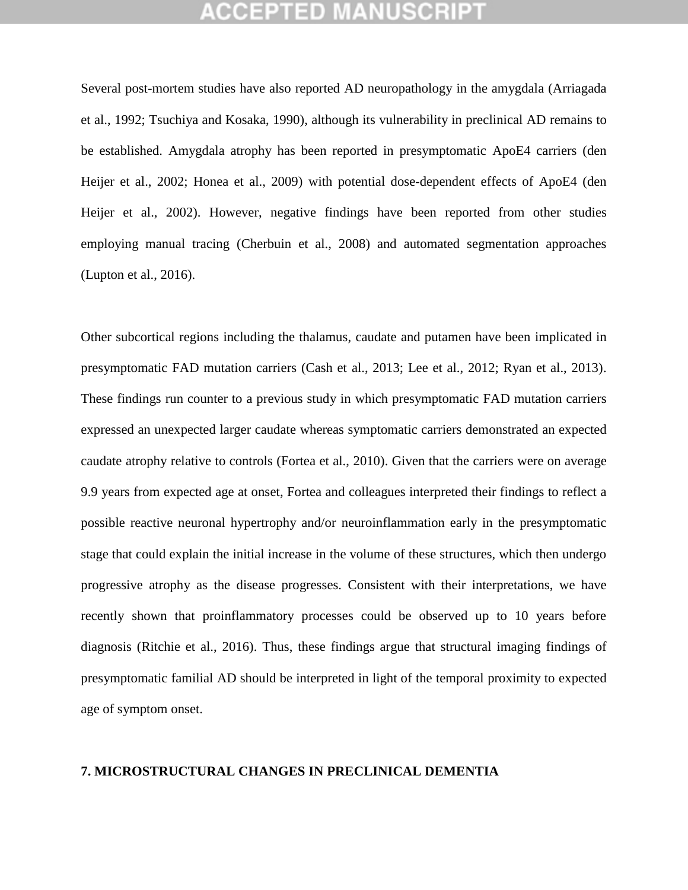Several post-mortem studies have also reported AD neuropathology in the amygdala (Arriagada et al., 1992; Tsuchiya and Kosaka, 1990), although its vulnerability in preclinical AD remains to be established. Amygdala atrophy has been reported in presymptomatic ApoE4 carriers (den Heijer et al., 2002; Honea et al., 2009) with potential dose-dependent effects of ApoE4 (den Heijer et al., 2002). However, negative findings have been reported from other studies employing manual tracing (Cherbuin et al., 2008) and automated segmentation approaches (Lupton et al., 2016).

Other subcortical regions including the thalamus, caudate and putamen have been implicated in presymptomatic FAD mutation carriers (Cash et al., 2013; Lee et al., 2012; Ryan et al., 2013). These findings run counter to a previous study in which presymptomatic FAD mutation carriers expressed an unexpected larger caudate whereas symptomatic carriers demonstrated an expected caudate atrophy relative to controls (Fortea et al., 2010). Given that the carriers were on average 9.9 years from expected age at onset, Fortea and colleagues interpreted their findings to reflect a possible reactive neuronal hypertrophy and/or neuroinflammation early in the presymptomatic stage that could explain the initial increase in the volume of these structures, which then undergo progressive atrophy as the disease progresses. Consistent with their interpretations, we have recently shown that proinflammatory processes could be observed up to 10 years before diagnosis (Ritchie et al., 2016). Thus, these findings argue that structural imaging findings of presymptomatic familial AD should be interpreted in light of the temporal proximity to expected age of symptom onset.

#### **7. MICROSTRUCTURAL CHANGES IN PRECLINICAL DEMENTIA**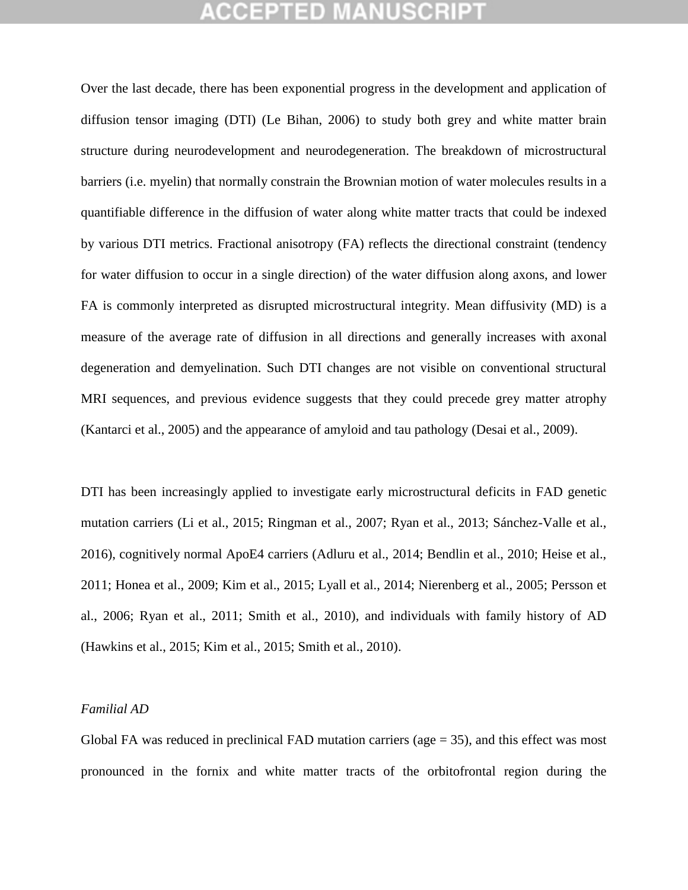Over the last decade, there has been exponential progress in the development and application of diffusion tensor imaging (DTI) (Le Bihan, 2006) to study both grey and white matter brain structure during neurodevelopment and neurodegeneration. The breakdown of microstructural barriers (i.e. myelin) that normally constrain the Brownian motion of water molecules results in a quantifiable difference in the diffusion of water along white matter tracts that could be indexed by various DTI metrics. Fractional anisotropy (FA) reflects the directional constraint (tendency for water diffusion to occur in a single direction) of the water diffusion along axons, and lower FA is commonly interpreted as disrupted microstructural integrity. Mean diffusivity (MD) is a measure of the average rate of diffusion in all directions and generally increases with axonal degeneration and demyelination. Such DTI changes are not visible on conventional structural MRI sequences, and previous evidence suggests that they could precede grey matter atrophy (Kantarci et al., 2005) and the appearance of amyloid and tau pathology (Desai et al., 2009).

DTI has been increasingly applied to investigate early microstructural deficits in FAD genetic mutation carriers (Li et al., 2015; Ringman et al., 2007; Ryan et al., 2013; Sánchez-Valle et al., 2016), cognitively normal ApoE4 carriers (Adluru et al., 2014; Bendlin et al., 2010; Heise et al., 2011; Honea et al., 2009; Kim et al., 2015; Lyall et al., 2014; Nierenberg et al., 2005; Persson et al., 2006; Ryan et al., 2011; Smith et al., 2010), and individuals with family history of AD (Hawkins et al., 2015; Kim et al., 2015; Smith et al., 2010).

#### *Familial AD*

Global FA was reduced in preclinical FAD mutation carriers ( $age = 35$ ), and this effect was most pronounced in the fornix and white matter tracts of the orbitofrontal region during the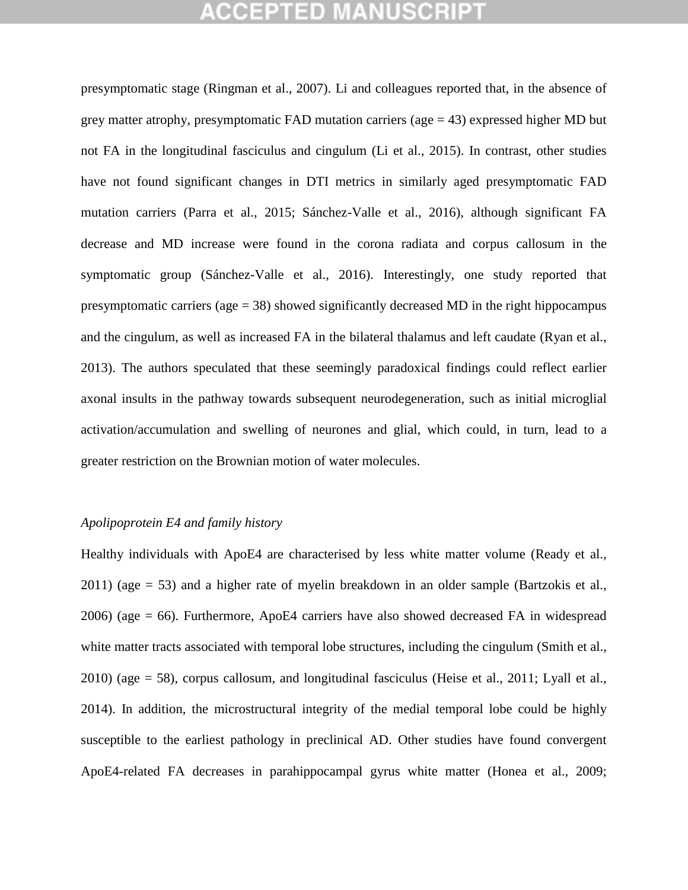## GEPTED

presymptomatic stage (Ringman et al., 2007). Li and colleagues reported that, in the absence of grey matter atrophy, presymptomatic FAD mutation carriers ( $age = 43$ ) expressed higher MD but not FA in the longitudinal fasciculus and cingulum (Li et al., 2015). In contrast, other studies have not found significant changes in DTI metrics in similarly aged presymptomatic FAD mutation carriers (Parra et al., 2015; Sánchez-Valle et al., 2016), although significant FA decrease and MD increase were found in the corona radiata and corpus callosum in the symptomatic group (Sánchez-Valle et al., 2016). Interestingly, one study reported that presymptomatic carriers ( $age = 38$ ) showed significantly decreased MD in the right hippocampus and the cingulum, as well as increased FA in the bilateral thalamus and left caudate (Ryan et al., 2013). The authors speculated that these seemingly paradoxical findings could reflect earlier axonal insults in the pathway towards subsequent neurodegeneration, such as initial microglial activation/accumulation and swelling of neurones and glial, which could, in turn, lead to a greater restriction on the Brownian motion of water molecules.

#### *Apolipoprotein E4 and family history*

Healthy individuals with ApoE4 are characterised by less white matter volume (Ready et al., 2011) (age = 53) and a higher rate of myelin breakdown in an older sample (Bartzokis et al., 2006) (age = 66). Furthermore, ApoE4 carriers have also showed decreased FA in widespread white matter tracts associated with temporal lobe structures, including the cingulum (Smith et al., 2010) (age = 58), corpus callosum, and longitudinal fasciculus (Heise et al., 2011; Lyall et al., 2014). In addition, the microstructural integrity of the medial temporal lobe could be highly susceptible to the earliest pathology in preclinical AD. Other studies have found convergent ApoE4-related FA decreases in parahippocampal gyrus white matter (Honea et al., 2009;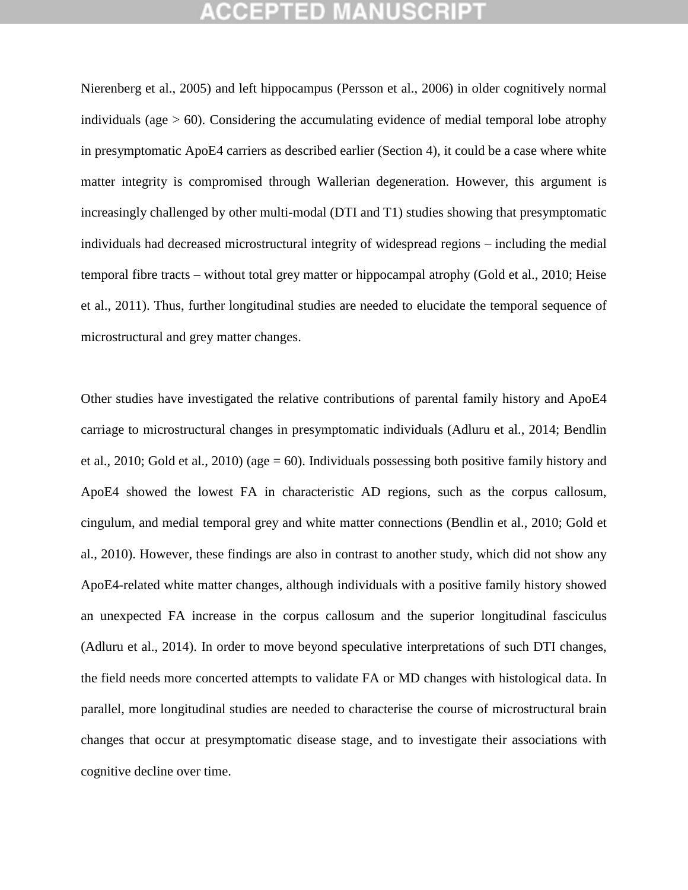## GEPTED

Nierenberg et al., 2005) and left hippocampus (Persson et al., 2006) in older cognitively normal individuals (age  $> 60$ ). Considering the accumulating evidence of medial temporal lobe atrophy in presymptomatic ApoE4 carriers as described earlier (Section 4), it could be a case where white matter integrity is compromised through Wallerian degeneration. However, this argument is increasingly challenged by other multi-modal (DTI and T1) studies showing that presymptomatic individuals had decreased microstructural integrity of widespread regions – including the medial temporal fibre tracts – without total grey matter or hippocampal atrophy (Gold et al., 2010; Heise et al., 2011). Thus, further longitudinal studies are needed to elucidate the temporal sequence of microstructural and grey matter changes.

Other studies have investigated the relative contributions of parental family history and ApoE4 carriage to microstructural changes in presymptomatic individuals (Adluru et al., 2014; Bendlin et al., 2010; Gold et al., 2010) (age  $= 60$ ). Individuals possessing both positive family history and ApoE4 showed the lowest FA in characteristic AD regions, such as the corpus callosum, cingulum, and medial temporal grey and white matter connections (Bendlin et al., 2010; Gold et al., 2010). However, these findings are also in contrast to another study, which did not show any ApoE4-related white matter changes, although individuals with a positive family history showed an unexpected FA increase in the corpus callosum and the superior longitudinal fasciculus (Adluru et al., 2014). In order to move beyond speculative interpretations of such DTI changes, the field needs more concerted attempts to validate FA or MD changes with histological data. In parallel, more longitudinal studies are needed to characterise the course of microstructural brain changes that occur at presymptomatic disease stage, and to investigate their associations with cognitive decline over time.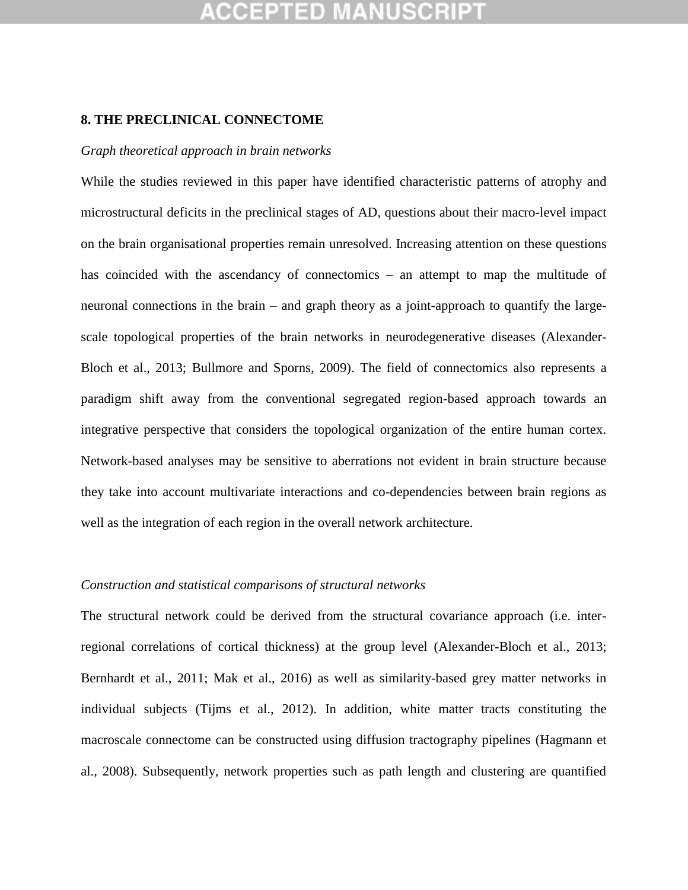### **8. THE PRECLINICAL CONNECTOME**

#### *Graph theoretical approach in brain networks*

While the studies reviewed in this paper have identified characteristic patterns of atrophy and microstructural deficits in the preclinical stages of AD, questions about their macro-level impact on the brain organisational properties remain unresolved. Increasing attention on these questions has coincided with the ascendancy of connectomics – an attempt to map the multitude of neuronal connections in the brain – and graph theory as a joint-approach to quantify the largescale topological properties of the brain networks in neurodegenerative diseases (Alexander-Bloch et al., 2013; Bullmore and Sporns, 2009). The field of connectomics also represents a paradigm shift away from the conventional segregated region-based approach towards an integrative perspective that considers the topological organization of the entire human cortex. Network-based analyses may be sensitive to aberrations not evident in brain structure because they take into account multivariate interactions and co-dependencies between brain regions as well as the integration of each region in the overall network architecture.

#### *Construction and statistical comparisons of structural networks*

The structural network could be derived from the structural covariance approach (i.e. interregional correlations of cortical thickness) at the group level (Alexander-Bloch et al., 2013; Bernhardt et al., 2011; Mak et al., 2016) as well as similarity-based grey matter networks in individual subjects (Tijms et al., 2012). In addition, white matter tracts constituting the macroscale connectome can be constructed using diffusion tractography pipelines (Hagmann et al., 2008). Subsequently, network properties such as path length and clustering are quantified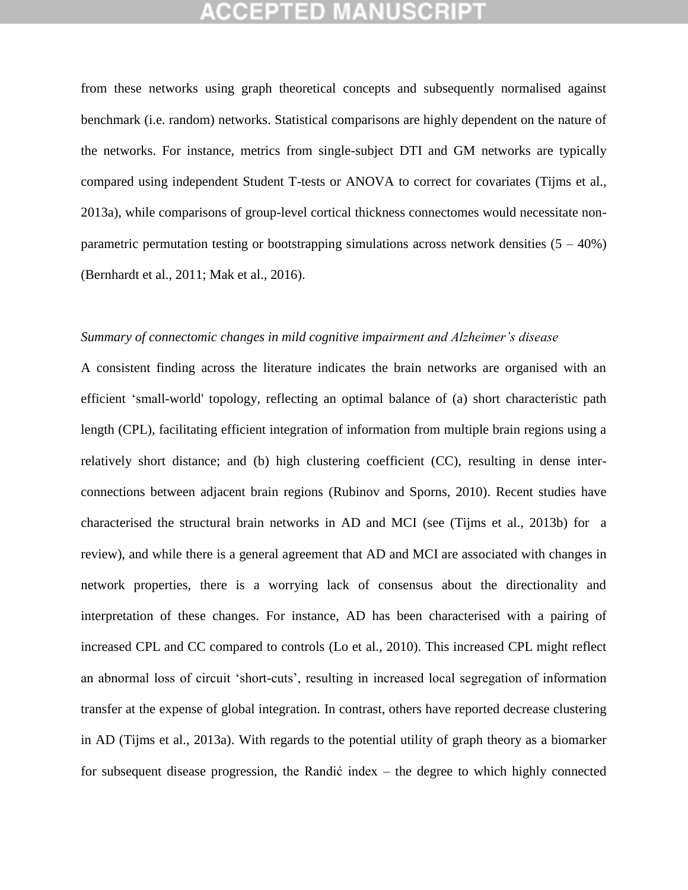from these networks using graph theoretical concepts and subsequently normalised against benchmark (i.e. random) networks. Statistical comparisons are highly dependent on the nature of the networks. For instance, metrics from single-subject DTI and GM networks are typically compared using independent Student T-tests or ANOVA to correct for covariates (Tijms et al., 2013a), while comparisons of group-level cortical thickness connectomes would necessitate nonparametric permutation testing or bootstrapping simulations across network densities  $(5 - 40\%)$ (Bernhardt et al., 2011; Mak et al., 2016).

#### *Summary of connectomic changes in mild cognitive impairment and Alzheimer's disease*

A consistent finding across the literature indicates the brain networks are organised with an efficient "small-world' topology, reflecting an optimal balance of (a) short characteristic path length (CPL), facilitating efficient integration of information from multiple brain regions using a relatively short distance; and (b) high clustering coefficient (CC), resulting in dense interconnections between adjacent brain regions (Rubinov and Sporns, 2010). Recent studies have characterised the structural brain networks in AD and MCI (see (Tijms et al., 2013b) for a review), and while there is a general agreement that AD and MCI are associated with changes in network properties, there is a worrying lack of consensus about the directionality and interpretation of these changes. For instance, AD has been characterised with a pairing of increased CPL and CC compared to controls (Lo et al., 2010). This increased CPL might reflect an abnormal loss of circuit "short-cuts", resulting in increased local segregation of information transfer at the expense of global integration. In contrast, others have reported decrease clustering in AD (Tijms et al., 2013a). With regards to the potential utility of graph theory as a biomarker for subsequent disease progression, the Randić index – the degree to which highly connected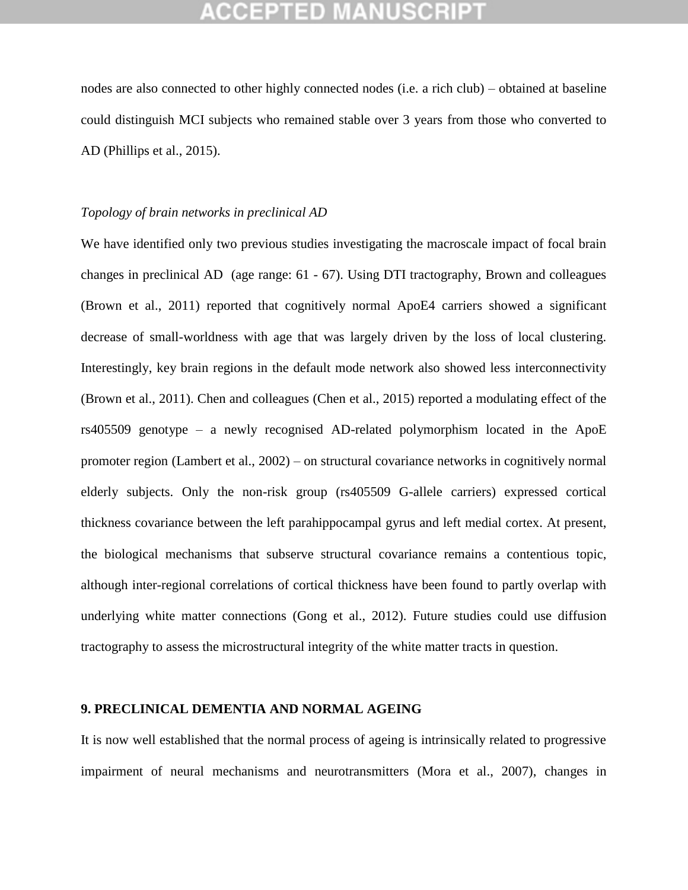nodes are also connected to other highly connected nodes (i.e. a rich club) – obtained at baseline could distinguish MCI subjects who remained stable over 3 years from those who converted to AD (Phillips et al., 2015).

#### *Topology of brain networks in preclinical AD*

We have identified only two previous studies investigating the macroscale impact of focal brain changes in preclinical AD (age range: 61 - 67). Using DTI tractography, Brown and colleagues (Brown et al., 2011) reported that cognitively normal ApoE4 carriers showed a significant decrease of small-worldness with age that was largely driven by the loss of local clustering. Interestingly, key brain regions in the default mode network also showed less interconnectivity (Brown et al., 2011). Chen and colleagues (Chen et al., 2015) reported a modulating effect of the rs405509 genotype – a newly recognised AD-related polymorphism located in the ApoE promoter region (Lambert et al., 2002) – on structural covariance networks in cognitively normal elderly subjects. Only the non-risk group (rs405509 G-allele carriers) expressed cortical thickness covariance between the left parahippocampal gyrus and left medial cortex. At present, the biological mechanisms that subserve structural covariance remains a contentious topic, although inter-regional correlations of cortical thickness have been found to partly overlap with underlying white matter connections (Gong et al., 2012). Future studies could use diffusion tractography to assess the microstructural integrity of the white matter tracts in question.

#### **9. PRECLINICAL DEMENTIA AND NORMAL AGEING**

It is now well established that the normal process of ageing is intrinsically related to progressive impairment of neural mechanisms and neurotransmitters (Mora et al., 2007), changes in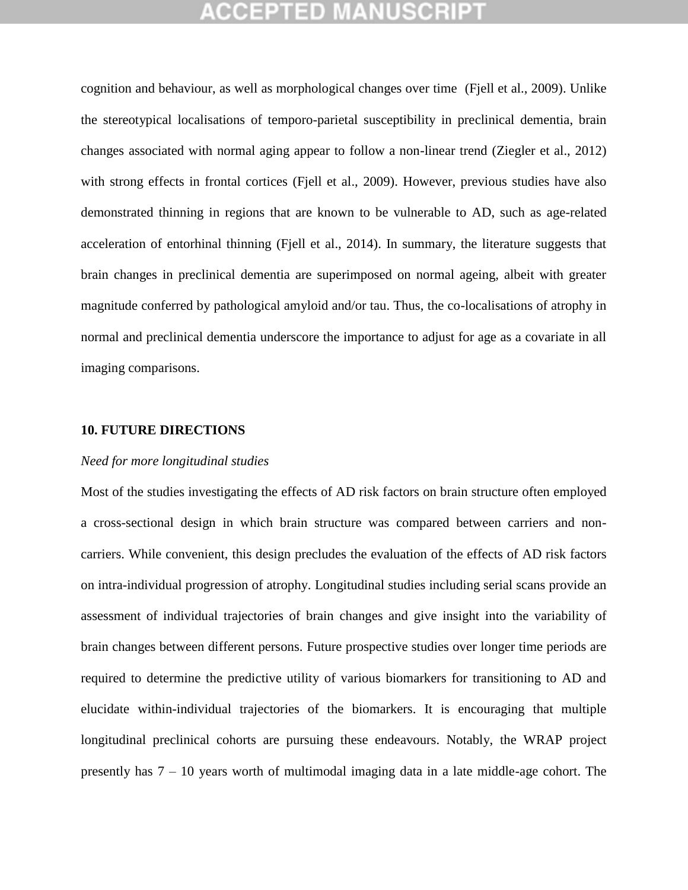cognition and behaviour, as well as morphological changes over time (Fjell et al., 2009). Unlike the stereotypical localisations of temporo-parietal susceptibility in preclinical dementia, brain changes associated with normal aging appear to follow a non-linear trend (Ziegler et al., 2012) with strong effects in frontal cortices (Fjell et al., 2009). However, previous studies have also demonstrated thinning in regions that are known to be vulnerable to AD, such as age-related acceleration of entorhinal thinning (Fjell et al., 2014). In summary, the literature suggests that brain changes in preclinical dementia are superimposed on normal ageing, albeit with greater magnitude conferred by pathological amyloid and/or tau. Thus, the co-localisations of atrophy in normal and preclinical dementia underscore the importance to adjust for age as a covariate in all imaging comparisons.

#### **10. FUTURE DIRECTIONS**

#### *Need for more longitudinal studies*

Most of the studies investigating the effects of AD risk factors on brain structure often employed a cross-sectional design in which brain structure was compared between carriers and noncarriers. While convenient, this design precludes the evaluation of the effects of AD risk factors on intra-individual progression of atrophy. Longitudinal studies including serial scans provide an assessment of individual trajectories of brain changes and give insight into the variability of brain changes between different persons. Future prospective studies over longer time periods are required to determine the predictive utility of various biomarkers for transitioning to AD and elucidate within-individual trajectories of the biomarkers. It is encouraging that multiple longitudinal preclinical cohorts are pursuing these endeavours. Notably, the WRAP project presently has 7 – 10 years worth of multimodal imaging data in a late middle-age cohort. The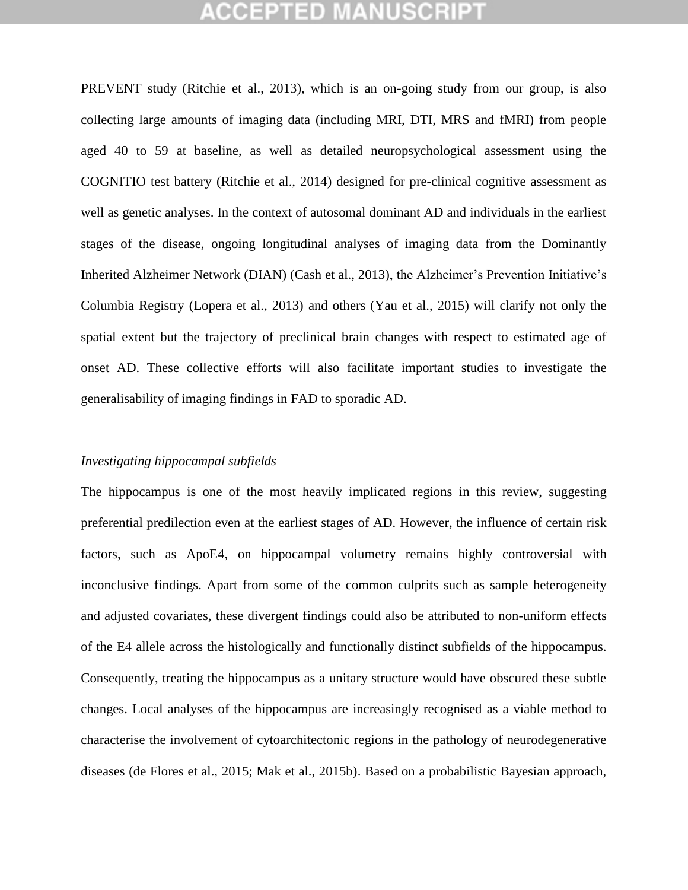PREVENT study (Ritchie et al., 2013), which is an on-going study from our group, is also collecting large amounts of imaging data (including MRI, DTI, MRS and fMRI) from people aged 40 to 59 at baseline, as well as detailed neuropsychological assessment using the COGNITIO test battery (Ritchie et al., 2014) designed for pre-clinical cognitive assessment as well as genetic analyses. In the context of autosomal dominant AD and individuals in the earliest stages of the disease, ongoing longitudinal analyses of imaging data from the Dominantly Inherited Alzheimer Network (DIAN) (Cash et al., 2013), the Alzheimer's Prevention Initiative's Columbia Registry (Lopera et al., 2013) and others (Yau et al., 2015) will clarify not only the spatial extent but the trajectory of preclinical brain changes with respect to estimated age of onset AD. These collective efforts will also facilitate important studies to investigate the generalisability of imaging findings in FAD to sporadic AD.

#### *Investigating hippocampal subfields*

The hippocampus is one of the most heavily implicated regions in this review, suggesting preferential predilection even at the earliest stages of AD. However, the influence of certain risk factors, such as ApoE4, on hippocampal volumetry remains highly controversial with inconclusive findings. Apart from some of the common culprits such as sample heterogeneity and adjusted covariates, these divergent findings could also be attributed to non-uniform effects of the E4 allele across the histologically and functionally distinct subfields of the hippocampus. Consequently, treating the hippocampus as a unitary structure would have obscured these subtle changes. Local analyses of the hippocampus are increasingly recognised as a viable method to characterise the involvement of cytoarchitectonic regions in the pathology of neurodegenerative diseases (de Flores et al., 2015; Mak et al., 2015b). Based on a probabilistic Bayesian approach,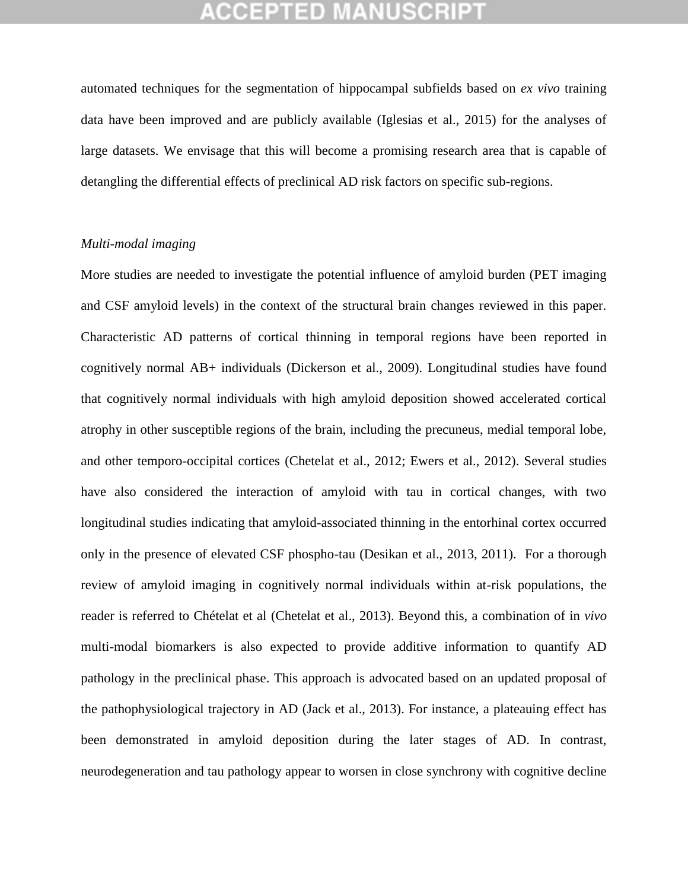## GEPTED

automated techniques for the segmentation of hippocampal subfields based on *ex vivo* training data have been improved and are publicly available (Iglesias et al., 2015) for the analyses of large datasets. We envisage that this will become a promising research area that is capable of detangling the differential effects of preclinical AD risk factors on specific sub-regions.

### *Multi-modal imaging*

More studies are needed to investigate the potential influence of amyloid burden (PET imaging and CSF amyloid levels) in the context of the structural brain changes reviewed in this paper. Characteristic AD patterns of cortical thinning in temporal regions have been reported in cognitively normal AB+ individuals (Dickerson et al., 2009). Longitudinal studies have found that cognitively normal individuals with high amyloid deposition showed accelerated cortical atrophy in other susceptible regions of the brain, including the precuneus, medial temporal lobe, and other temporo-occipital cortices (Chetelat et al., 2012; Ewers et al., 2012). Several studies have also considered the interaction of amyloid with tau in cortical changes, with two longitudinal studies indicating that amyloid-associated thinning in the entorhinal cortex occurred only in the presence of elevated CSF phospho-tau (Desikan et al., 2013, 2011). For a thorough review of amyloid imaging in cognitively normal individuals within at-risk populations, the reader is referred to Chételat et al (Chetelat et al., 2013). Beyond this, a combination of in *vivo* multi-modal biomarkers is also expected to provide additive information to quantify AD pathology in the preclinical phase. This approach is advocated based on an updated proposal of the pathophysiological trajectory in AD (Jack et al., 2013). For instance, a plateauing effect has been demonstrated in amyloid deposition during the later stages of AD. In contrast, neurodegeneration and tau pathology appear to worsen in close synchrony with cognitive decline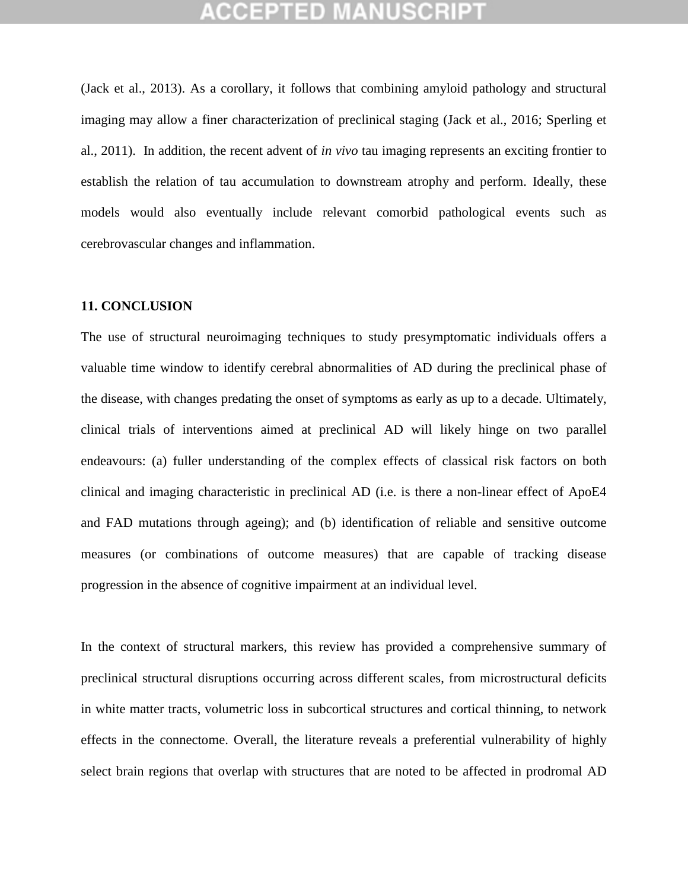(Jack et al., 2013). As a corollary, it follows that combining amyloid pathology and structural imaging may allow a finer characterization of preclinical staging (Jack et al., 2016; Sperling et al., 2011). In addition, the recent advent of *in vivo* tau imaging represents an exciting frontier to establish the relation of tau accumulation to downstream atrophy and perform. Ideally, these models would also eventually include relevant comorbid pathological events such as cerebrovascular changes and inflammation.

#### **11. CONCLUSION**

The use of structural neuroimaging techniques to study presymptomatic individuals offers a valuable time window to identify cerebral abnormalities of AD during the preclinical phase of the disease, with changes predating the onset of symptoms as early as up to a decade. Ultimately, clinical trials of interventions aimed at preclinical AD will likely hinge on two parallel endeavours: (a) fuller understanding of the complex effects of classical risk factors on both clinical and imaging characteristic in preclinical AD (i.e. is there a non-linear effect of ApoE4 and FAD mutations through ageing); and (b) identification of reliable and sensitive outcome measures (or combinations of outcome measures) that are capable of tracking disease progression in the absence of cognitive impairment at an individual level.

In the context of structural markers, this review has provided a comprehensive summary of preclinical structural disruptions occurring across different scales, from microstructural deficits in white matter tracts, volumetric loss in subcortical structures and cortical thinning, to network effects in the connectome. Overall, the literature reveals a preferential vulnerability of highly select brain regions that overlap with structures that are noted to be affected in prodromal AD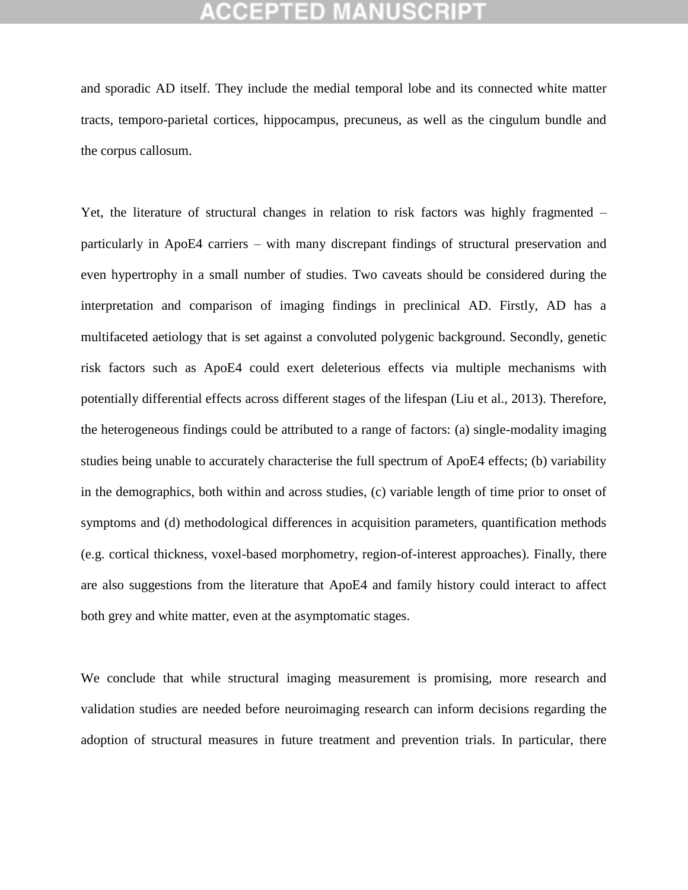and sporadic AD itself. They include the medial temporal lobe and its connected white matter tracts, temporo-parietal cortices, hippocampus, precuneus, as well as the cingulum bundle and the corpus callosum.

Yet, the literature of structural changes in relation to risk factors was highly fragmented – particularly in ApoE4 carriers – with many discrepant findings of structural preservation and even hypertrophy in a small number of studies. Two caveats should be considered during the interpretation and comparison of imaging findings in preclinical AD. Firstly, AD has a multifaceted aetiology that is set against a convoluted polygenic background. Secondly, genetic risk factors such as ApoE4 could exert deleterious effects via multiple mechanisms with potentially differential effects across different stages of the lifespan (Liu et al., 2013). Therefore, the heterogeneous findings could be attributed to a range of factors: (a) single-modality imaging studies being unable to accurately characterise the full spectrum of ApoE4 effects; (b) variability in the demographics, both within and across studies, (c) variable length of time prior to onset of symptoms and (d) methodological differences in acquisition parameters, quantification methods (e.g. cortical thickness, voxel-based morphometry, region-of-interest approaches). Finally, there are also suggestions from the literature that ApoE4 and family history could interact to affect both grey and white matter, even at the asymptomatic stages.

We conclude that while structural imaging measurement is promising, more research and validation studies are needed before neuroimaging research can inform decisions regarding the adoption of structural measures in future treatment and prevention trials. In particular, there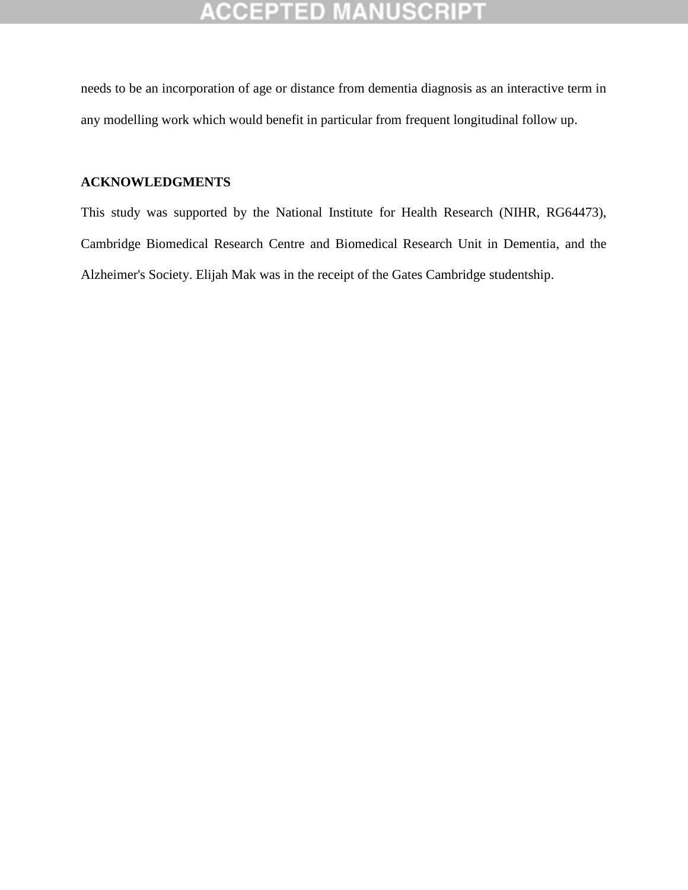needs to be an incorporation of age or distance from dementia diagnosis as an interactive term in any modelling work which would benefit in particular from frequent longitudinal follow up.

### **ACKNOWLEDGMENTS**

This study was supported by the National Institute for Health Research (NIHR, RG64473), Cambridge Biomedical Research Centre and Biomedical Research Unit in Dementia, and the Alzheimer's Society. Elijah Mak was in the receipt of the Gates Cambridge studentship.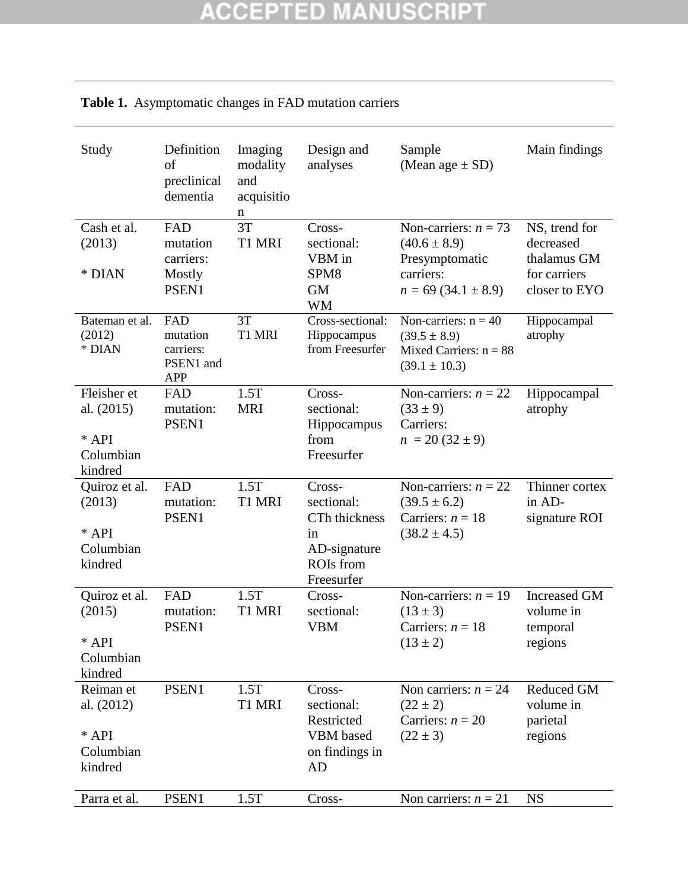| Study                                                          | Definition<br>of<br>preclinical<br>dementia             | Imaging<br>modality<br>and<br>acquisitio<br>n | Design and<br>analyses                                                                        | Sample<br>(Mean age $\pm$ SD)                                                                       | Main findings                                                              |
|----------------------------------------------------------------|---------------------------------------------------------|-----------------------------------------------|-----------------------------------------------------------------------------------------------|-----------------------------------------------------------------------------------------------------|----------------------------------------------------------------------------|
| Cash et al.<br>(2013)<br>* DIAN                                | FAD<br>mutation<br>carriers:<br>Mostly<br>PSEN1         | 3T<br>T1 MRI                                  | Cross-<br>sectional:<br>VBM in<br>SPM8<br><b>GM</b><br><b>WM</b>                              | Non-carriers: $n = 73$<br>$(40.6 \pm 8.9)$<br>Presymptomatic<br>carriers:<br>$n = 69(34.1 \pm 8.9)$ | NS, trend for<br>decreased<br>thalamus GM<br>for carriers<br>closer to EYO |
| Bateman et al.<br>(2012)<br>* DIAN                             | FAD<br>mutation<br>carriers:<br>PSEN1 and<br><b>APP</b> | 3T<br>T1 MRI                                  | Cross-sectional:<br>Hippocampus<br>from Freesurfer                                            | Non-carriers: $n = 40$<br>$(39.5 \pm 8.9)$<br>Mixed Carriers: $n = 88$<br>$(39.1 \pm 10.3)$         | Hippocampal<br>atrophy                                                     |
| Fleisher et<br>al. $(2015)$<br>$*$ API<br>Columbian<br>kindred | FAD<br>mutation:<br>PSEN1                               | 1.5T<br><b>MRI</b>                            | Cross-<br>sectional:<br>Hippocampus<br>from<br>Freesurfer                                     | Non-carriers: $n = 22$<br>$(33 \pm 9)$<br>Carriers:<br>$n = 20 (32 \pm 9)$                          | Hippocampal<br>atrophy                                                     |
| Quiroz et al.<br>(2013)<br>* API<br>Columbian<br>kindred       | FAD<br>mutation:<br>PSEN1                               | 1.5T<br>T1 MRI                                | Cross-<br>sectional:<br>CTh thickness<br>in<br>AD-signature<br><b>ROIs</b> from<br>Freesurfer | Non-carriers: $n = 22$<br>$(39.5 \pm 6.2)$<br>Carriers: $n = 18$<br>$(38.2 \pm 4.5)$                | Thinner cortex<br>in AD-<br>signature ROI                                  |
| Quiroz et al.<br>(2015)<br>* API<br>Columbian<br>kindred       | FAD<br>mutation:<br>PSEN1                               | 1.5T<br>T1 MRI                                | Cross-<br>sectional:<br><b>VBM</b>                                                            | Non-carriers: $n = 19$<br>$(13 \pm 3)$<br>Carriers: $n = 18$<br>$(13 \pm 2)$                        | <b>Increased GM</b><br>volume in<br>temporal<br>regions                    |
| Reiman et<br>al. (2012)<br>* API<br>Columbian<br>kindred       | PSEN1                                                   | 1.5T<br>T1 MRI                                | Cross-<br>sectional:<br>Restricted<br>VBM based<br>on findings in<br><b>AD</b>                | Non carriers: $n = 24$<br>$(22 \pm 2)$<br>Carriers: $n = 20$<br>$(22 \pm 3)$                        | <b>Reduced GM</b><br>volume in<br>parietal<br>regions                      |
| Parra et al.                                                   | PSEN1                                                   | 1.5T                                          | Cross-                                                                                        | Non carriers: $n = 21$                                                                              | <b>NS</b>                                                                  |

## **Table 1.** Asymptomatic changes in FAD mutation carriers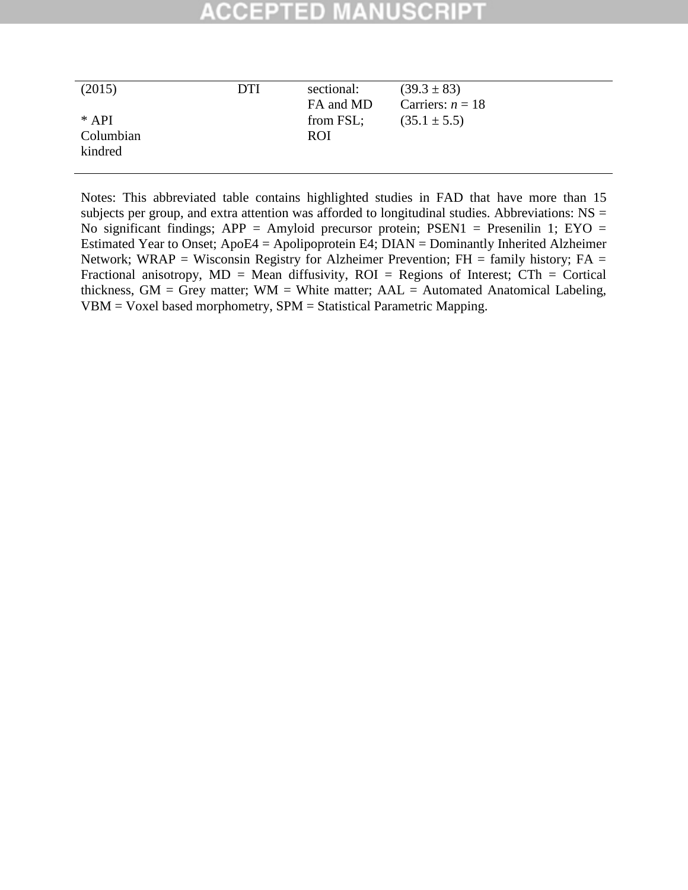#### SCRII CCEPTED

| (2015)<br>$*$ API<br>Columbian | <b>DTI</b> | sectional:<br>FA and MD<br>from FSL;<br><b>ROI</b> | $(39.3 \pm 83)$<br>Carriers: $n = 18$<br>$(35.1 \pm 5.5)$ |
|--------------------------------|------------|----------------------------------------------------|-----------------------------------------------------------|
| kindred                        |            |                                                    |                                                           |

Notes: This abbreviated table contains highlighted studies in FAD that have more than 15 subjects per group, and extra attention was afforded to longitudinal studies. Abbreviations: NS = No significant findings; APP = Amyloid precursor protein; PSEN1 = Presenilin 1; EYO = Estimated Year to Onset; ApoE4 = Apolipoprotein E4; DIAN = Dominantly Inherited Alzheimer Network; WRAP = Wisconsin Registry for Alzheimer Prevention;  $FH =$  family history;  $FA =$ Fractional anisotropy,  $MD = Mean$  diffusivity,  $ROI = Regions$  of Interest;  $CTh = Cortical$ thickness,  $GM = Grey$  matter;  $WM = White$  matter;  $AAL = Automated$  Anatomical Labeling, VBM = Voxel based morphometry, SPM = Statistical Parametric Mapping.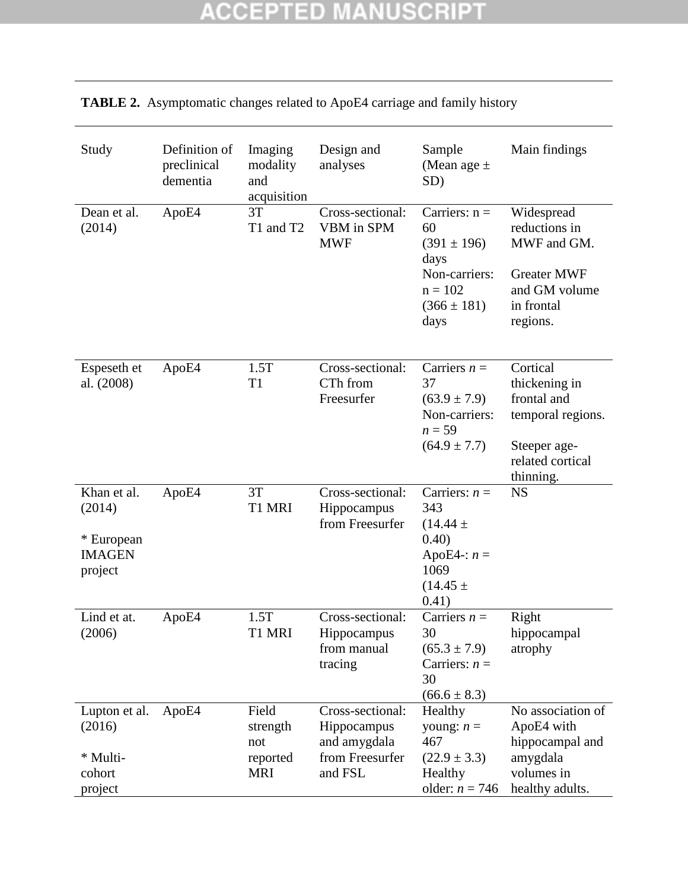| Study                                                           | Definition of<br>preclinical<br>dementia | Imaging<br>modality<br>and<br>acquisition          | Design and<br>analyses                                                        | Sample<br>(Mean age $\pm$<br>SD)                                                                          | Main findings                                                                                                  |
|-----------------------------------------------------------------|------------------------------------------|----------------------------------------------------|-------------------------------------------------------------------------------|-----------------------------------------------------------------------------------------------------------|----------------------------------------------------------------------------------------------------------------|
| Dean et al.<br>(2014)                                           | ApoE4                                    | 3T<br>T1 and T2                                    | Cross-sectional:<br>VBM in SPM<br><b>MWF</b>                                  | Carriers: $n =$<br>60<br>$(391 \pm 196)$<br>days<br>Non-carriers:<br>$n = 102$<br>$(366 \pm 181)$<br>days | Widespread<br>reductions in<br>MWF and GM.<br><b>Greater MWF</b><br>and GM volume<br>in frontal<br>regions.    |
| Espeseth et<br>al. (2008)                                       | ApoE4                                    | 1.5T<br>T <sub>1</sub>                             | Cross-sectional:<br>CTh from<br>Freesurfer                                    | Carriers $n =$<br>37<br>$(63.9 \pm 7.9)$<br>Non-carriers:<br>$n = 59$<br>$(64.9 \pm 7.7)$                 | Cortical<br>thickening in<br>frontal and<br>temporal regions.<br>Steeper age-<br>related cortical<br>thinning. |
| Khan et al.<br>(2014)<br>* European<br><b>IMAGEN</b><br>project | ApoE4                                    | 3T<br>T1 MRI                                       | Cross-sectional:<br>Hippocampus<br>from Freesurfer                            | Carriers: $n =$<br>343<br>$(14.44 \pm$<br>0.40)<br>ApoE4-: $n =$<br>1069<br>$(14.45 \pm$<br>0.41)         | <b>NS</b>                                                                                                      |
| Lind et at.<br>(2006)                                           | ApoE4                                    | 1.5T<br>T1 MRI                                     | Cross-sectional:<br>Hippocampus<br>from manual<br>tracing                     | Carriers $n =$<br>30<br>$(65.3 \pm 7.9)$<br>Carriers: $n =$<br>30<br>$(66.6 \pm 8.3)$                     | Right<br>hippocampal<br>atrophy                                                                                |
| Lupton et al.<br>(2016)<br>* Multi-<br>cohort<br>project        | ApoE4                                    | Field<br>strength<br>not<br>reported<br><b>MRI</b> | Cross-sectional:<br>Hippocampus<br>and amygdala<br>from Freesurfer<br>and FSL | Healthy<br>young: $n =$<br>467<br>$(22.9 \pm 3.3)$<br>Healthy<br>older: $n = 746$                         | No association of<br>ApoE4 with<br>hippocampal and<br>amygdala<br>volumes in<br>healthy adults.                |

## **TABLE 2.** Asymptomatic changes related to ApoE4 carriage and family history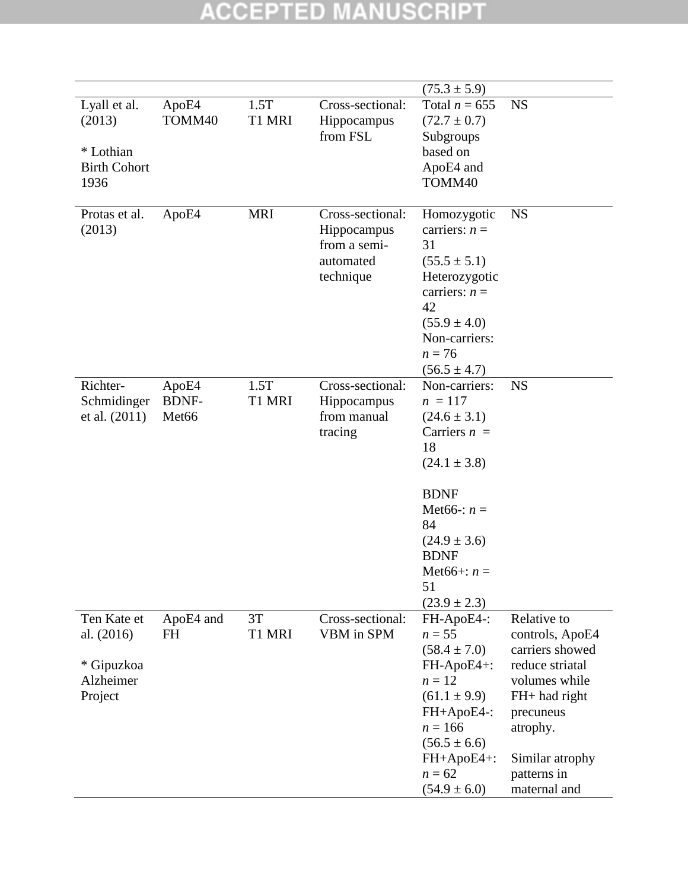|                                                                    |                                            |                |                                                                           | $(75.3 \pm 5.9)$                                                                                                                                                                                                           |                                                                                                                                                                                   |
|--------------------------------------------------------------------|--------------------------------------------|----------------|---------------------------------------------------------------------------|----------------------------------------------------------------------------------------------------------------------------------------------------------------------------------------------------------------------------|-----------------------------------------------------------------------------------------------------------------------------------------------------------------------------------|
| Lyall et al.<br>(2013)<br>* Lothian<br><b>Birth Cohort</b><br>1936 | ApoE4<br>TOMM40                            | 1.5T<br>T1 MRI | Cross-sectional:<br>Hippocampus<br>from FSL                               | Total $n = 655$<br>$(72.7 \pm 0.7)$<br>Subgroups<br>based on<br>ApoE4 and<br>TOMM40                                                                                                                                        | <b>NS</b>                                                                                                                                                                         |
| Protas et al.<br>(2013)                                            | ApoE4                                      | <b>MRI</b>     | Cross-sectional:<br>Hippocampus<br>from a semi-<br>automated<br>technique | Homozygotic<br>carriers: $n =$<br>31<br>$(55.5 \pm 5.1)$<br>Heterozygotic<br>carriers: $n =$<br>42<br>$(55.9 \pm 4.0)$<br>Non-carriers:<br>$n = 76$<br>$(56.5 \pm 4.7)$                                                    | <b>NS</b>                                                                                                                                                                         |
| Richter-<br>Schmidinger<br>et al. $(2011)$                         | ApoE4<br><b>BDNF-</b><br>Met <sub>66</sub> | 1.5T<br>T1 MRI | Cross-sectional:<br>Hippocampus<br>from manual<br>tracing                 | Non-carriers:<br>$n = 117$<br>$(24.6 \pm 3.1)$<br>Carriers $n =$<br>18<br>$(24.1 \pm 3.8)$<br><b>BDNF</b><br>Met <sub>66</sub> : $n =$<br>84<br>$(24.9 \pm 3.6)$<br><b>BDNF</b><br>Met66+: $n =$<br>51<br>$(23.9 \pm 2.3)$ | <b>NS</b>                                                                                                                                                                         |
| Ten Kate et<br>al. (2016)<br>* Gipuzkoa<br>Alzheimer<br>Project    | ApoE4 and<br><b>FH</b>                     | 3T<br>T1 MRI   | Cross-sectional:<br>VBM in SPM                                            | FH-ApoE4-:<br>$n = 55$<br>$(58.4 \pm 7.0)$<br>FH-ApoE4+:<br>$n=12$<br>$(61.1 \pm 9.9)$<br>FH+ApoE4-:<br>$n = 166$<br>$(56.5 \pm 6.6)$<br>FH+ApoE4+:<br>$n = 62$<br>$(54.9 \pm 6.0)$                                        | Relative to<br>controls, ApoE4<br>carriers showed<br>reduce striatal<br>volumes while<br>FH+ had right<br>precuneus<br>atrophy.<br>Similar atrophy<br>patterns in<br>maternal and |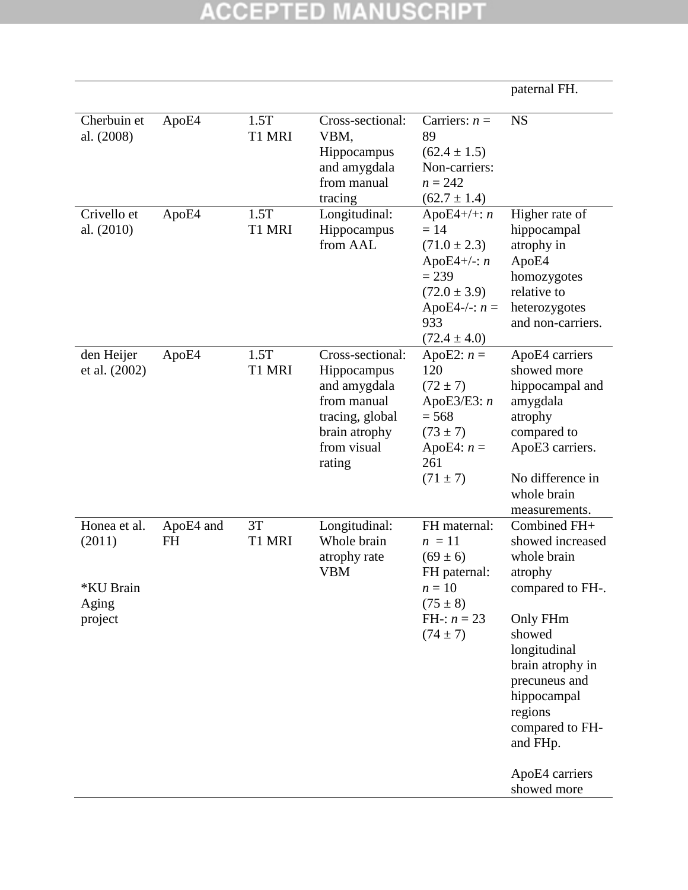|                                                         |                 |                |                                                                                                                             |                                                                                                                                           | paternal FH.                                                                                                                                                                                                                                        |
|---------------------------------------------------------|-----------------|----------------|-----------------------------------------------------------------------------------------------------------------------------|-------------------------------------------------------------------------------------------------------------------------------------------|-----------------------------------------------------------------------------------------------------------------------------------------------------------------------------------------------------------------------------------------------------|
| Cherbuin et<br>al. (2008)                               | ApoE4           | 1.5T<br>T1 MRI | Cross-sectional:<br>VBM,<br>Hippocampus<br>and amygdala<br>from manual<br>tracing                                           | Carriers: $n =$<br>89<br>$(62.4 \pm 1.5)$<br>Non-carriers:<br>$n = 242$<br>$(62.7 \pm 1.4)$                                               | <b>NS</b>                                                                                                                                                                                                                                           |
| Crivello et<br>al. (2010)                               | ApoE4           | 1.5T<br>T1 MRI | Longitudinal:<br>Hippocampus<br>from AAL                                                                                    | ApoE4+/+: $n$<br>$= 14$<br>$(71.0 \pm 2.3)$<br>ApoE4+/-: $n$<br>$= 239$<br>$(72.0 \pm 3.9)$<br>ApoE4-/-: $n =$<br>933<br>$(72.4 \pm 4.0)$ | Higher rate of<br>hippocampal<br>atrophy in<br>ApoE4<br>homozygotes<br>relative to<br>heterozygotes<br>and non-carriers.                                                                                                                            |
| den Heijer<br>et al. (2002)                             | ApoE4           | 1.5T<br>T1 MRI | Cross-sectional:<br>Hippocampus<br>and amygdala<br>from manual<br>tracing, global<br>brain atrophy<br>from visual<br>rating | ApoE2: $n =$<br>120<br>$(72 \pm 7)$<br>ApoE3/E3: $n$<br>$= 568$<br>$(73 \pm 7)$<br>ApoE4: $n =$<br>261<br>$(71 \pm 7)$                    | ApoE4 carriers<br>showed more<br>hippocampal and<br>amygdala<br>atrophy<br>compared to<br>ApoE3 carriers.<br>No difference in<br>whole brain<br>measurements.                                                                                       |
| Honea et al.<br>(2011)<br>*KU Brain<br>Aging<br>project | ApoE4 and<br>FH | 3T<br>T1 MRI   | Longitudinal:<br>Whole brain<br>atrophy rate<br><b>VBM</b>                                                                  | FH maternal:<br>$n = 11$<br>$(69 \pm 6)$<br>FH paternal:<br>$n=10$<br>$(75 \pm 8)$<br>FH-: $n = 23$<br>$(74 \pm 7)$                       | Combined FH+<br>showed increased<br>whole brain<br>atrophy<br>compared to FH-.<br>Only FHm<br>showed<br>longitudinal<br>brain atrophy in<br>precuneus and<br>hippocampal<br>regions<br>compared to FH-<br>and FHp.<br>ApoE4 carriers<br>showed more |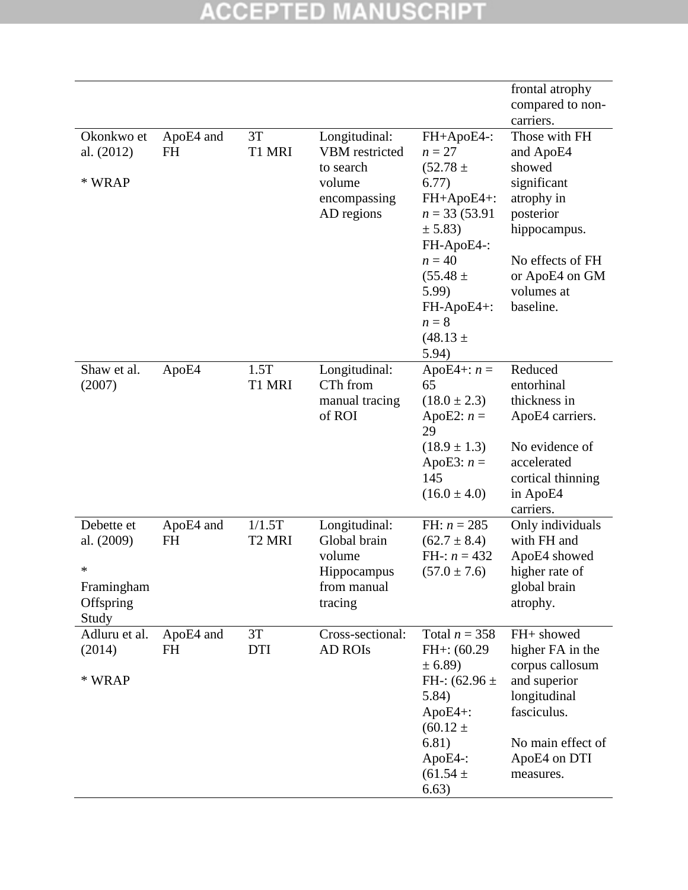|                                       |                        |                              |                                                       |                                                                                   | frontal atrophy<br>compared to non-<br>carriers.                           |
|---------------------------------------|------------------------|------------------------------|-------------------------------------------------------|-----------------------------------------------------------------------------------|----------------------------------------------------------------------------|
| Okonkwo et<br>al. (2012)              | ApoE4 and<br><b>FH</b> | 3T<br>T1 MRI                 | Longitudinal:<br>VBM restricted                       | FH+ApoE4-:<br>$n=27$                                                              | Those with FH<br>and ApoE4                                                 |
| * WRAP                                |                        |                              | to search<br>volume<br>encompassing<br>AD regions     | $(52.78 \pm$<br>6.77)<br>FH+ApoE4+:<br>$n = 33(53.91)$<br>± 5.83)<br>FH-ApoE4-:   | showed<br>significant<br>atrophy in<br>posterior<br>hippocampus.           |
|                                       |                        |                              |                                                       | $n = 40$<br>$(55.48 \pm$<br>5.99)<br>FH-ApoE4+:<br>$n=8$<br>$(48.13 \pm$<br>5.94) | No effects of FH<br>or ApoE4 on GM<br>volumes at<br>baseline.              |
| Shaw et al.<br>(2007)                 | ApoE4                  | 1.5T<br>T1 MRI               | Longitudinal:<br>CTh from<br>manual tracing<br>of ROI | ApoE4+: $n =$<br>65<br>$(18.0 \pm 2.3)$<br>ApoE2: $n =$<br>29<br>$(18.9 \pm 1.3)$ | Reduced<br>entorhinal<br>thickness in<br>ApoE4 carriers.<br>No evidence of |
|                                       |                        |                              |                                                       | ApoE3: $n =$<br>145<br>$(16.0 \pm 4.0)$                                           | accelerated<br>cortical thinning<br>in ApoE4<br>carriers.                  |
| Debette et<br>al. (2009)              | ApoE4 and<br><b>FH</b> | 1/1.5T<br>T <sub>2</sub> MRI | Longitudinal:<br>Global brain<br>volume               | FH: $n = 285$<br>$(62.7 \pm 8.4)$<br>FH-: $n = 432$                               | Only individuals<br>with FH and<br>ApoE4 showed                            |
| *<br>Framingham<br>Offspring<br>Study |                        |                              | Hippocampus<br>from manual<br>tracing                 | $(57.0 \pm 7.6)$                                                                  | higher rate of<br>global brain<br>atrophy.                                 |
| Adluru et al.<br>(2014)               | ApoE4 and<br><b>FH</b> | 3T<br><b>DTI</b>             | Cross-sectional:<br><b>AD ROIS</b>                    | Total $n = 358$<br>$FH+: (60.29)$<br>± 6.89)                                      | FH+ showed<br>higher FA in the<br>corpus callosum                          |
| * WRAP                                |                        |                              |                                                       | FH-: $(62.96 \pm$<br>5.84)<br>$ApoE4+$ :<br>$(60.12 \pm$                          | and superior<br>longitudinal<br>fasciculus.                                |
|                                       |                        |                              |                                                       | 6.81)<br>ApoE4-:<br>$(61.54 \pm$<br>6.63)                                         | No main effect of<br>ApoE4 on DTI<br>measures.                             |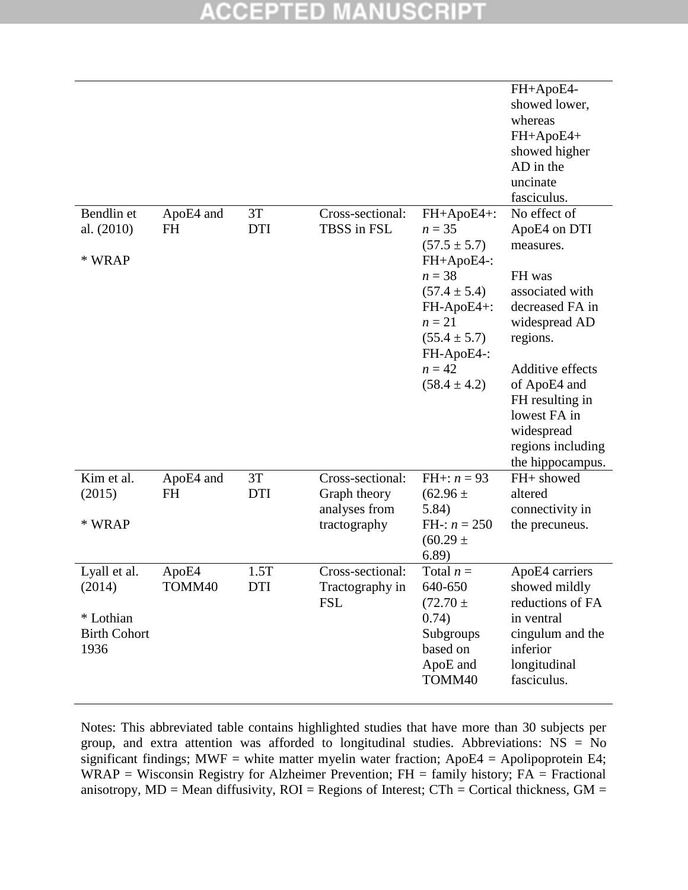#### SCRI CCEPT ED

|                                                                    |                        |                    |                                                                   |                                                                                                                                                                                    | FH+ApoE4-<br>showed lower,<br>whereas<br>FH+ApoE4+<br>showed higher<br>AD in the<br>uncinate<br>fasciculus.                                                                                                                                          |
|--------------------------------------------------------------------|------------------------|--------------------|-------------------------------------------------------------------|------------------------------------------------------------------------------------------------------------------------------------------------------------------------------------|------------------------------------------------------------------------------------------------------------------------------------------------------------------------------------------------------------------------------------------------------|
| Bendlin et<br>al. $(2010)$<br>* WRAP                               | ApoE4 and<br><b>FH</b> | 3T<br><b>DTI</b>   | Cross-sectional:<br>TBSS in FSL                                   | FH+ApoE4+:<br>$n = 35$<br>$(57.5 \pm 5.7)$<br>FH+ApoE4-:<br>$n = 38$<br>$(57.4 \pm 5.4)$<br>FH-ApoE4+:<br>$n=21$<br>$(55.4 \pm 5.7)$<br>FH-ApoE4-:<br>$n = 42$<br>$(58.4 \pm 4.2)$ | No effect of<br>ApoE4 on DTI<br>measures.<br>FH was<br>associated with<br>decreased FA in<br>widespread AD<br>regions.<br>Additive effects<br>of ApoE4 and<br>FH resulting in<br>lowest FA in<br>widespread<br>regions including<br>the hippocampus. |
| Kim et al.<br>(2015)<br>* WRAP                                     | ApoE4 and<br><b>FH</b> | 3T<br><b>DTI</b>   | Cross-sectional:<br>Graph theory<br>analyses from<br>tractography | FH+: $n = 93$<br>$(62.96 \pm$<br>5.84)<br>FH-: $n = 250$<br>$(60.29 \pm$<br>6.89)                                                                                                  | FH+ showed<br>altered<br>connectivity in<br>the precuneus.                                                                                                                                                                                           |
| Lyall et al.<br>(2014)<br>* Lothian<br><b>Birth Cohort</b><br>1936 | ApoE4<br>TOMM40        | 1.5T<br><b>DTI</b> | Cross-sectional:<br>Tractography in<br><b>FSL</b>                 | Total $n =$<br>640-650<br>$(72.70 \pm$<br>0.74)<br>Subgroups<br>based on<br>ApoE and<br>TOMM40                                                                                     | ApoE4 carriers<br>showed mildly<br>reductions of FA<br>in ventral<br>cingulum and the<br>inferior<br>longitudinal<br>fasciculus.                                                                                                                     |

Notes: This abbreviated table contains highlighted studies that have more than 30 subjects per group, and extra attention was afforded to longitudinal studies. Abbreviations:  $\overrightarrow{NS} = \overrightarrow{No}$ significant findings; MWF = white matter myelin water fraction;  $ApoE4 = Apolipoprotein E4$ ; WRAP = Wisconsin Registry for Alzheimer Prevention;  $FH =$  family history;  $FA =$  Fractional anisotropy,  $MD = Mean$  diffusivity,  $ROI = Regions$  of Interest;  $CTh = Cortical$  thickness,  $GM =$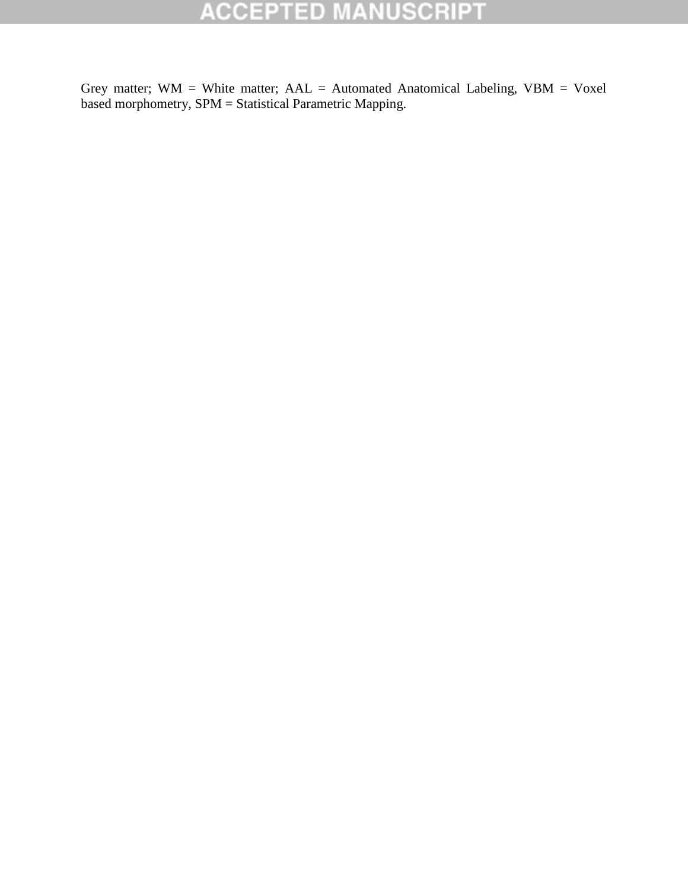Grey matter;  $WM = White$  matter;  $AAL = Automated$  Anatomical Labeling,  $VBM = Voxel$ based morphometry, SPM = Statistical Parametric Mapping.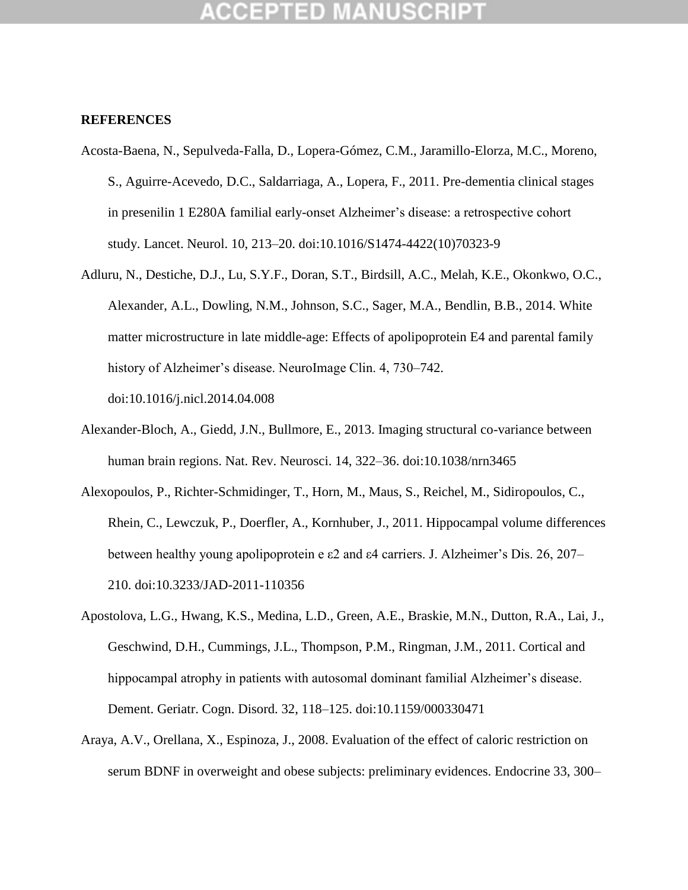## **CCEPTED MANUSCF**

#### **REFERENCES**

- Acosta-Baena, N., Sepulveda-Falla, D., Lopera-Gómez, C.M., Jaramillo-Elorza, M.C., Moreno, S., Aguirre-Acevedo, D.C., Saldarriaga, A., Lopera, F., 2011. Pre-dementia clinical stages in presenilin 1 E280A familial early-onset Alzheimer"s disease: a retrospective cohort study. Lancet. Neurol. 10, 213–20. doi:10.1016/S1474-4422(10)70323-9
- Adluru, N., Destiche, D.J., Lu, S.Y.F., Doran, S.T., Birdsill, A.C., Melah, K.E., Okonkwo, O.C., Alexander, A.L., Dowling, N.M., Johnson, S.C., Sager, M.A., Bendlin, B.B., 2014. White matter microstructure in late middle-age: Effects of apolipoprotein E4 and parental family history of Alzheimer's disease. NeuroImage Clin. 4, 730–742. doi:10.1016/j.nicl.2014.04.008
- Alexander-Bloch, A., Giedd, J.N., Bullmore, E., 2013. Imaging structural co-variance between human brain regions. Nat. Rev. Neurosci. 14, 322–36. doi:10.1038/nrn3465
- Alexopoulos, P., Richter-Schmidinger, T., Horn, M., Maus, S., Reichel, M., Sidiropoulos, C., Rhein, C., Lewczuk, P., Doerfler, A., Kornhuber, J., 2011. Hippocampal volume differences between healthy young apolipoprotein e  $\varepsilon$ 2 and  $\varepsilon$ 4 carriers. J. Alzheimer's Dis. 26, 207– 210. doi:10.3233/JAD-2011-110356
- Apostolova, L.G., Hwang, K.S., Medina, L.D., Green, A.E., Braskie, M.N., Dutton, R.A., Lai, J., Geschwind, D.H., Cummings, J.L., Thompson, P.M., Ringman, J.M., 2011. Cortical and hippocampal atrophy in patients with autosomal dominant familial Alzheimer"s disease. Dement. Geriatr. Cogn. Disord. 32, 118–125. doi:10.1159/000330471
- Araya, A.V., Orellana, X., Espinoza, J., 2008. Evaluation of the effect of caloric restriction on serum BDNF in overweight and obese subjects: preliminary evidences. Endocrine 33, 300–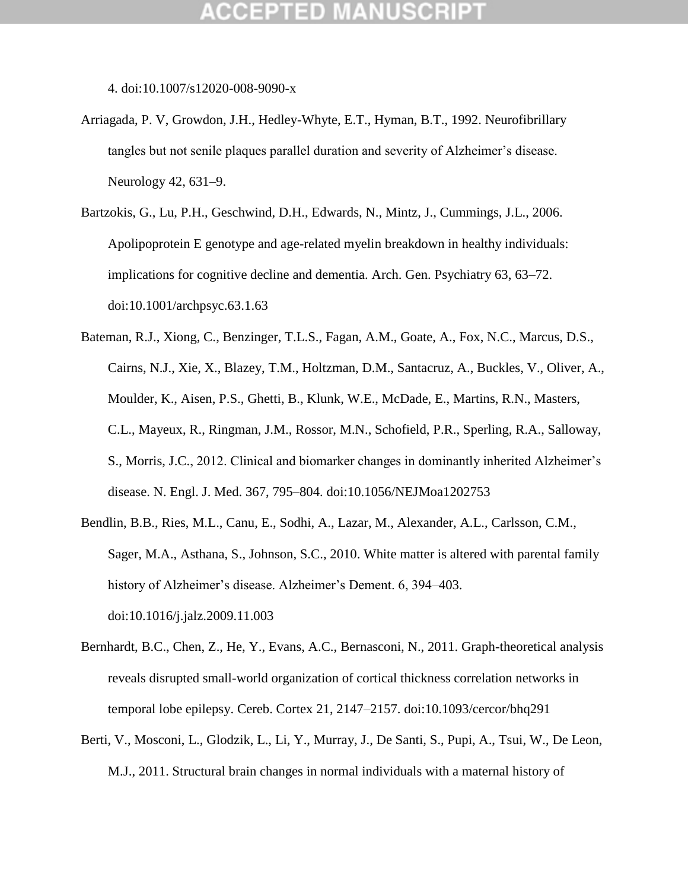## (CEPTED)

4. doi:10.1007/s12020-008-9090-x

- Arriagada, P. V, Growdon, J.H., Hedley-Whyte, E.T., Hyman, B.T., 1992. Neurofibrillary tangles but not senile plaques parallel duration and severity of Alzheimer"s disease. Neurology 42, 631–9.
- Bartzokis, G., Lu, P.H., Geschwind, D.H., Edwards, N., Mintz, J., Cummings, J.L., 2006. Apolipoprotein E genotype and age-related myelin breakdown in healthy individuals: implications for cognitive decline and dementia. Arch. Gen. Psychiatry 63, 63–72. doi:10.1001/archpsyc.63.1.63
- Bateman, R.J., Xiong, C., Benzinger, T.L.S., Fagan, A.M., Goate, A., Fox, N.C., Marcus, D.S., Cairns, N.J., Xie, X., Blazey, T.M., Holtzman, D.M., Santacruz, A., Buckles, V., Oliver, A., Moulder, K., Aisen, P.S., Ghetti, B., Klunk, W.E., McDade, E., Martins, R.N., Masters, C.L., Mayeux, R., Ringman, J.M., Rossor, M.N., Schofield, P.R., Sperling, R.A., Salloway, S., Morris, J.C., 2012. Clinical and biomarker changes in dominantly inherited Alzheimer"s disease. N. Engl. J. Med. 367, 795–804. doi:10.1056/NEJMoa1202753
- Bendlin, B.B., Ries, M.L., Canu, E., Sodhi, A., Lazar, M., Alexander, A.L., Carlsson, C.M., Sager, M.A., Asthana, S., Johnson, S.C., 2010. White matter is altered with parental family history of Alzheimer's disease. Alzheimer's Dement. 6, 394–403. doi:10.1016/j.jalz.2009.11.003
- Bernhardt, B.C., Chen, Z., He, Y., Evans, A.C., Bernasconi, N., 2011. Graph-theoretical analysis reveals disrupted small-world organization of cortical thickness correlation networks in temporal lobe epilepsy. Cereb. Cortex 21, 2147–2157. doi:10.1093/cercor/bhq291
- Berti, V., Mosconi, L., Glodzik, L., Li, Y., Murray, J., De Santi, S., Pupi, A., Tsui, W., De Leon, M.J., 2011. Structural brain changes in normal individuals with a maternal history of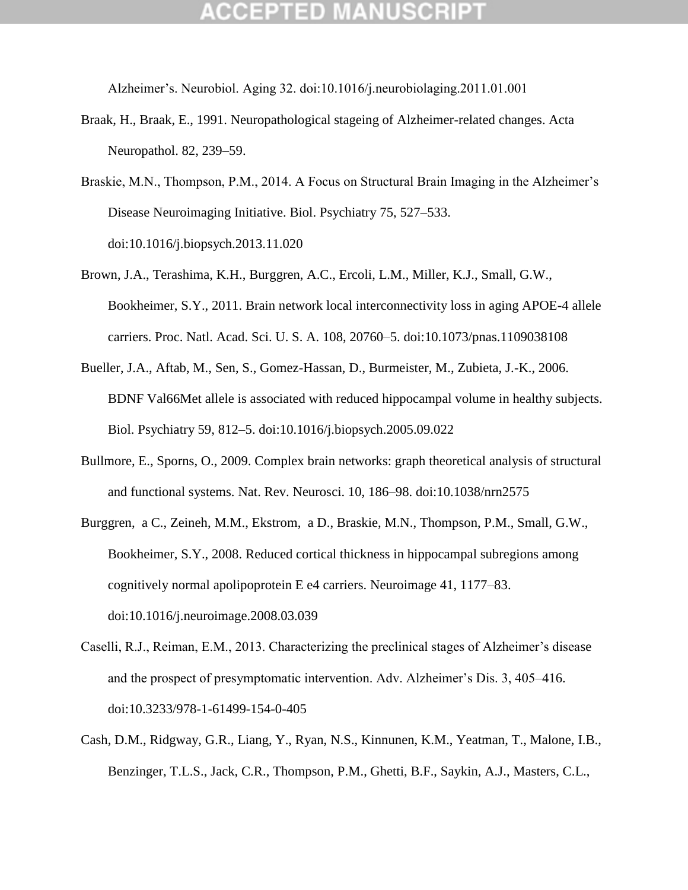Alzheimer"s. Neurobiol. Aging 32. doi:10.1016/j.neurobiolaging.2011.01.001

- Braak, H., Braak, E., 1991. Neuropathological stageing of Alzheimer-related changes. Acta Neuropathol. 82, 239–59.
- Braskie, M.N., Thompson, P.M., 2014. A Focus on Structural Brain Imaging in the Alzheimer's Disease Neuroimaging Initiative. Biol. Psychiatry 75, 527–533. doi:10.1016/j.biopsych.2013.11.020
- Brown, J.A., Terashima, K.H., Burggren, A.C., Ercoli, L.M., Miller, K.J., Small, G.W., Bookheimer, S.Y., 2011. Brain network local interconnectivity loss in aging APOE-4 allele carriers. Proc. Natl. Acad. Sci. U. S. A. 108, 20760–5. doi:10.1073/pnas.1109038108
- Bueller, J.A., Aftab, M., Sen, S., Gomez-Hassan, D., Burmeister, M., Zubieta, J.-K., 2006. BDNF Val66Met allele is associated with reduced hippocampal volume in healthy subjects. Biol. Psychiatry 59, 812–5. doi:10.1016/j.biopsych.2005.09.022
- Bullmore, E., Sporns, O., 2009. Complex brain networks: graph theoretical analysis of structural and functional systems. Nat. Rev. Neurosci. 10, 186–98. doi:10.1038/nrn2575
- Burggren, a C., Zeineh, M.M., Ekstrom, a D., Braskie, M.N., Thompson, P.M., Small, G.W., Bookheimer, S.Y., 2008. Reduced cortical thickness in hippocampal subregions among cognitively normal apolipoprotein E e4 carriers. Neuroimage 41, 1177–83. doi:10.1016/j.neuroimage.2008.03.039
- Caselli, R.J., Reiman, E.M., 2013. Characterizing the preclinical stages of Alzheimer's disease and the prospect of presymptomatic intervention. Adv. Alzheimer"s Dis. 3, 405–416. doi:10.3233/978-1-61499-154-0-405
- Cash, D.M., Ridgway, G.R., Liang, Y., Ryan, N.S., Kinnunen, K.M., Yeatman, T., Malone, I.B., Benzinger, T.L.S., Jack, C.R., Thompson, P.M., Ghetti, B.F., Saykin, A.J., Masters, C.L.,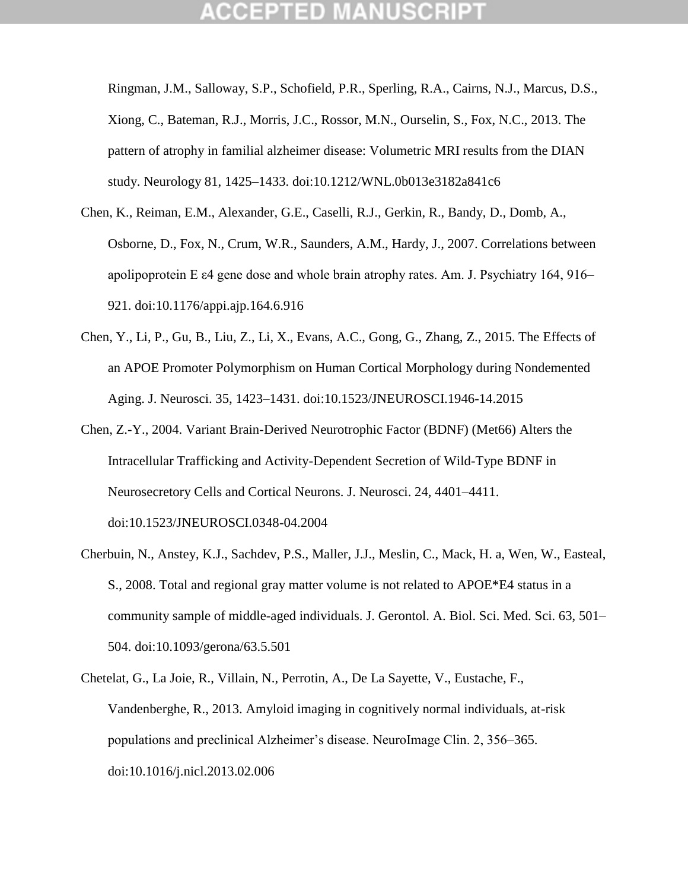Ringman, J.M., Salloway, S.P., Schofield, P.R., Sperling, R.A., Cairns, N.J., Marcus, D.S., Xiong, C., Bateman, R.J., Morris, J.C., Rossor, M.N., Ourselin, S., Fox, N.C., 2013. The pattern of atrophy in familial alzheimer disease: Volumetric MRI results from the DIAN study. Neurology 81, 1425–1433. doi:10.1212/WNL.0b013e3182a841c6

- Chen, K., Reiman, E.M., Alexander, G.E., Caselli, R.J., Gerkin, R., Bandy, D., Domb, A., Osborne, D., Fox, N., Crum, W.R., Saunders, A.M., Hardy, J., 2007. Correlations between apolipoprotein E ε4 gene dose and whole brain atrophy rates. Am. J. Psychiatry 164, 916– 921. doi:10.1176/appi.ajp.164.6.916
- Chen, Y., Li, P., Gu, B., Liu, Z., Li, X., Evans, A.C., Gong, G., Zhang, Z., 2015. The Effects of an APOE Promoter Polymorphism on Human Cortical Morphology during Nondemented Aging. J. Neurosci. 35, 1423–1431. doi:10.1523/JNEUROSCI.1946-14.2015
- Chen, Z.-Y., 2004. Variant Brain-Derived Neurotrophic Factor (BDNF) (Met66) Alters the Intracellular Trafficking and Activity-Dependent Secretion of Wild-Type BDNF in Neurosecretory Cells and Cortical Neurons. J. Neurosci. 24, 4401–4411. doi:10.1523/JNEUROSCI.0348-04.2004
- Cherbuin, N., Anstey, K.J., Sachdev, P.S., Maller, J.J., Meslin, C., Mack, H. a, Wen, W., Easteal, S., 2008. Total and regional gray matter volume is not related to APOE\*E4 status in a community sample of middle-aged individuals. J. Gerontol. A. Biol. Sci. Med. Sci. 63, 501– 504. doi:10.1093/gerona/63.5.501
- Chetelat, G., La Joie, R., Villain, N., Perrotin, A., De La Sayette, V., Eustache, F., Vandenberghe, R., 2013. Amyloid imaging in cognitively normal individuals, at-risk populations and preclinical Alzheimer"s disease. NeuroImage Clin. 2, 356–365. doi:10.1016/j.nicl.2013.02.006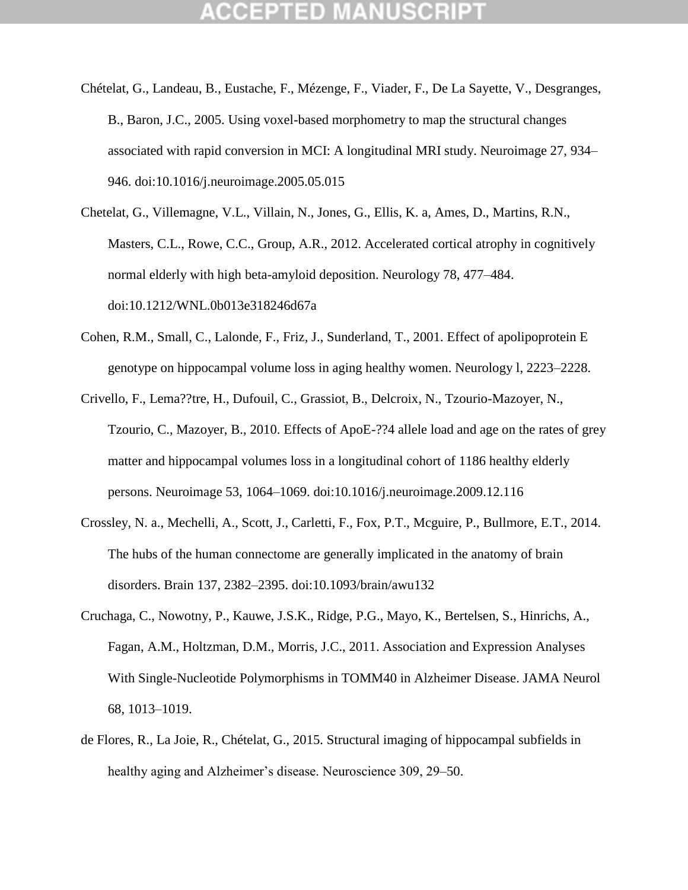- Chételat, G., Landeau, B., Eustache, F., Mézenge, F., Viader, F., De La Sayette, V., Desgranges, B., Baron, J.C., 2005. Using voxel-based morphometry to map the structural changes associated with rapid conversion in MCI: A longitudinal MRI study. Neuroimage 27, 934– 946. doi:10.1016/j.neuroimage.2005.05.015
- Chetelat, G., Villemagne, V.L., Villain, N., Jones, G., Ellis, K. a, Ames, D., Martins, R.N., Masters, C.L., Rowe, C.C., Group, A.R., 2012. Accelerated cortical atrophy in cognitively normal elderly with high beta-amyloid deposition. Neurology 78, 477–484. doi:10.1212/WNL.0b013e318246d67a
- Cohen, R.M., Small, C., Lalonde, F., Friz, J., Sunderland, T., 2001. Effect of apolipoprotein E genotype on hippocampal volume loss in aging healthy women. Neurology l, 2223–2228.
- Crivello, F., Lema??tre, H., Dufouil, C., Grassiot, B., Delcroix, N., Tzourio-Mazoyer, N., Tzourio, C., Mazoyer, B., 2010. Effects of ApoE-??4 allele load and age on the rates of grey matter and hippocampal volumes loss in a longitudinal cohort of 1186 healthy elderly persons. Neuroimage 53, 1064–1069. doi:10.1016/j.neuroimage.2009.12.116
- Crossley, N. a., Mechelli, A., Scott, J., Carletti, F., Fox, P.T., Mcguire, P., Bullmore, E.T., 2014. The hubs of the human connectome are generally implicated in the anatomy of brain disorders. Brain 137, 2382–2395. doi:10.1093/brain/awu132
- Cruchaga, C., Nowotny, P., Kauwe, J.S.K., Ridge, P.G., Mayo, K., Bertelsen, S., Hinrichs, A., Fagan, A.M., Holtzman, D.M., Morris, J.C., 2011. Association and Expression Analyses With Single-Nucleotide Polymorphisms in TOMM40 in Alzheimer Disease. JAMA Neurol 68, 1013–1019.
- de Flores, R., La Joie, R., Chételat, G., 2015. Structural imaging of hippocampal subfields in healthy aging and Alzheimer's disease. Neuroscience 309, 29–50.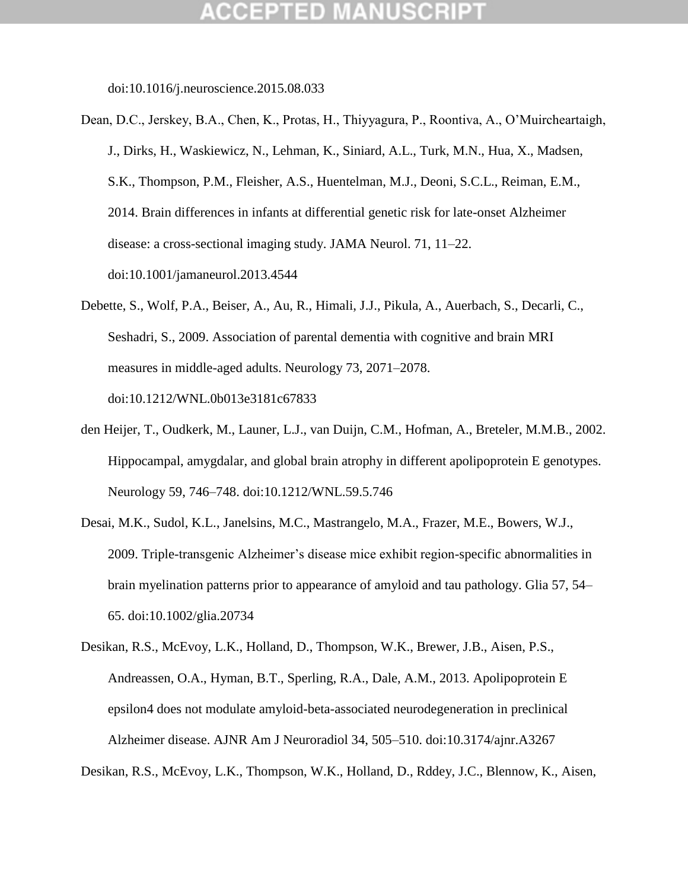doi:10.1016/j.neuroscience.2015.08.033

- Dean, D.C., Jerskey, B.A., Chen, K., Protas, H., Thiyyagura, P., Roontiva, A., O"Muircheartaigh, J., Dirks, H., Waskiewicz, N., Lehman, K., Siniard, A.L., Turk, M.N., Hua, X., Madsen, S.K., Thompson, P.M., Fleisher, A.S., Huentelman, M.J., Deoni, S.C.L., Reiman, E.M., 2014. Brain differences in infants at differential genetic risk for late-onset Alzheimer disease: a cross-sectional imaging study. JAMA Neurol. 71, 11–22. doi:10.1001/jamaneurol.2013.4544
- Debette, S., Wolf, P.A., Beiser, A., Au, R., Himali, J.J., Pikula, A., Auerbach, S., Decarli, C., Seshadri, S., 2009. Association of parental dementia with cognitive and brain MRI measures in middle-aged adults. Neurology 73, 2071–2078. doi:10.1212/WNL.0b013e3181c67833
- den Heijer, T., Oudkerk, M., Launer, L.J., van Duijn, C.M., Hofman, A., Breteler, M.M.B., 2002. Hippocampal, amygdalar, and global brain atrophy in different apolipoprotein E genotypes. Neurology 59, 746–748. doi:10.1212/WNL.59.5.746
- Desai, M.K., Sudol, K.L., Janelsins, M.C., Mastrangelo, M.A., Frazer, M.E., Bowers, W.J., 2009. Triple-transgenic Alzheimer"s disease mice exhibit region-specific abnormalities in brain myelination patterns prior to appearance of amyloid and tau pathology. Glia 57, 54– 65. doi:10.1002/glia.20734
- Desikan, R.S., McEvoy, L.K., Holland, D., Thompson, W.K., Brewer, J.B., Aisen, P.S., Andreassen, O.A., Hyman, B.T., Sperling, R.A., Dale, A.M., 2013. Apolipoprotein E epsilon4 does not modulate amyloid-beta-associated neurodegeneration in preclinical Alzheimer disease. AJNR Am J Neuroradiol 34, 505–510. doi:10.3174/ajnr.A3267

Desikan, R.S., McEvoy, L.K., Thompson, W.K., Holland, D., Rddey, J.C., Blennow, K., Aisen,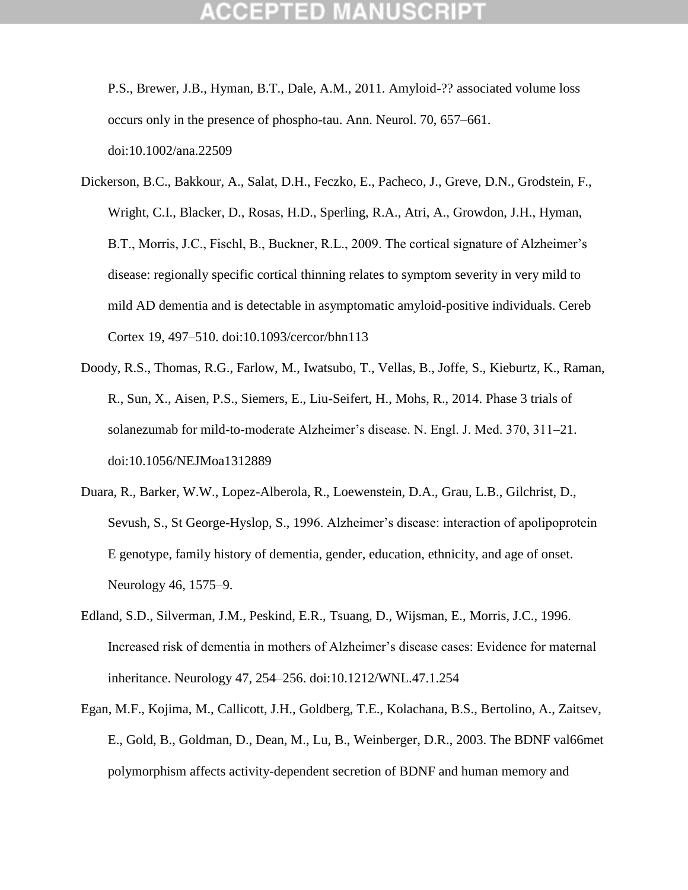P.S., Brewer, J.B., Hyman, B.T., Dale, A.M., 2011. Amyloid-?? associated volume loss occurs only in the presence of phospho-tau. Ann. Neurol. 70, 657–661. doi:10.1002/ana.22509

- Dickerson, B.C., Bakkour, A., Salat, D.H., Feczko, E., Pacheco, J., Greve, D.N., Grodstein, F., Wright, C.I., Blacker, D., Rosas, H.D., Sperling, R.A., Atri, A., Growdon, J.H., Hyman, B.T., Morris, J.C., Fischl, B., Buckner, R.L., 2009. The cortical signature of Alzheimer's disease: regionally specific cortical thinning relates to symptom severity in very mild to mild AD dementia and is detectable in asymptomatic amyloid-positive individuals. Cereb Cortex 19, 497–510. doi:10.1093/cercor/bhn113
- Doody, R.S., Thomas, R.G., Farlow, M., Iwatsubo, T., Vellas, B., Joffe, S., Kieburtz, K., Raman, R., Sun, X., Aisen, P.S., Siemers, E., Liu-Seifert, H., Mohs, R., 2014. Phase 3 trials of solanezumab for mild-to-moderate Alzheimer"s disease. N. Engl. J. Med. 370, 311–21. doi:10.1056/NEJMoa1312889
- Duara, R., Barker, W.W., Lopez-Alberola, R., Loewenstein, D.A., Grau, L.B., Gilchrist, D., Sevush, S., St George-Hyslop, S., 1996. Alzheimer's disease: interaction of apolipoprotein E genotype, family history of dementia, gender, education, ethnicity, and age of onset. Neurology 46, 1575–9.
- Edland, S.D., Silverman, J.M., Peskind, E.R., Tsuang, D., Wijsman, E., Morris, J.C., 1996. Increased risk of dementia in mothers of Alzheimer"s disease cases: Evidence for maternal inheritance. Neurology 47, 254–256. doi:10.1212/WNL.47.1.254
- Egan, M.F., Kojima, M., Callicott, J.H., Goldberg, T.E., Kolachana, B.S., Bertolino, A., Zaitsev, E., Gold, B., Goldman, D., Dean, M., Lu, B., Weinberger, D.R., 2003. The BDNF val66met polymorphism affects activity-dependent secretion of BDNF and human memory and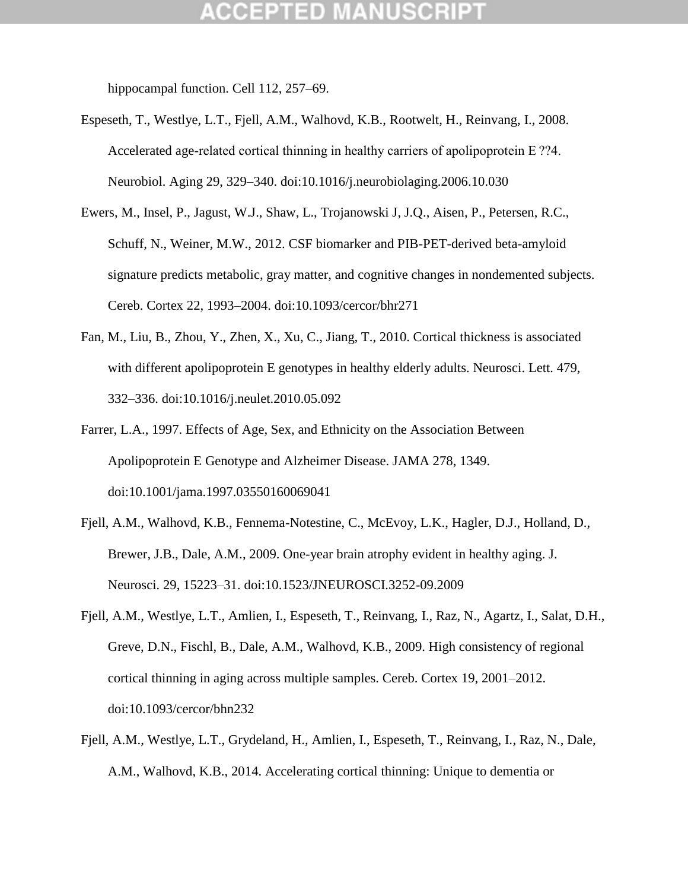hippocampal function. Cell 112, 257–69.

- Espeseth, T., Westlye, L.T., Fjell, A.M., Walhovd, K.B., Rootwelt, H., Reinvang, I., 2008. Accelerated age-related cortical thinning in healthy carriers of apolipoprotein E ??4. Neurobiol. Aging 29, 329–340. doi:10.1016/j.neurobiolaging.2006.10.030
- Ewers, M., Insel, P., Jagust, W.J., Shaw, L., Trojanowski J, J.Q., Aisen, P., Petersen, R.C., Schuff, N., Weiner, M.W., 2012. CSF biomarker and PIB-PET-derived beta-amyloid signature predicts metabolic, gray matter, and cognitive changes in nondemented subjects. Cereb. Cortex 22, 1993–2004. doi:10.1093/cercor/bhr271
- Fan, M., Liu, B., Zhou, Y., Zhen, X., Xu, C., Jiang, T., 2010. Cortical thickness is associated with different apolipoprotein E genotypes in healthy elderly adults. Neurosci. Lett. 479, 332–336. doi:10.1016/j.neulet.2010.05.092
- Farrer, L.A., 1997. Effects of Age, Sex, and Ethnicity on the Association Between Apolipoprotein E Genotype and Alzheimer Disease. JAMA 278, 1349. doi:10.1001/jama.1997.03550160069041
- Fjell, A.M., Walhovd, K.B., Fennema-Notestine, C., McEvoy, L.K., Hagler, D.J., Holland, D., Brewer, J.B., Dale, A.M., 2009. One-year brain atrophy evident in healthy aging. J. Neurosci. 29, 15223–31. doi:10.1523/JNEUROSCI.3252-09.2009
- Fjell, A.M., Westlye, L.T., Amlien, I., Espeseth, T., Reinvang, I., Raz, N., Agartz, I., Salat, D.H., Greve, D.N., Fischl, B., Dale, A.M., Walhovd, K.B., 2009. High consistency of regional cortical thinning in aging across multiple samples. Cereb. Cortex 19, 2001–2012. doi:10.1093/cercor/bhn232
- Fjell, A.M., Westlye, L.T., Grydeland, H., Amlien, I., Espeseth, T., Reinvang, I., Raz, N., Dale, A.M., Walhovd, K.B., 2014. Accelerating cortical thinning: Unique to dementia or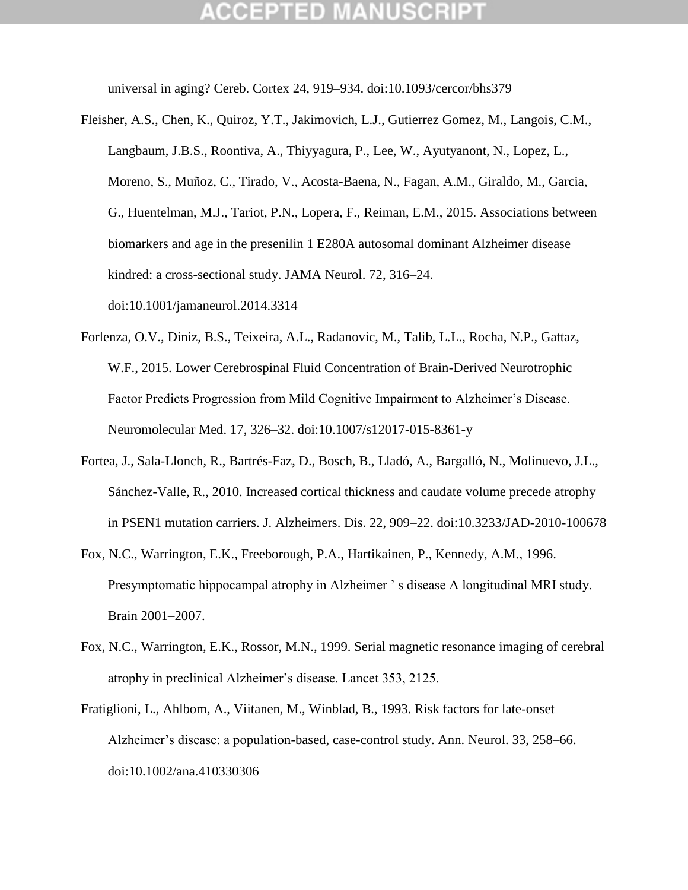universal in aging? Cereb. Cortex 24, 919–934. doi:10.1093/cercor/bhs379

- Fleisher, A.S., Chen, K., Quiroz, Y.T., Jakimovich, L.J., Gutierrez Gomez, M., Langois, C.M., Langbaum, J.B.S., Roontiva, A., Thiyyagura, P., Lee, W., Ayutyanont, N., Lopez, L., Moreno, S., Muñoz, C., Tirado, V., Acosta-Baena, N., Fagan, A.M., Giraldo, M., Garcia, G., Huentelman, M.J., Tariot, P.N., Lopera, F., Reiman, E.M., 2015. Associations between biomarkers and age in the presenilin 1 E280A autosomal dominant Alzheimer disease kindred: a cross-sectional study. JAMA Neurol. 72, 316–24. doi:10.1001/jamaneurol.2014.3314
- Forlenza, O.V., Diniz, B.S., Teixeira, A.L., Radanovic, M., Talib, L.L., Rocha, N.P., Gattaz, W.F., 2015. Lower Cerebrospinal Fluid Concentration of Brain-Derived Neurotrophic Factor Predicts Progression from Mild Cognitive Impairment to Alzheimer's Disease. Neuromolecular Med. 17, 326–32. doi:10.1007/s12017-015-8361-y
- Fortea, J., Sala-Llonch, R., Bartrés-Faz, D., Bosch, B., Lladó, A., Bargalló, N., Molinuevo, J.L., Sánchez-Valle, R., 2010. Increased cortical thickness and caudate volume precede atrophy in PSEN1 mutation carriers. J. Alzheimers. Dis. 22, 909–22. doi:10.3233/JAD-2010-100678
- Fox, N.C., Warrington, E.K., Freeborough, P.A., Hartikainen, P., Kennedy, A.M., 1996. Presymptomatic hippocampal atrophy in Alzheimer 's disease A longitudinal MRI study. Brain 2001–2007.
- Fox, N.C., Warrington, E.K., Rossor, M.N., 1999. Serial magnetic resonance imaging of cerebral atrophy in preclinical Alzheimer"s disease. Lancet 353, 2125.
- Fratiglioni, L., Ahlbom, A., Viitanen, M., Winblad, B., 1993. Risk factors for late-onset Alzheimer"s disease: a population-based, case-control study. Ann. Neurol. 33, 258–66. doi:10.1002/ana.410330306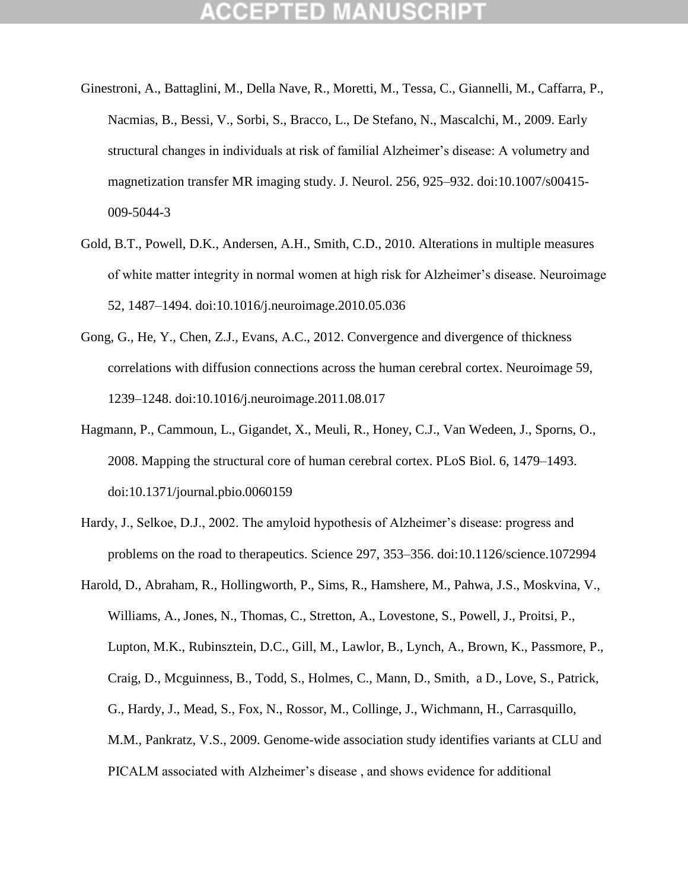- Ginestroni, A., Battaglini, M., Della Nave, R., Moretti, M., Tessa, C., Giannelli, M., Caffarra, P., Nacmias, B., Bessi, V., Sorbi, S., Bracco, L., De Stefano, N., Mascalchi, M., 2009. Early structural changes in individuals at risk of familial Alzheimer"s disease: A volumetry and magnetization transfer MR imaging study. J. Neurol. 256, 925–932. doi:10.1007/s00415- 009-5044-3
- Gold, B.T., Powell, D.K., Andersen, A.H., Smith, C.D., 2010. Alterations in multiple measures of white matter integrity in normal women at high risk for Alzheimer"s disease. Neuroimage 52, 1487–1494. doi:10.1016/j.neuroimage.2010.05.036
- Gong, G., He, Y., Chen, Z.J., Evans, A.C., 2012. Convergence and divergence of thickness correlations with diffusion connections across the human cerebral cortex. Neuroimage 59, 1239–1248. doi:10.1016/j.neuroimage.2011.08.017
- Hagmann, P., Cammoun, L., Gigandet, X., Meuli, R., Honey, C.J., Van Wedeen, J., Sporns, O., 2008. Mapping the structural core of human cerebral cortex. PLoS Biol. 6, 1479–1493. doi:10.1371/journal.pbio.0060159
- Hardy, J., Selkoe, D.J., 2002. The amyloid hypothesis of Alzheimer's disease: progress and problems on the road to therapeutics. Science 297, 353–356. doi:10.1126/science.1072994
- Harold, D., Abraham, R., Hollingworth, P., Sims, R., Hamshere, M., Pahwa, J.S., Moskvina, V., Williams, A., Jones, N., Thomas, C., Stretton, A., Lovestone, S., Powell, J., Proitsi, P., Lupton, M.K., Rubinsztein, D.C., Gill, M., Lawlor, B., Lynch, A., Brown, K., Passmore, P., Craig, D., Mcguinness, B., Todd, S., Holmes, C., Mann, D., Smith, a D., Love, S., Patrick, G., Hardy, J., Mead, S., Fox, N., Rossor, M., Collinge, J., Wichmann, H., Carrasquillo, M.M., Pankratz, V.S., 2009. Genome-wide association study identifies variants at CLU and PICALM associated with Alzheimer's disease, and shows evidence for additional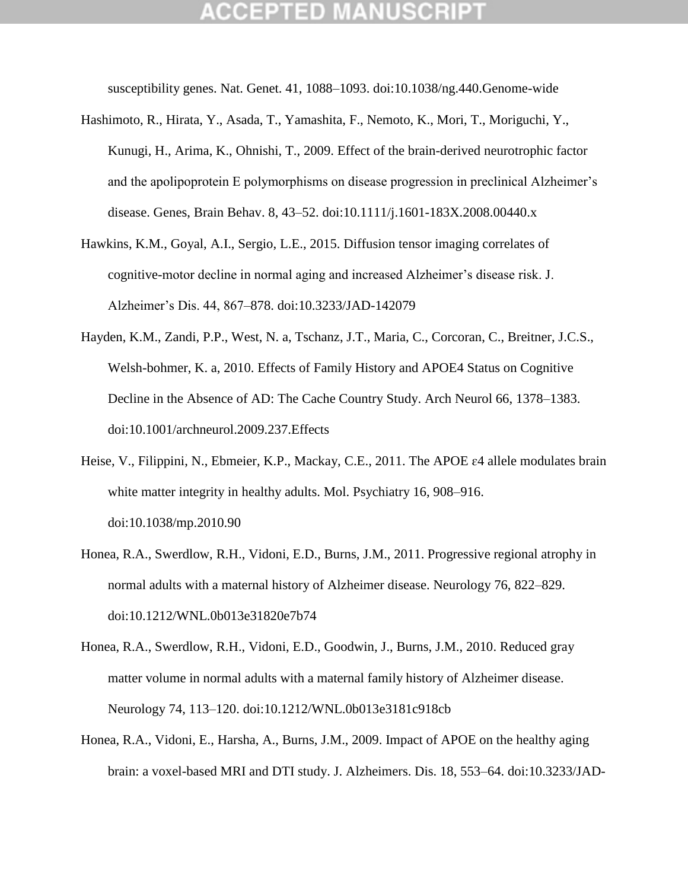susceptibility genes. Nat. Genet. 41, 1088–1093. doi:10.1038/ng.440.Genome-wide

- Hashimoto, R., Hirata, Y., Asada, T., Yamashita, F., Nemoto, K., Mori, T., Moriguchi, Y., Kunugi, H., Arima, K., Ohnishi, T., 2009. Effect of the brain-derived neurotrophic factor and the apolipoprotein E polymorphisms on disease progression in preclinical Alzheimer"s disease. Genes, Brain Behav. 8, 43–52. doi:10.1111/j.1601-183X.2008.00440.x
- Hawkins, K.M., Goyal, A.I., Sergio, L.E., 2015. Diffusion tensor imaging correlates of cognitive-motor decline in normal aging and increased Alzheimer"s disease risk. J. Alzheimer"s Dis. 44, 867–878. doi:10.3233/JAD-142079
- Hayden, K.M., Zandi, P.P., West, N. a, Tschanz, J.T., Maria, C., Corcoran, C., Breitner, J.C.S., Welsh-bohmer, K. a, 2010. Effects of Family History and APOE4 Status on Cognitive Decline in the Absence of AD: The Cache Country Study. Arch Neurol 66, 1378–1383. doi:10.1001/archneurol.2009.237.Effects
- Heise, V., Filippini, N., Ebmeier, K.P., Mackay, C.E., 2011. The APOE  $\varepsilon$ 4 allele modulates brain white matter integrity in healthy adults. Mol. Psychiatry 16, 908–916. doi:10.1038/mp.2010.90
- Honea, R.A., Swerdlow, R.H., Vidoni, E.D., Burns, J.M., 2011. Progressive regional atrophy in normal adults with a maternal history of Alzheimer disease. Neurology 76, 822–829. doi:10.1212/WNL.0b013e31820e7b74
- Honea, R.A., Swerdlow, R.H., Vidoni, E.D., Goodwin, J., Burns, J.M., 2010. Reduced gray matter volume in normal adults with a maternal family history of Alzheimer disease. Neurology 74, 113–120. doi:10.1212/WNL.0b013e3181c918cb
- Honea, R.A., Vidoni, E., Harsha, A., Burns, J.M., 2009. Impact of APOE on the healthy aging brain: a voxel-based MRI and DTI study. J. Alzheimers. Dis. 18, 553–64. doi:10.3233/JAD-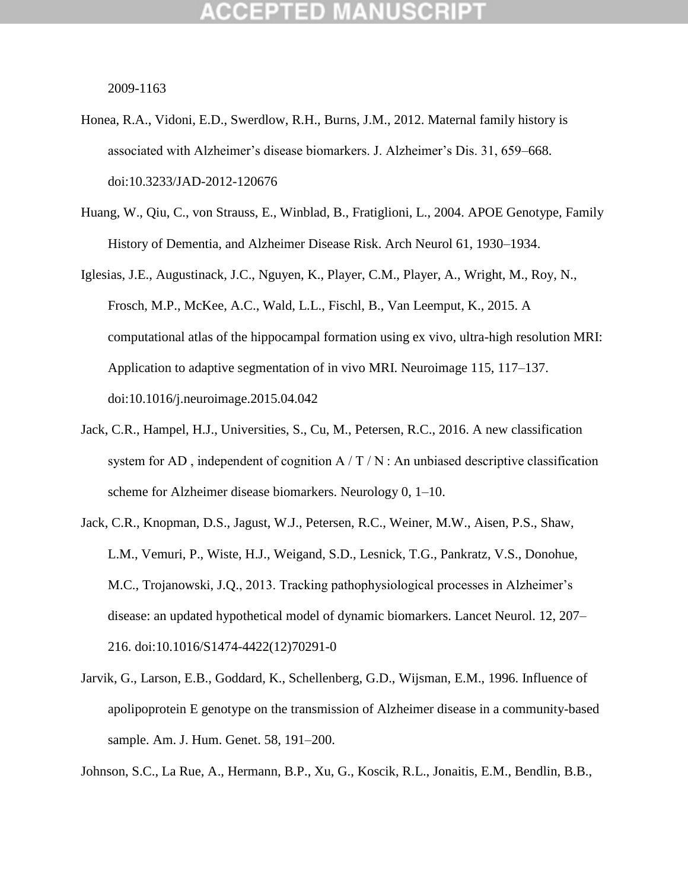## GEPTED

2009-1163

- Honea, R.A., Vidoni, E.D., Swerdlow, R.H., Burns, J.M., 2012. Maternal family history is associated with Alzheimer"s disease biomarkers. J. Alzheimer"s Dis. 31, 659–668. doi:10.3233/JAD-2012-120676
- Huang, W., Qiu, C., von Strauss, E., Winblad, B., Fratiglioni, L., 2004. APOE Genotype, Family History of Dementia, and Alzheimer Disease Risk. Arch Neurol 61, 1930–1934.
- Iglesias, J.E., Augustinack, J.C., Nguyen, K., Player, C.M., Player, A., Wright, M., Roy, N., Frosch, M.P., McKee, A.C., Wald, L.L., Fischl, B., Van Leemput, K., 2015. A computational atlas of the hippocampal formation using ex vivo, ultra-high resolution MRI: Application to adaptive segmentation of in vivo MRI. Neuroimage 115, 117–137. doi:10.1016/j.neuroimage.2015.04.042
- Jack, C.R., Hampel, H.J., Universities, S., Cu, M., Petersen, R.C., 2016. A new classification system for AD, independent of cognition  $A/T/N$ : An unbiased descriptive classification scheme for Alzheimer disease biomarkers. Neurology 0, 1–10.
- Jack, C.R., Knopman, D.S., Jagust, W.J., Petersen, R.C., Weiner, M.W., Aisen, P.S., Shaw, L.M., Vemuri, P., Wiste, H.J., Weigand, S.D., Lesnick, T.G., Pankratz, V.S., Donohue, M.C., Trojanowski, J.Q., 2013. Tracking pathophysiological processes in Alzheimer"s disease: an updated hypothetical model of dynamic biomarkers. Lancet Neurol. 12, 207– 216. doi:10.1016/S1474-4422(12)70291-0
- Jarvik, G., Larson, E.B., Goddard, K., Schellenberg, G.D., Wijsman, E.M., 1996. Influence of apolipoprotein E genotype on the transmission of Alzheimer disease in a community-based sample. Am. J. Hum. Genet. 58, 191–200.

Johnson, S.C., La Rue, A., Hermann, B.P., Xu, G., Koscik, R.L., Jonaitis, E.M., Bendlin, B.B.,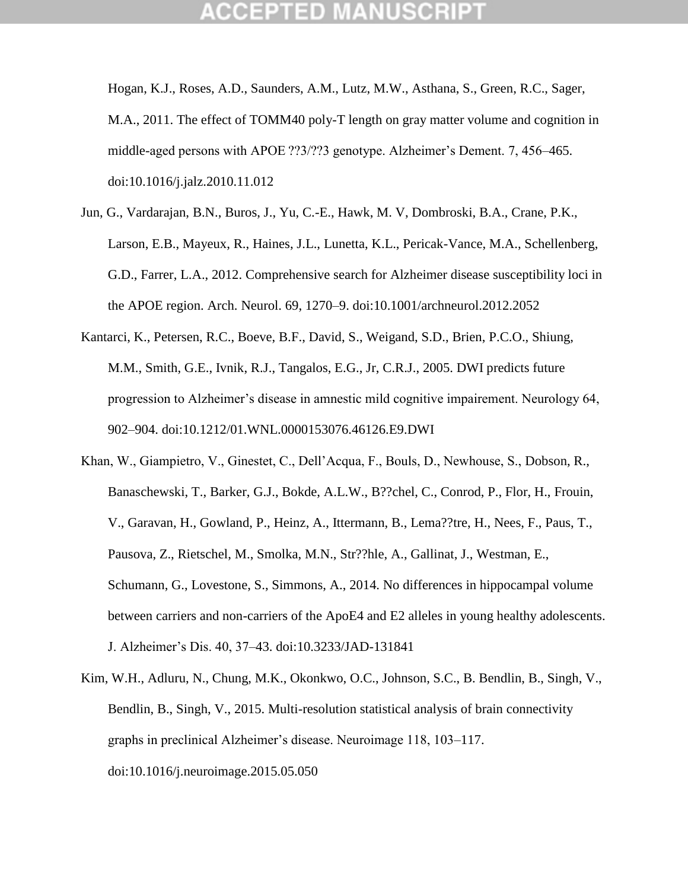Hogan, K.J., Roses, A.D., Saunders, A.M., Lutz, M.W., Asthana, S., Green, R.C., Sager, M.A., 2011. The effect of TOMM40 poly-T length on gray matter volume and cognition in middle-aged persons with APOE ??3/??3 genotype. Alzheimer"s Dement. 7, 456–465. doi:10.1016/j.jalz.2010.11.012

- Jun, G., Vardarajan, B.N., Buros, J., Yu, C.-E., Hawk, M. V, Dombroski, B.A., Crane, P.K., Larson, E.B., Mayeux, R., Haines, J.L., Lunetta, K.L., Pericak-Vance, M.A., Schellenberg, G.D., Farrer, L.A., 2012. Comprehensive search for Alzheimer disease susceptibility loci in the APOE region. Arch. Neurol. 69, 1270–9. doi:10.1001/archneurol.2012.2052
- Kantarci, K., Petersen, R.C., Boeve, B.F., David, S., Weigand, S.D., Brien, P.C.O., Shiung, M.M., Smith, G.E., Ivnik, R.J., Tangalos, E.G., Jr, C.R.J., 2005. DWI predicts future progression to Alzheimer"s disease in amnestic mild cognitive impairement. Neurology 64, 902–904. doi:10.1212/01.WNL.0000153076.46126.E9.DWI
- Khan, W., Giampietro, V., Ginestet, C., Dell"Acqua, F., Bouls, D., Newhouse, S., Dobson, R., Banaschewski, T., Barker, G.J., Bokde, A.L.W., B??chel, C., Conrod, P., Flor, H., Frouin, V., Garavan, H., Gowland, P., Heinz, A., Ittermann, B., Lema??tre, H., Nees, F., Paus, T., Pausova, Z., Rietschel, M., Smolka, M.N., Str??hle, A., Gallinat, J., Westman, E., Schumann, G., Lovestone, S., Simmons, A., 2014. No differences in hippocampal volume between carriers and non-carriers of the ApoE4 and E2 alleles in young healthy adolescents. J. Alzheimer"s Dis. 40, 37–43. doi:10.3233/JAD-131841
- Kim, W.H., Adluru, N., Chung, M.K., Okonkwo, O.C., Johnson, S.C., B. Bendlin, B., Singh, V., Bendlin, B., Singh, V., 2015. Multi-resolution statistical analysis of brain connectivity graphs in preclinical Alzheimer"s disease. Neuroimage 118, 103–117. doi:10.1016/j.neuroimage.2015.05.050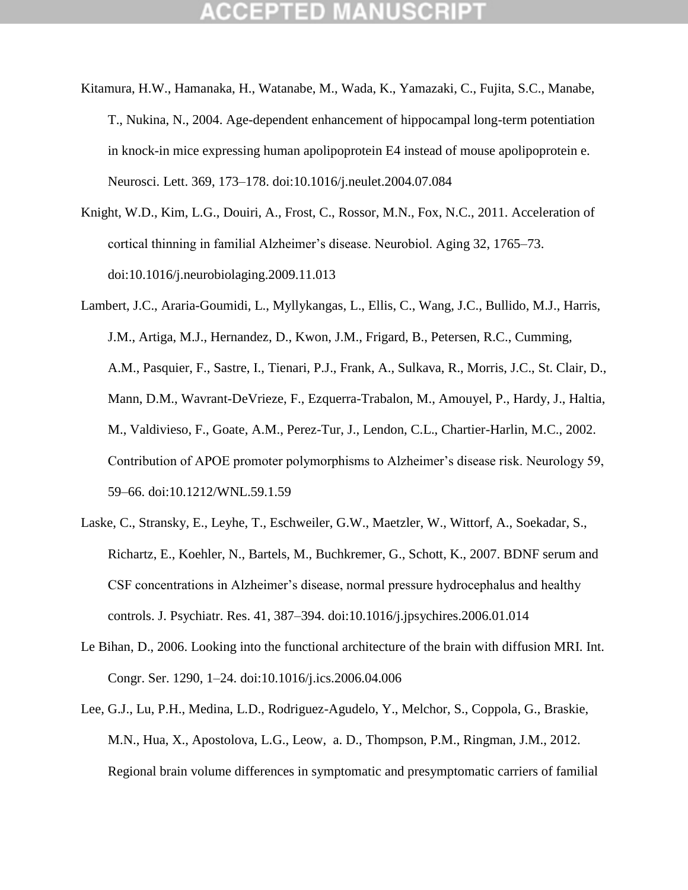- Kitamura, H.W., Hamanaka, H., Watanabe, M., Wada, K., Yamazaki, C., Fujita, S.C., Manabe, T., Nukina, N., 2004. Age-dependent enhancement of hippocampal long-term potentiation in knock-in mice expressing human apolipoprotein E4 instead of mouse apolipoprotein e. Neurosci. Lett. 369, 173–178. doi:10.1016/j.neulet.2004.07.084
- Knight, W.D., Kim, L.G., Douiri, A., Frost, C., Rossor, M.N., Fox, N.C., 2011. Acceleration of cortical thinning in familial Alzheimer"s disease. Neurobiol. Aging 32, 1765–73. doi:10.1016/j.neurobiolaging.2009.11.013
- Lambert, J.C., Araria-Goumidi, L., Myllykangas, L., Ellis, C., Wang, J.C., Bullido, M.J., Harris, J.M., Artiga, M.J., Hernandez, D., Kwon, J.M., Frigard, B., Petersen, R.C., Cumming, A.M., Pasquier, F., Sastre, I., Tienari, P.J., Frank, A., Sulkava, R., Morris, J.C., St. Clair, D., Mann, D.M., Wavrant-DeVrieze, F., Ezquerra-Trabalon, M., Amouyel, P., Hardy, J., Haltia, M., Valdivieso, F., Goate, A.M., Perez-Tur, J., Lendon, C.L., Chartier-Harlin, M.C., 2002. Contribution of APOE promoter polymorphisms to Alzheimer"s disease risk. Neurology 59, 59–66. doi:10.1212/WNL.59.1.59
- Laske, C., Stransky, E., Leyhe, T., Eschweiler, G.W., Maetzler, W., Wittorf, A., Soekadar, S., Richartz, E., Koehler, N., Bartels, M., Buchkremer, G., Schott, K., 2007. BDNF serum and CSF concentrations in Alzheimer"s disease, normal pressure hydrocephalus and healthy controls. J. Psychiatr. Res. 41, 387–394. doi:10.1016/j.jpsychires.2006.01.014
- Le Bihan, D., 2006. Looking into the functional architecture of the brain with diffusion MRI. Int. Congr. Ser. 1290, 1–24. doi:10.1016/j.ics.2006.04.006
- Lee, G.J., Lu, P.H., Medina, L.D., Rodriguez-Agudelo, Y., Melchor, S., Coppola, G., Braskie, M.N., Hua, X., Apostolova, L.G., Leow, a. D., Thompson, P.M., Ringman, J.M., 2012. Regional brain volume differences in symptomatic and presymptomatic carriers of familial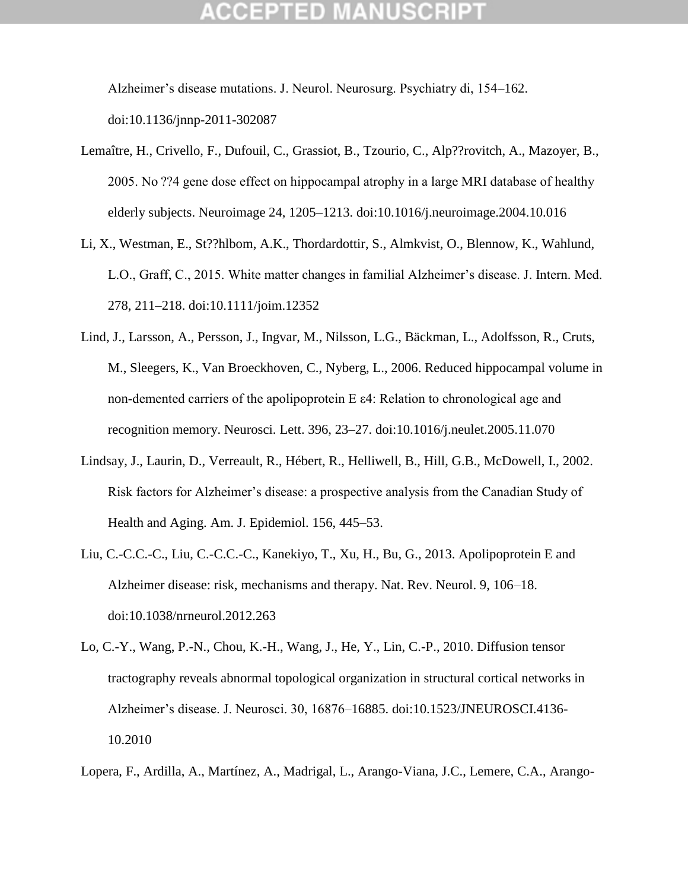## GEPTED

Alzheimer"s disease mutations. J. Neurol. Neurosurg. Psychiatry di, 154–162. doi:10.1136/jnnp-2011-302087

- Lemaître, H., Crivello, F., Dufouil, C., Grassiot, B., Tzourio, C., Alp??rovitch, A., Mazoyer, B., 2005. No ??4 gene dose effect on hippocampal atrophy in a large MRI database of healthy elderly subjects. Neuroimage 24, 1205–1213. doi:10.1016/j.neuroimage.2004.10.016
- Li, X., Westman, E., St??hlbom, A.K., Thordardottir, S., Almkvist, O., Blennow, K., Wahlund, L.O., Graff, C., 2015. White matter changes in familial Alzheimer"s disease. J. Intern. Med. 278, 211–218. doi:10.1111/joim.12352
- Lind, J., Larsson, A., Persson, J., Ingvar, M., Nilsson, L.G., Bäckman, L., Adolfsson, R., Cruts, M., Sleegers, K., Van Broeckhoven, C., Nyberg, L., 2006. Reduced hippocampal volume in non-demented carriers of the apolipoprotein E ε4: Relation to chronological age and recognition memory. Neurosci. Lett. 396, 23–27. doi:10.1016/j.neulet.2005.11.070
- Lindsay, J., Laurin, D., Verreault, R., Hébert, R., Helliwell, B., Hill, G.B., McDowell, I., 2002. Risk factors for Alzheimer"s disease: a prospective analysis from the Canadian Study of Health and Aging. Am. J. Epidemiol. 156, 445–53.
- Liu, C.-C.C.-C., Liu, C.-C.C.-C., Kanekiyo, T., Xu, H., Bu, G., 2013. Apolipoprotein E and Alzheimer disease: risk, mechanisms and therapy. Nat. Rev. Neurol. 9, 106–18. doi:10.1038/nrneurol.2012.263
- Lo, C.-Y., Wang, P.-N., Chou, K.-H., Wang, J., He, Y., Lin, C.-P., 2010. Diffusion tensor tractography reveals abnormal topological organization in structural cortical networks in Alzheimer"s disease. J. Neurosci. 30, 16876–16885. doi:10.1523/JNEUROSCI.4136- 10.2010
- Lopera, F., Ardilla, A., Martínez, A., Madrigal, L., Arango-Viana, J.C., Lemere, C.A., Arango-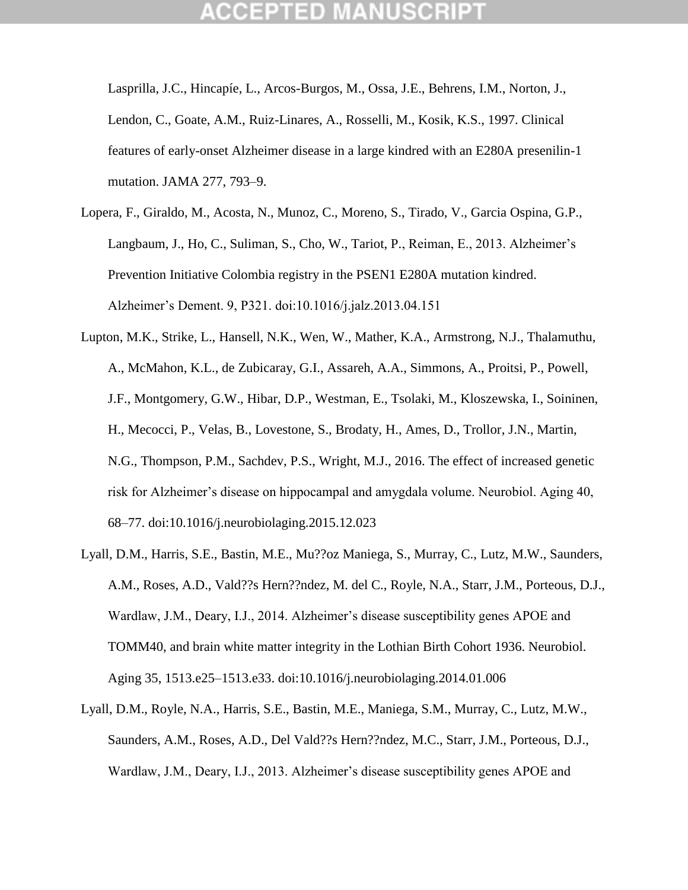Lasprilla, J.C., Hincapíe, L., Arcos-Burgos, M., Ossa, J.E., Behrens, I.M., Norton, J., Lendon, C., Goate, A.M., Ruiz-Linares, A., Rosselli, M., Kosik, K.S., 1997. Clinical features of early-onset Alzheimer disease in a large kindred with an E280A presenilin-1 mutation. JAMA 277, 793–9.

- Lopera, F., Giraldo, M., Acosta, N., Munoz, C., Moreno, S., Tirado, V., Garcia Ospina, G.P., Langbaum, J., Ho, C., Suliman, S., Cho, W., Tariot, P., Reiman, E., 2013. Alzheimer's Prevention Initiative Colombia registry in the PSEN1 E280A mutation kindred. Alzheimer"s Dement. 9, P321. doi:10.1016/j.jalz.2013.04.151
- Lupton, M.K., Strike, L., Hansell, N.K., Wen, W., Mather, K.A., Armstrong, N.J., Thalamuthu, A., McMahon, K.L., de Zubicaray, G.I., Assareh, A.A., Simmons, A., Proitsi, P., Powell, J.F., Montgomery, G.W., Hibar, D.P., Westman, E., Tsolaki, M., Kloszewska, I., Soininen, H., Mecocci, P., Velas, B., Lovestone, S., Brodaty, H., Ames, D., Trollor, J.N., Martin, N.G., Thompson, P.M., Sachdev, P.S., Wright, M.J., 2016. The effect of increased genetic risk for Alzheimer"s disease on hippocampal and amygdala volume. Neurobiol. Aging 40, 68–77. doi:10.1016/j.neurobiolaging.2015.12.023
- Lyall, D.M., Harris, S.E., Bastin, M.E., Mu??oz Maniega, S., Murray, C., Lutz, M.W., Saunders, A.M., Roses, A.D., Vald??s Hern??ndez, M. del C., Royle, N.A., Starr, J.M., Porteous, D.J., Wardlaw, J.M., Deary, I.J., 2014. Alzheimer's disease susceptibility genes APOE and TOMM40, and brain white matter integrity in the Lothian Birth Cohort 1936. Neurobiol. Aging 35, 1513.e25–1513.e33. doi:10.1016/j.neurobiolaging.2014.01.006
- Lyall, D.M., Royle, N.A., Harris, S.E., Bastin, M.E., Maniega, S.M., Murray, C., Lutz, M.W., Saunders, A.M., Roses, A.D., Del Vald??s Hern??ndez, M.C., Starr, J.M., Porteous, D.J., Wardlaw, J.M., Deary, I.J., 2013. Alzheimer's disease susceptibility genes APOE and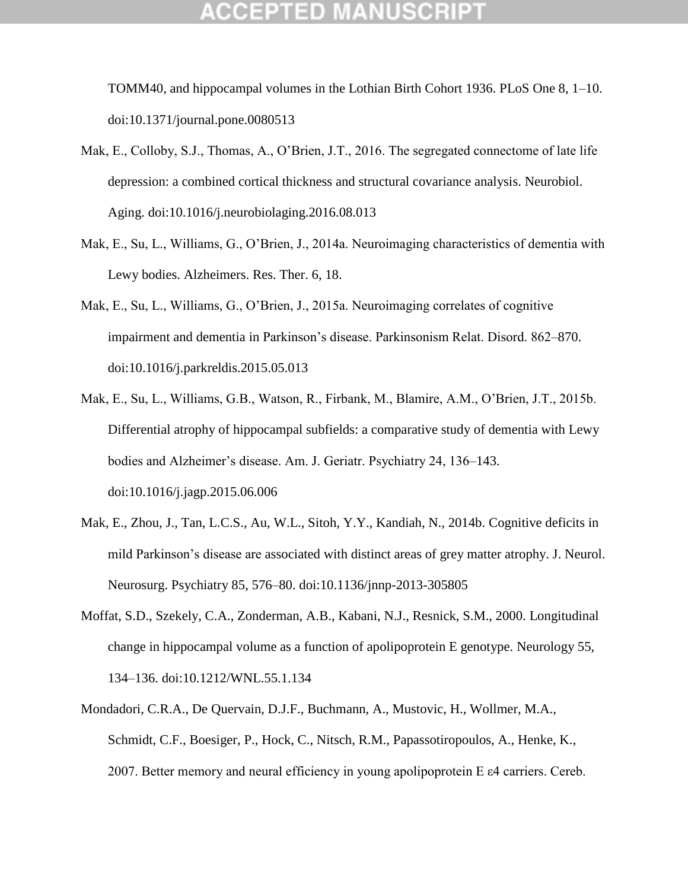TOMM40, and hippocampal volumes in the Lothian Birth Cohort 1936. PLoS One 8, 1–10. doi:10.1371/journal.pone.0080513

- Mak, E., Colloby, S.J., Thomas, A., O"Brien, J.T., 2016. The segregated connectome of late life depression: a combined cortical thickness and structural covariance analysis. Neurobiol. Aging. doi:10.1016/j.neurobiolaging.2016.08.013
- Mak, E., Su, L., Williams, G., O"Brien, J., 2014a. Neuroimaging characteristics of dementia with Lewy bodies. Alzheimers. Res. Ther. 6, 18.
- Mak, E., Su, L., Williams, G., O"Brien, J., 2015a. Neuroimaging correlates of cognitive impairment and dementia in Parkinson"s disease. Parkinsonism Relat. Disord. 862–870. doi:10.1016/j.parkreldis.2015.05.013
- Mak, E., Su, L., Williams, G.B., Watson, R., Firbank, M., Blamire, A.M., O"Brien, J.T., 2015b. Differential atrophy of hippocampal subfields: a comparative study of dementia with Lewy bodies and Alzheimer"s disease. Am. J. Geriatr. Psychiatry 24, 136–143. doi:10.1016/j.jagp.2015.06.006
- Mak, E., Zhou, J., Tan, L.C.S., Au, W.L., Sitoh, Y.Y., Kandiah, N., 2014b. Cognitive deficits in mild Parkinson"s disease are associated with distinct areas of grey matter atrophy. J. Neurol. Neurosurg. Psychiatry 85, 576–80. doi:10.1136/jnnp-2013-305805
- Moffat, S.D., Szekely, C.A., Zonderman, A.B., Kabani, N.J., Resnick, S.M., 2000. Longitudinal change in hippocampal volume as a function of apolipoprotein E genotype. Neurology 55, 134–136. doi:10.1212/WNL.55.1.134
- Mondadori, C.R.A., De Quervain, D.J.F., Buchmann, A., Mustovic, H., Wollmer, M.A., Schmidt, C.F., Boesiger, P., Hock, C., Nitsch, R.M., Papassotiropoulos, A., Henke, K., 2007. Better memory and neural efficiency in young apolipoprotein E ε4 carriers. Cereb.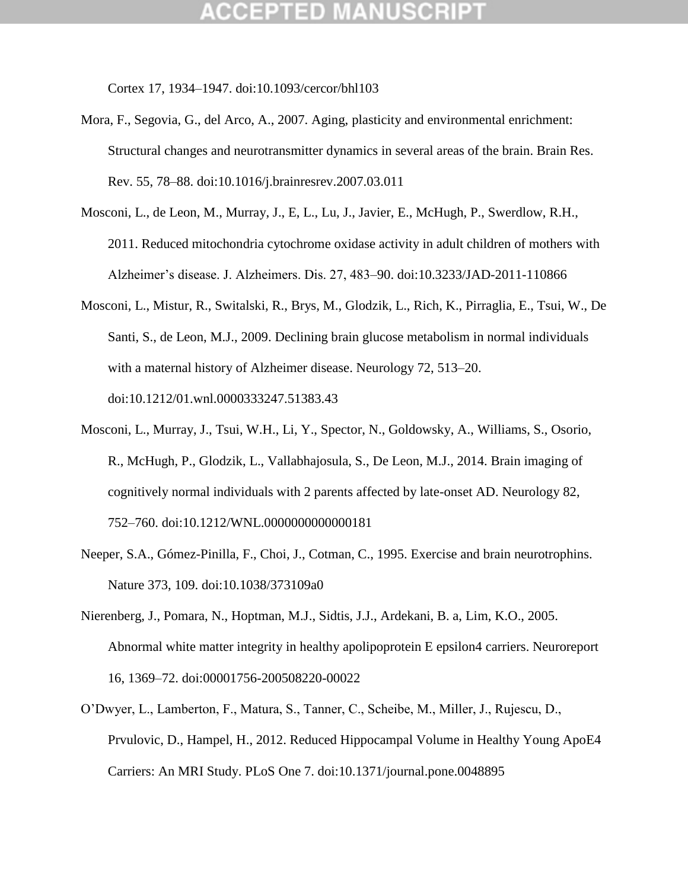Cortex 17, 1934–1947. doi:10.1093/cercor/bhl103

- Mora, F., Segovia, G., del Arco, A., 2007. Aging, plasticity and environmental enrichment: Structural changes and neurotransmitter dynamics in several areas of the brain. Brain Res. Rev. 55, 78–88. doi:10.1016/j.brainresrev.2007.03.011
- Mosconi, L., de Leon, M., Murray, J., E, L., Lu, J., Javier, E., McHugh, P., Swerdlow, R.H., 2011. Reduced mitochondria cytochrome oxidase activity in adult children of mothers with Alzheimer"s disease. J. Alzheimers. Dis. 27, 483–90. doi:10.3233/JAD-2011-110866
- Mosconi, L., Mistur, R., Switalski, R., Brys, M., Glodzik, L., Rich, K., Pirraglia, E., Tsui, W., De Santi, S., de Leon, M.J., 2009. Declining brain glucose metabolism in normal individuals with a maternal history of Alzheimer disease. Neurology 72, 513–20. doi:10.1212/01.wnl.0000333247.51383.43
- Mosconi, L., Murray, J., Tsui, W.H., Li, Y., Spector, N., Goldowsky, A., Williams, S., Osorio, R., McHugh, P., Glodzik, L., Vallabhajosula, S., De Leon, M.J., 2014. Brain imaging of cognitively normal individuals with 2 parents affected by late-onset AD. Neurology 82, 752–760. doi:10.1212/WNL.0000000000000181
- Neeper, S.A., Gómez-Pinilla, F., Choi, J., Cotman, C., 1995. Exercise and brain neurotrophins. Nature 373, 109. doi:10.1038/373109a0
- Nierenberg, J., Pomara, N., Hoptman, M.J., Sidtis, J.J., Ardekani, B. a, Lim, K.O., 2005. Abnormal white matter integrity in healthy apolipoprotein E epsilon4 carriers. Neuroreport 16, 1369–72. doi:00001756-200508220-00022
- O"Dwyer, L., Lamberton, F., Matura, S., Tanner, C., Scheibe, M., Miller, J., Rujescu, D., Prvulovic, D., Hampel, H., 2012. Reduced Hippocampal Volume in Healthy Young ApoE4 Carriers: An MRI Study. PLoS One 7. doi:10.1371/journal.pone.0048895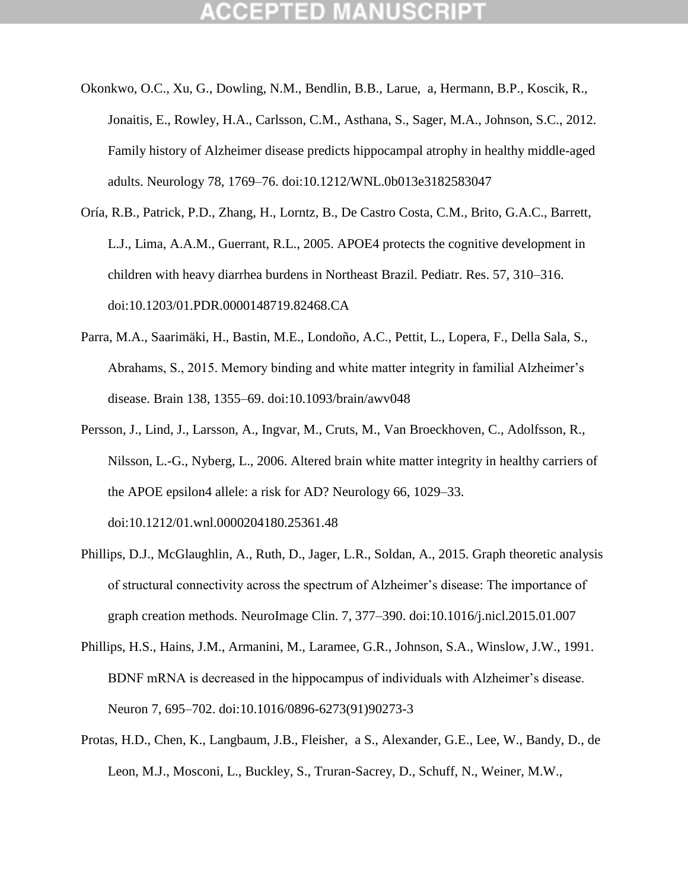- Okonkwo, O.C., Xu, G., Dowling, N.M., Bendlin, B.B., Larue, a, Hermann, B.P., Koscik, R., Jonaitis, E., Rowley, H.A., Carlsson, C.M., Asthana, S., Sager, M.A., Johnson, S.C., 2012. Family history of Alzheimer disease predicts hippocampal atrophy in healthy middle-aged adults. Neurology 78, 1769–76. doi:10.1212/WNL.0b013e3182583047
- Oría, R.B., Patrick, P.D., Zhang, H., Lorntz, B., De Castro Costa, C.M., Brito, G.A.C., Barrett, L.J., Lima, A.A.M., Guerrant, R.L., 2005. APOE4 protects the cognitive development in children with heavy diarrhea burdens in Northeast Brazil. Pediatr. Res. 57, 310–316. doi:10.1203/01.PDR.0000148719.82468.CA
- Parra, M.A., Saarimäki, H., Bastin, M.E., Londoño, A.C., Pettit, L., Lopera, F., Della Sala, S., Abrahams, S., 2015. Memory binding and white matter integrity in familial Alzheimer"s disease. Brain 138, 1355–69. doi:10.1093/brain/awv048
- Persson, J., Lind, J., Larsson, A., Ingvar, M., Cruts, M., Van Broeckhoven, C., Adolfsson, R., Nilsson, L.-G., Nyberg, L., 2006. Altered brain white matter integrity in healthy carriers of the APOE epsilon4 allele: a risk for AD? Neurology 66, 1029–33. doi:10.1212/01.wnl.0000204180.25361.48
- Phillips, D.J., McGlaughlin, A., Ruth, D., Jager, L.R., Soldan, A., 2015. Graph theoretic analysis of structural connectivity across the spectrum of Alzheimer"s disease: The importance of graph creation methods. NeuroImage Clin. 7, 377–390. doi:10.1016/j.nicl.2015.01.007
- Phillips, H.S., Hains, J.M., Armanini, M., Laramee, G.R., Johnson, S.A., Winslow, J.W., 1991. BDNF mRNA is decreased in the hippocampus of individuals with Alzheimer"s disease. Neuron 7, 695–702. doi:10.1016/0896-6273(91)90273-3
- Protas, H.D., Chen, K., Langbaum, J.B., Fleisher, a S., Alexander, G.E., Lee, W., Bandy, D., de Leon, M.J., Mosconi, L., Buckley, S., Truran-Sacrey, D., Schuff, N., Weiner, M.W.,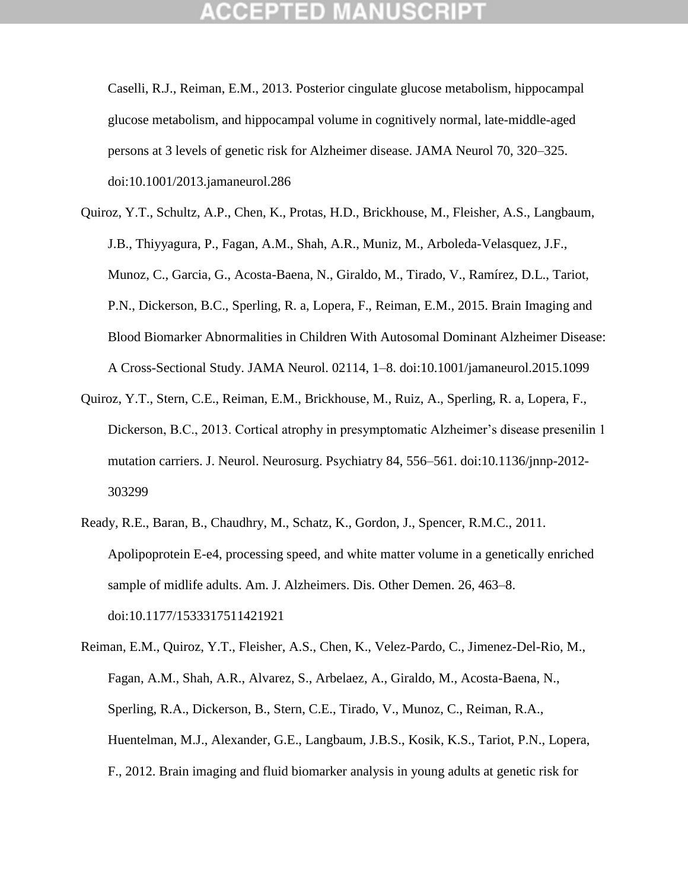Caselli, R.J., Reiman, E.M., 2013. Posterior cingulate glucose metabolism, hippocampal glucose metabolism, and hippocampal volume in cognitively normal, late-middle-aged persons at 3 levels of genetic risk for Alzheimer disease. JAMA Neurol 70, 320–325. doi:10.1001/2013.jamaneurol.286

- Quiroz, Y.T., Schultz, A.P., Chen, K., Protas, H.D., Brickhouse, M., Fleisher, A.S., Langbaum, J.B., Thiyyagura, P., Fagan, A.M., Shah, A.R., Muniz, M., Arboleda-Velasquez, J.F., Munoz, C., Garcia, G., Acosta-Baena, N., Giraldo, M., Tirado, V., Ramírez, D.L., Tariot, P.N., Dickerson, B.C., Sperling, R. a, Lopera, F., Reiman, E.M., 2015. Brain Imaging and Blood Biomarker Abnormalities in Children With Autosomal Dominant Alzheimer Disease: A Cross-Sectional Study. JAMA Neurol. 02114, 1–8. doi:10.1001/jamaneurol.2015.1099
- Quiroz, Y.T., Stern, C.E., Reiman, E.M., Brickhouse, M., Ruiz, A., Sperling, R. a, Lopera, F., Dickerson, B.C., 2013. Cortical atrophy in presymptomatic Alzheimer"s disease presenilin 1 mutation carriers. J. Neurol. Neurosurg. Psychiatry 84, 556–561. doi:10.1136/jnnp-2012-303299
- Ready, R.E., Baran, B., Chaudhry, M., Schatz, K., Gordon, J., Spencer, R.M.C., 2011. Apolipoprotein E-e4, processing speed, and white matter volume in a genetically enriched sample of midlife adults. Am. J. Alzheimers. Dis. Other Demen. 26, 463–8. doi:10.1177/1533317511421921

Reiman, E.M., Quiroz, Y.T., Fleisher, A.S., Chen, K., Velez-Pardo, C., Jimenez-Del-Rio, M., Fagan, A.M., Shah, A.R., Alvarez, S., Arbelaez, A., Giraldo, M., Acosta-Baena, N., Sperling, R.A., Dickerson, B., Stern, C.E., Tirado, V., Munoz, C., Reiman, R.A., Huentelman, M.J., Alexander, G.E., Langbaum, J.B.S., Kosik, K.S., Tariot, P.N., Lopera, F., 2012. Brain imaging and fluid biomarker analysis in young adults at genetic risk for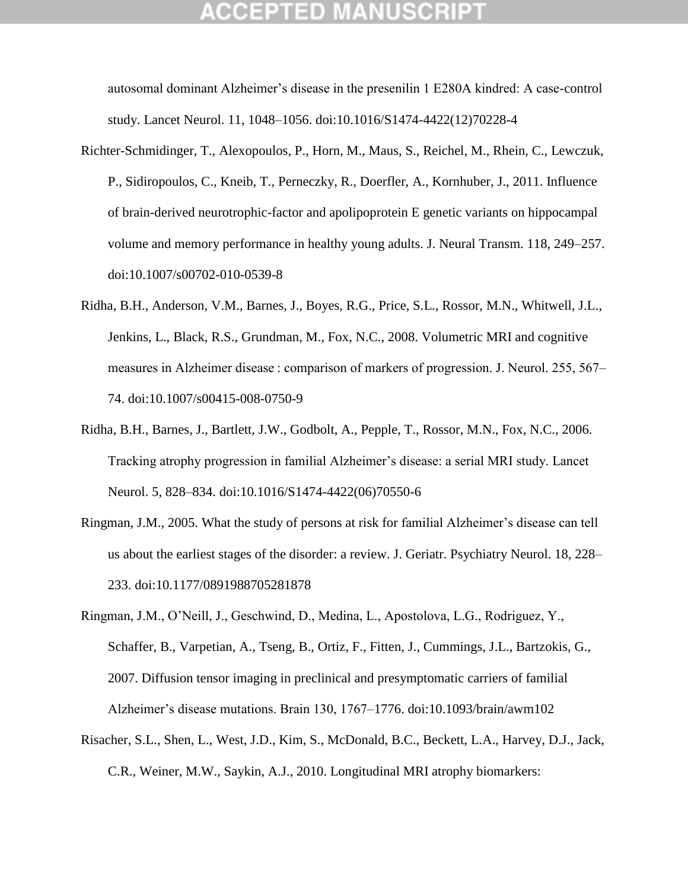autosomal dominant Alzheimer"s disease in the presenilin 1 E280A kindred: A case-control study. Lancet Neurol. 11, 1048–1056. doi:10.1016/S1474-4422(12)70228-4

- Richter-Schmidinger, T., Alexopoulos, P., Horn, M., Maus, S., Reichel, M., Rhein, C., Lewczuk, P., Sidiropoulos, C., Kneib, T., Perneczky, R., Doerfler, A., Kornhuber, J., 2011. Influence of brain-derived neurotrophic-factor and apolipoprotein E genetic variants on hippocampal volume and memory performance in healthy young adults. J. Neural Transm. 118, 249–257. doi:10.1007/s00702-010-0539-8
- Ridha, B.H., Anderson, V.M., Barnes, J., Boyes, R.G., Price, S.L., Rossor, M.N., Whitwell, J.L., Jenkins, L., Black, R.S., Grundman, M., Fox, N.C., 2008. Volumetric MRI and cognitive measures in Alzheimer disease : comparison of markers of progression. J. Neurol. 255, 567– 74. doi:10.1007/s00415-008-0750-9
- Ridha, B.H., Barnes, J., Bartlett, J.W., Godbolt, A., Pepple, T., Rossor, M.N., Fox, N.C., 2006. Tracking atrophy progression in familial Alzheimer"s disease: a serial MRI study. Lancet Neurol. 5, 828–834. doi:10.1016/S1474-4422(06)70550-6
- Ringman, J.M., 2005. What the study of persons at risk for familial Alzheimer"s disease can tell us about the earliest stages of the disorder: a review. J. Geriatr. Psychiatry Neurol. 18, 228– 233. doi:10.1177/0891988705281878
- Ringman, J.M., O"Neill, J., Geschwind, D., Medina, L., Apostolova, L.G., Rodriguez, Y., Schaffer, B., Varpetian, A., Tseng, B., Ortiz, F., Fitten, J., Cummings, J.L., Bartzokis, G., 2007. Diffusion tensor imaging in preclinical and presymptomatic carriers of familial Alzheimer"s disease mutations. Brain 130, 1767–1776. doi:10.1093/brain/awm102
- Risacher, S.L., Shen, L., West, J.D., Kim, S., McDonald, B.C., Beckett, L.A., Harvey, D.J., Jack, C.R., Weiner, M.W., Saykin, A.J., 2010. Longitudinal MRI atrophy biomarkers: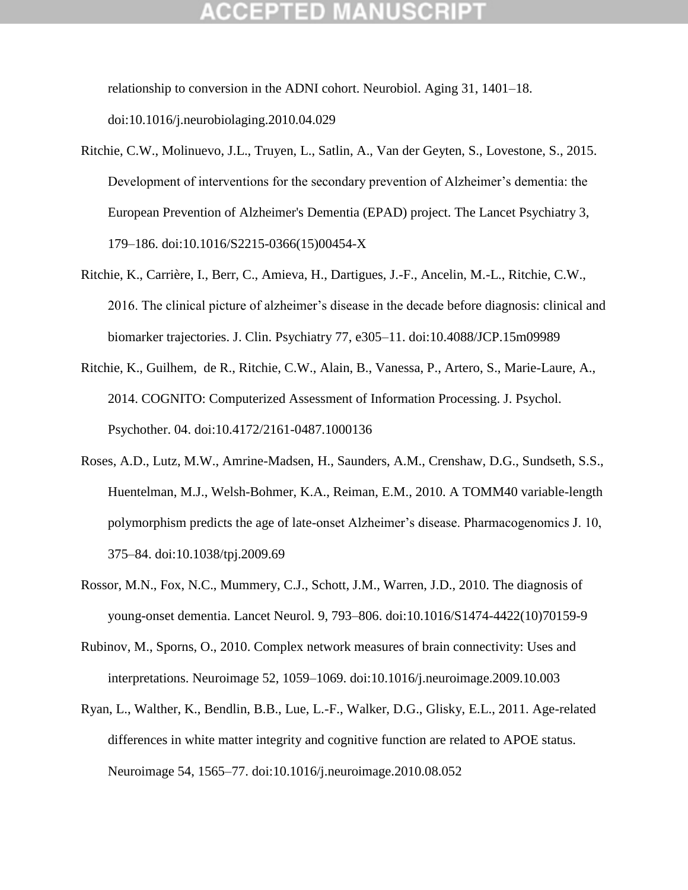## :CEPTED M

relationship to conversion in the ADNI cohort. Neurobiol. Aging 31, 1401–18. doi:10.1016/j.neurobiolaging.2010.04.029

- Ritchie, C.W., Molinuevo, J.L., Truyen, L., Satlin, A., Van der Geyten, S., Lovestone, S., 2015. Development of interventions for the secondary prevention of Alzheimer"s dementia: the European Prevention of Alzheimer's Dementia (EPAD) project. The Lancet Psychiatry 3, 179–186. doi:10.1016/S2215-0366(15)00454-X
- Ritchie, K., Carrière, I., Berr, C., Amieva, H., Dartigues, J.-F., Ancelin, M.-L., Ritchie, C.W., 2016. The clinical picture of alzheimer"s disease in the decade before diagnosis: clinical and biomarker trajectories. J. Clin. Psychiatry 77, e305–11. doi:10.4088/JCP.15m09989
- Ritchie, K., Guilhem, de R., Ritchie, C.W., Alain, B., Vanessa, P., Artero, S., Marie-Laure, A., 2014. COGNITO: Computerized Assessment of Information Processing. J. Psychol. Psychother. 04. doi:10.4172/2161-0487.1000136
- Roses, A.D., Lutz, M.W., Amrine-Madsen, H., Saunders, A.M., Crenshaw, D.G., Sundseth, S.S., Huentelman, M.J., Welsh-Bohmer, K.A., Reiman, E.M., 2010. A TOMM40 variable-length polymorphism predicts the age of late-onset Alzheimer's disease. Pharmacogenomics J. 10, 375–84. doi:10.1038/tpj.2009.69
- Rossor, M.N., Fox, N.C., Mummery, C.J., Schott, J.M., Warren, J.D., 2010. The diagnosis of young-onset dementia. Lancet Neurol. 9, 793–806. doi:10.1016/S1474-4422(10)70159-9
- Rubinov, M., Sporns, O., 2010. Complex network measures of brain connectivity: Uses and interpretations. Neuroimage 52, 1059–1069. doi:10.1016/j.neuroimage.2009.10.003
- Ryan, L., Walther, K., Bendlin, B.B., Lue, L.-F., Walker, D.G., Glisky, E.L., 2011. Age-related differences in white matter integrity and cognitive function are related to APOE status. Neuroimage 54, 1565–77. doi:10.1016/j.neuroimage.2010.08.052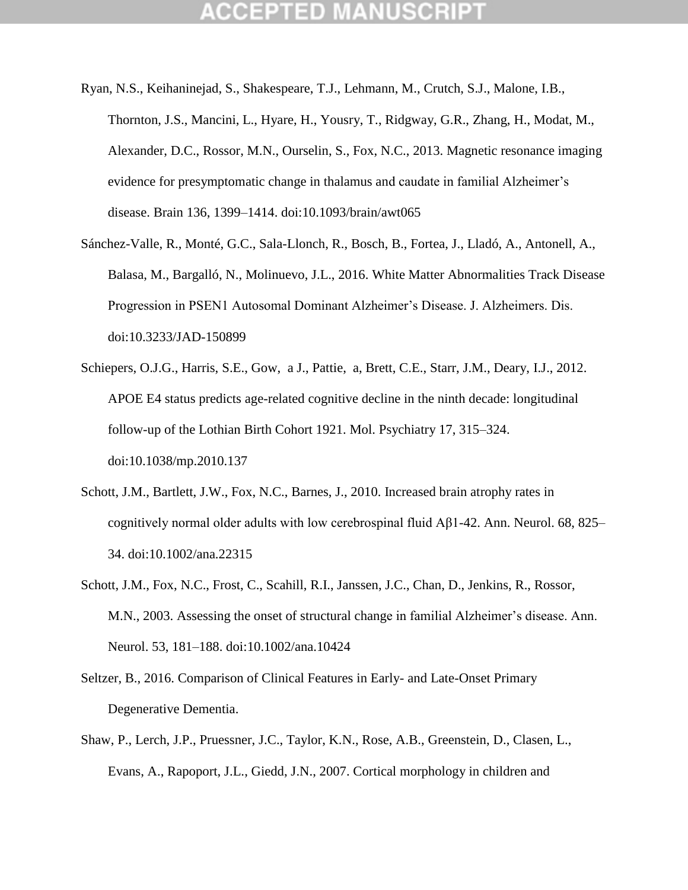- Ryan, N.S., Keihaninejad, S., Shakespeare, T.J., Lehmann, M., Crutch, S.J., Malone, I.B., Thornton, J.S., Mancini, L., Hyare, H., Yousry, T., Ridgway, G.R., Zhang, H., Modat, M., Alexander, D.C., Rossor, M.N., Ourselin, S., Fox, N.C., 2013. Magnetic resonance imaging evidence for presymptomatic change in thalamus and caudate in familial Alzheimer"s disease. Brain 136, 1399–1414. doi:10.1093/brain/awt065
- Sánchez-Valle, R., Monté, G.C., Sala-Llonch, R., Bosch, B., Fortea, J., Lladó, A., Antonell, A., Balasa, M., Bargalló, N., Molinuevo, J.L., 2016. White Matter Abnormalities Track Disease Progression in PSEN1 Autosomal Dominant Alzheimer"s Disease. J. Alzheimers. Dis. doi:10.3233/JAD-150899
- Schiepers, O.J.G., Harris, S.E., Gow, a J., Pattie, a, Brett, C.E., Starr, J.M., Deary, I.J., 2012. APOE E4 status predicts age-related cognitive decline in the ninth decade: longitudinal follow-up of the Lothian Birth Cohort 1921. Mol. Psychiatry 17, 315–324. doi:10.1038/mp.2010.137
- Schott, J.M., Bartlett, J.W., Fox, N.C., Barnes, J., 2010. Increased brain atrophy rates in cognitively normal older adults with low cerebrospinal fluid Aβ1-42. Ann. Neurol. 68, 825– 34. doi:10.1002/ana.22315
- Schott, J.M., Fox, N.C., Frost, C., Scahill, R.I., Janssen, J.C., Chan, D., Jenkins, R., Rossor, M.N., 2003. Assessing the onset of structural change in familial Alzheimer"s disease. Ann. Neurol. 53, 181–188. doi:10.1002/ana.10424
- Seltzer, B., 2016. Comparison of Clinical Features in Early- and Late-Onset Primary Degenerative Dementia.
- Shaw, P., Lerch, J.P., Pruessner, J.C., Taylor, K.N., Rose, A.B., Greenstein, D., Clasen, L., Evans, A., Rapoport, J.L., Giedd, J.N., 2007. Cortical morphology in children and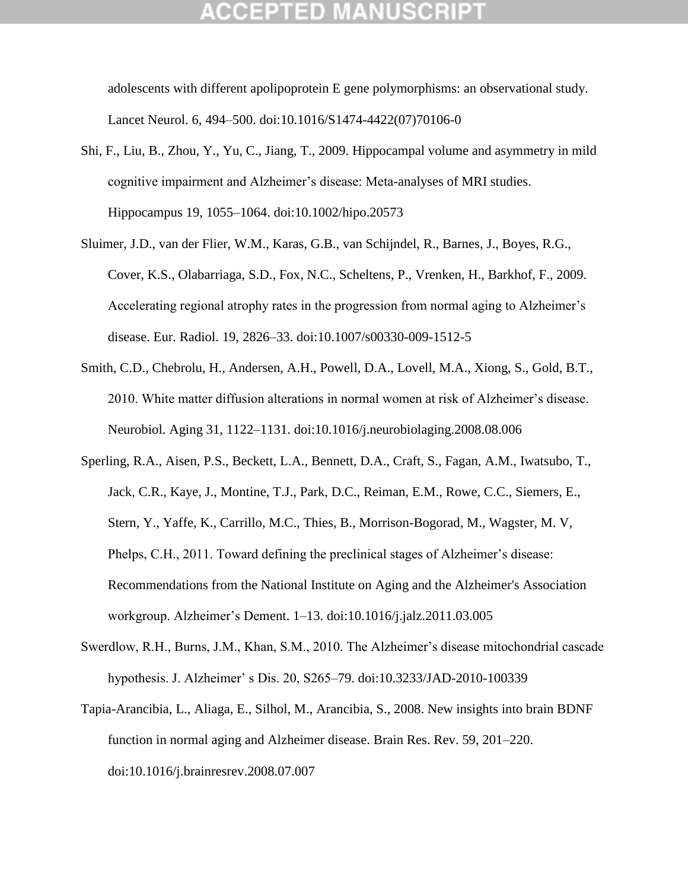## GEPTED

adolescents with different apolipoprotein E gene polymorphisms: an observational study. Lancet Neurol. 6, 494–500. doi:10.1016/S1474-4422(07)70106-0

- Shi, F., Liu, B., Zhou, Y., Yu, C., Jiang, T., 2009. Hippocampal volume and asymmetry in mild cognitive impairment and Alzheimer's disease: Meta-analyses of MRI studies. Hippocampus 19, 1055–1064. doi:10.1002/hipo.20573
- Sluimer, J.D., van der Flier, W.M., Karas, G.B., van Schijndel, R., Barnes, J., Boyes, R.G., Cover, K.S., Olabarriaga, S.D., Fox, N.C., Scheltens, P., Vrenken, H., Barkhof, F., 2009. Accelerating regional atrophy rates in the progression from normal aging to Alzheimer"s disease. Eur. Radiol. 19, 2826–33. doi:10.1007/s00330-009-1512-5
- Smith, C.D., Chebrolu, H., Andersen, A.H., Powell, D.A., Lovell, M.A., Xiong, S., Gold, B.T., 2010. White matter diffusion alterations in normal women at risk of Alzheimer"s disease. Neurobiol. Aging 31, 1122–1131. doi:10.1016/j.neurobiolaging.2008.08.006
- Sperling, R.A., Aisen, P.S., Beckett, L.A., Bennett, D.A., Craft, S., Fagan, A.M., Iwatsubo, T., Jack, C.R., Kaye, J., Montine, T.J., Park, D.C., Reiman, E.M., Rowe, C.C., Siemers, E., Stern, Y., Yaffe, K., Carrillo, M.C., Thies, B., Morrison-Bogorad, M., Wagster, M. V, Phelps, C.H., 2011. Toward defining the preclinical stages of Alzheimer's disease: Recommendations from the National Institute on Aging and the Alzheimer's Association workgroup. Alzheimer"s Dement. 1–13. doi:10.1016/j.jalz.2011.03.005
- Swerdlow, R.H., Burns, J.M., Khan, S.M., 2010. The Alzheimer's disease mitochondrial cascade hypothesis. J. Alzheimer" s Dis. 20, S265–79. doi:10.3233/JAD-2010-100339
- Tapia-Arancibia, L., Aliaga, E., Silhol, M., Arancibia, S., 2008. New insights into brain BDNF function in normal aging and Alzheimer disease. Brain Res. Rev. 59, 201–220. doi:10.1016/j.brainresrev.2008.07.007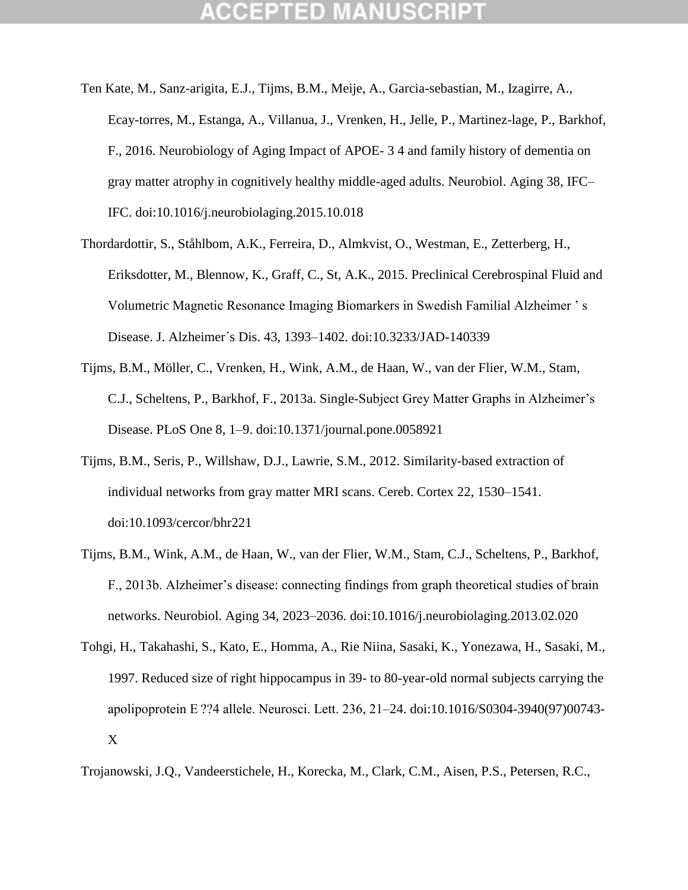- Ten Kate, M., Sanz-arigita, E.J., Tijms, B.M., Meije, A., Garcia-sebastian, M., Izagirre, A., Ecay-torres, M., Estanga, A., Villanua, J., Vrenken, H., Jelle, P., Martinez-lage, P., Barkhof, F., 2016. Neurobiology of Aging Impact of APOE- 3 4 and family history of dementia on gray matter atrophy in cognitively healthy middle-aged adults. Neurobiol. Aging 38, IFC– IFC. doi:10.1016/j.neurobiolaging.2015.10.018
- Thordardottir, S., Ståhlbom, A.K., Ferreira, D., Almkvist, O., Westman, E., Zetterberg, H., Eriksdotter, M., Blennow, K., Graff, C., St, A.K., 2015. Preclinical Cerebrospinal Fluid and Volumetric Magnetic Resonance Imaging Biomarkers in Swedish Familial Alzheimer " s Disease. J. Alzheimer´s Dis. 43, 1393–1402. doi:10.3233/JAD-140339
- Tijms, B.M., Möller, C., Vrenken, H., Wink, A.M., de Haan, W., van der Flier, W.M., Stam, C.J., Scheltens, P., Barkhof, F., 2013a. Single-Subject Grey Matter Graphs in Alzheimer"s Disease. PLoS One 8, 1–9. doi:10.1371/journal.pone.0058921
- Tijms, B.M., Seris, P., Willshaw, D.J., Lawrie, S.M., 2012. Similarity-based extraction of individual networks from gray matter MRI scans. Cereb. Cortex 22, 1530–1541. doi:10.1093/cercor/bhr221
- Tijms, B.M., Wink, A.M., de Haan, W., van der Flier, W.M., Stam, C.J., Scheltens, P., Barkhof, F., 2013b. Alzheimer"s disease: connecting findings from graph theoretical studies of brain networks. Neurobiol. Aging 34, 2023–2036. doi:10.1016/j.neurobiolaging.2013.02.020
- Tohgi, H., Takahashi, S., Kato, E., Homma, A., Rie Niina, Sasaki, K., Yonezawa, H., Sasaki, M., 1997. Reduced size of right hippocampus in 39- to 80-year-old normal subjects carrying the apolipoprotein E ??4 allele. Neurosci. Lett. 236, 21–24. doi:10.1016/S0304-3940(97)00743- X

Trojanowski, J.Q., Vandeerstichele, H., Korecka, M., Clark, C.M., Aisen, P.S., Petersen, R.C.,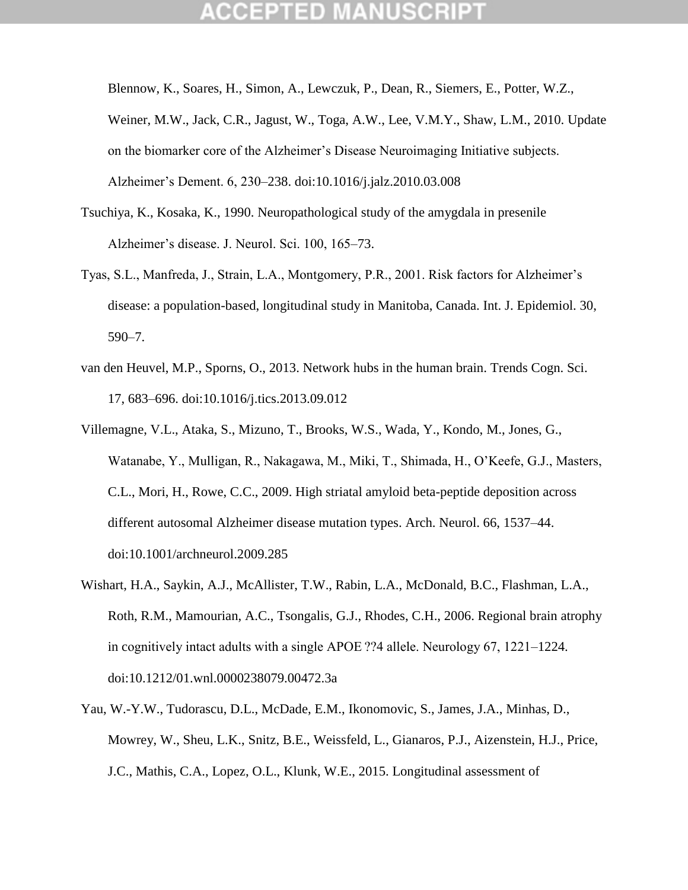Blennow, K., Soares, H., Simon, A., Lewczuk, P., Dean, R., Siemers, E., Potter, W.Z., Weiner, M.W., Jack, C.R., Jagust, W., Toga, A.W., Lee, V.M.Y., Shaw, L.M., 2010. Update on the biomarker core of the Alzheimer"s Disease Neuroimaging Initiative subjects. Alzheimer"s Dement. 6, 230–238. doi:10.1016/j.jalz.2010.03.008

- Tsuchiya, K., Kosaka, K., 1990. Neuropathological study of the amygdala in presenile Alzheimer"s disease. J. Neurol. Sci. 100, 165–73.
- Tyas, S.L., Manfreda, J., Strain, L.A., Montgomery, P.R., 2001. Risk factors for Alzheimer"s disease: a population-based, longitudinal study in Manitoba, Canada. Int. J. Epidemiol. 30, 590–7.
- van den Heuvel, M.P., Sporns, O., 2013. Network hubs in the human brain. Trends Cogn. Sci. 17, 683–696. doi:10.1016/j.tics.2013.09.012
- Villemagne, V.L., Ataka, S., Mizuno, T., Brooks, W.S., Wada, Y., Kondo, M., Jones, G., Watanabe, Y., Mulligan, R., Nakagawa, M., Miki, T., Shimada, H., O"Keefe, G.J., Masters, C.L., Mori, H., Rowe, C.C., 2009. High striatal amyloid beta-peptide deposition across different autosomal Alzheimer disease mutation types. Arch. Neurol. 66, 1537–44. doi:10.1001/archneurol.2009.285
- Wishart, H.A., Saykin, A.J., McAllister, T.W., Rabin, L.A., McDonald, B.C., Flashman, L.A., Roth, R.M., Mamourian, A.C., Tsongalis, G.J., Rhodes, C.H., 2006. Regional brain atrophy in cognitively intact adults with a single APOE ??4 allele. Neurology 67, 1221–1224. doi:10.1212/01.wnl.0000238079.00472.3a
- Yau, W.-Y.W., Tudorascu, D.L., McDade, E.M., Ikonomovic, S., James, J.A., Minhas, D., Mowrey, W., Sheu, L.K., Snitz, B.E., Weissfeld, L., Gianaros, P.J., Aizenstein, H.J., Price, J.C., Mathis, C.A., Lopez, O.L., Klunk, W.E., 2015. Longitudinal assessment of